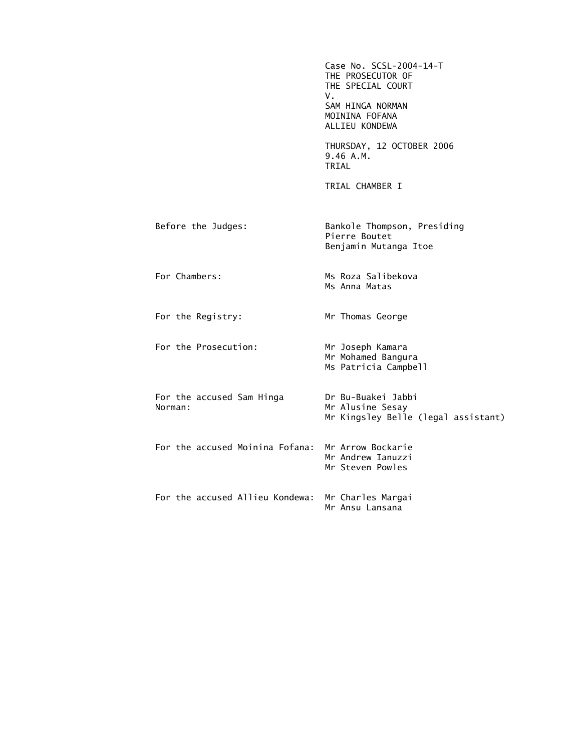|                                      | Case No. SCSL-2004-14-T<br>THE PROSECUTOR OF<br>THE SPECIAL COURT<br>V.<br>SAM HINGA NORMAN<br>MOININA FOFANA<br>ALLIEU KONDEWA |
|--------------------------------------|---------------------------------------------------------------------------------------------------------------------------------|
|                                      | THURSDAY, 12 OCTOBER 2006<br>9.46 A.M.<br>TRIAL                                                                                 |
|                                      | TRIAL CHAMBER I                                                                                                                 |
| Before the Judges:                   | Bankole Thompson, Presiding<br>Pierre Boutet<br>Benjamin Mutanga Itoe                                                           |
| For Chambers:                        | Ms Roza Salibekova<br>Ms Anna Matas                                                                                             |
| For the Registry:                    | Mr Thomas George                                                                                                                |
| For the Prosecution:                 | Mr Joseph Kamara<br>Mr Mohamed Bangura<br>Ms Patricia Campbell                                                                  |
| For the accused Sam Hinga<br>Norman: | Dr Bu-Buakei Jabbi<br>Mr Alusine Sesay<br>Mr Kingsley Belle (legal assistant)                                                   |
| For the accused Moinina Fofana:      | Mr Arrow Bockarie<br>Mr Andrew Ianuzzi<br>Mr Steven Powles                                                                      |
| For the accused Allieu Kondewa:      | Mr Charles Margai<br>Mr Ansu Lansana                                                                                            |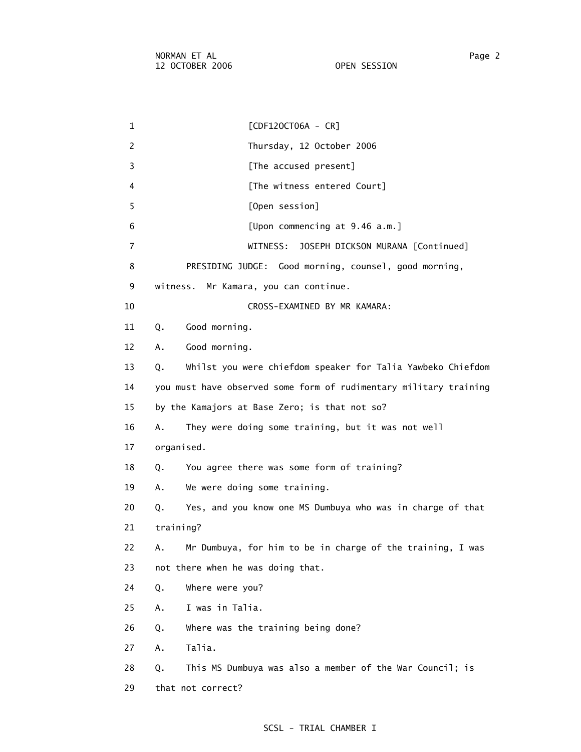1 [CDF12OCT06A - CR] 2 Thursday, 12 October 2006 3 **Example 2 [The accused present]** 4 [The witness entered Court] 5 [Open session] 6 [Upon commencing at 9.46 a.m.] 7 WITNESS: JOSEPH DICKSON MURANA [Continued] 8 PRESIDING JUDGE: Good morning, counsel, good morning, 9 witness. Mr Kamara, you can continue. 10 CROSS-EXAMINED BY MR KAMARA: 11 Q. Good morning. 12 A. Good morning. 13 Q. Whilst you were chiefdom speaker for Talia Yawbeko Chiefdom 14 you must have observed some form of rudimentary military training 15 by the Kamajors at Base Zero; is that not so? 16 A. They were doing some training, but it was not well 17 organised. 18 Q. You agree there was some form of training? 19 A. We were doing some training. 20 Q. Yes, and you know one MS Dumbuya who was in charge of that 21 training? 22 A. Mr Dumbuya, for him to be in charge of the training, I was 23 not there when he was doing that. 24 Q. Where were you? 25 A. I was in Talia. 26 Q. Where was the training being done? 27 A. Talia. 28 Q. This MS Dumbuya was also a member of the War Council; is 29 that not correct?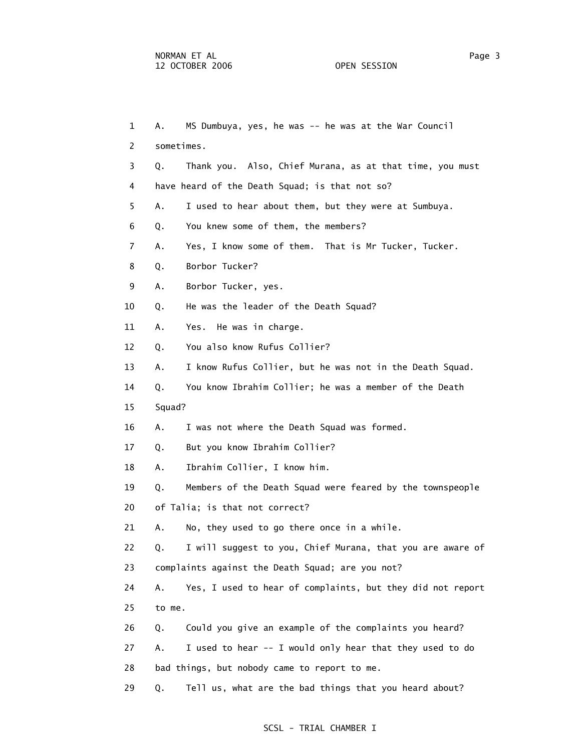| $\mathbf{1}$ | Α.         | MS Dumbuya, yes, he was -- he was at the War Council       |
|--------------|------------|------------------------------------------------------------|
| 2            | sometimes. |                                                            |
| 3            | Q.         | Thank you. Also, Chief Murana, as at that time, you must   |
| 4            |            | have heard of the Death Squad; is that not so?             |
| 5.           | Α.         | I used to hear about them, but they were at Sumbuya.       |
| 6            | Q.         | You knew some of them, the members?                        |
| 7            | А.         | Yes, I know some of them. That is Mr Tucker, Tucker.       |
| 8            | Q.         | Borbor Tucker?                                             |
| 9            | Α.         | Borbor Tucker, yes.                                        |
| 10           | Q.         | He was the leader of the Death Squad?                      |
| 11           | Α.         | Yes. He was in charge.                                     |
| 12           | Q.         | You also know Rufus Collier?                               |
| 13           | А.         | I know Rufus Collier, but he was not in the Death Squad.   |
| 14           | Q.         | You know Ibrahim Collier; he was a member of the Death     |
| 15           | Squad?     |                                                            |
| 16           | А.         | I was not where the Death Squad was formed.                |
| 17           | Q.         | But you know Ibrahim Collier?                              |
| 18           | А.         | Ibrahim Collier, I know him.                               |
| 19           | Q.         | Members of the Death Squad were feared by the townspeople  |
| 20           |            | of Talia; is that not correct?                             |
| 21           | А.         | No, they used to go there once in a while.                 |
| 22           | 0.         | I will suggest to you, Chief Murana, that you are aware of |
| 23           |            | complaints against the Death Squad; are you not?           |
| 24           | Α.         | Yes, I used to hear of complaints, but they did not report |
| 25           | to me.     |                                                            |
| 26           | Q.         | Could you give an example of the complaints you heard?     |
| 27           | Α.         | I used to hear -- I would only hear that they used to do   |
| 28           |            | bad things, but nobody came to report to me.               |
| 29           | Q.         | Tell us, what are the bad things that you heard about?     |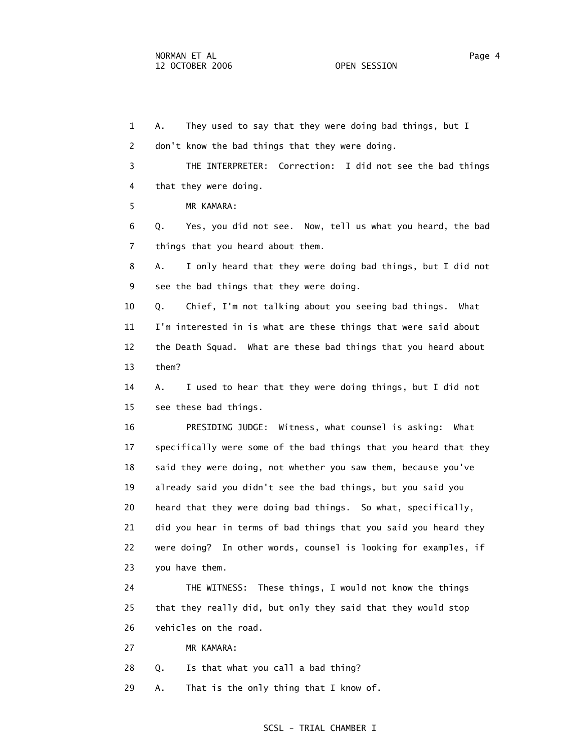1 A. They used to say that they were doing bad things, but I 2 don't know the bad things that they were doing. 3 THE INTERPRETER: Correction: I did not see the bad things 4 that they were doing. 5 MR KAMARA: 6 Q. Yes, you did not see. Now, tell us what you heard, the bad 7 things that you heard about them. 8 A. I only heard that they were doing bad things, but I did not 9 see the bad things that they were doing. 10 Q. Chief, I'm not talking about you seeing bad things. What 11 I'm interested in is what are these things that were said about 12 the Death Squad. What are these bad things that you heard about 13 them? 14 A. I used to hear that they were doing things, but I did not 15 see these bad things. 16 PRESIDING JUDGE: Witness, what counsel is asking: What 17 specifically were some of the bad things that you heard that they 18 said they were doing, not whether you saw them, because you've 19 already said you didn't see the bad things, but you said you 20 heard that they were doing bad things. So what, specifically, 21 did you hear in terms of bad things that you said you heard they 22 were doing? In other words, counsel is looking for examples, if 23 you have them. 24 THE WITNESS: These things, I would not know the things 25 that they really did, but only they said that they would stop 26 vehicles on the road. 27 MR KAMARA: 28 Q. Is that what you call a bad thing?

29 A. That is the only thing that I know of.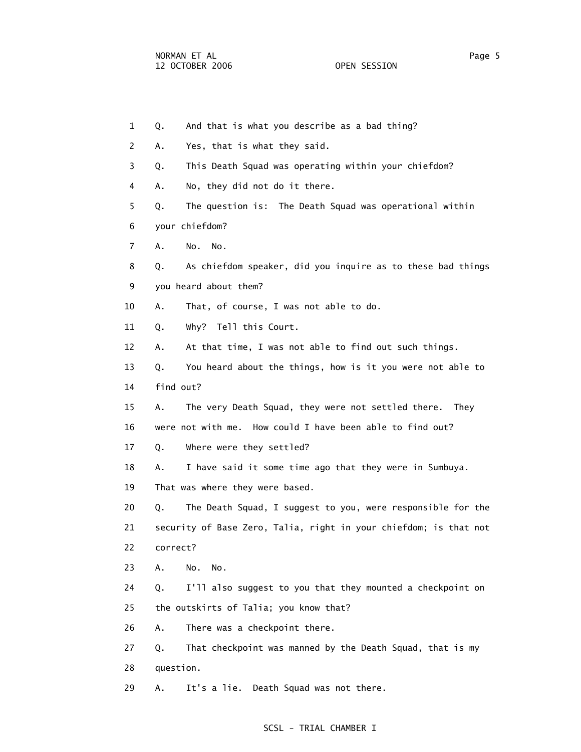1 Q. And that is what you describe as a bad thing? 2 A. Yes, that is what they said. 3 Q. This Death Squad was operating within your chiefdom? 4 A. No, they did not do it there. 5 Q. The question is: The Death Squad was operational within 6 your chiefdom? 7 A. No. No. 8 Q. As chiefdom speaker, did you inquire as to these bad things 9 you heard about them? 10 A. That, of course, I was not able to do. 11 Q. Why? Tell this Court. 12 A. At that time, I was not able to find out such things. 13 Q. You heard about the things, how is it you were not able to 14 find out? 15 A. The very Death Squad, they were not settled there. They 16 were not with me. How could I have been able to find out? 17 Q. Where were they settled? 18 A. I have said it some time ago that they were in Sumbuya. 19 That was where they were based. 20 Q. The Death Squad, I suggest to you, were responsible for the 21 security of Base Zero, Talia, right in your chiefdom; is that not 22 correct? 23 A. No. No. 24 Q. I'll also suggest to you that they mounted a checkpoint on 25 the outskirts of Talia; you know that? 26 A. There was a checkpoint there. 27 Q. That checkpoint was manned by the Death Squad, that is my 28 question. 29 A. It's a lie. Death Squad was not there.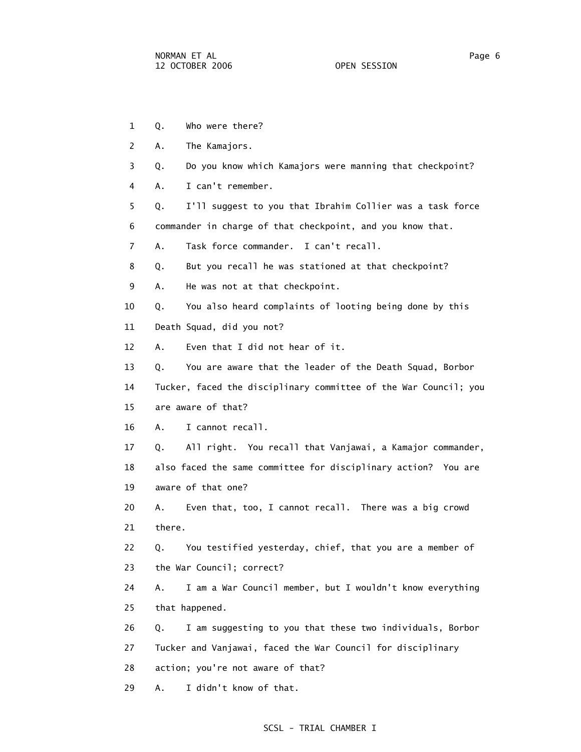- 1 Q. Who were there?
- 2 A. The Kamajors.
- 3 Q. Do you know which Kamajors were manning that checkpoint?
- 4 A. I can't remember.
- 5 Q. I'll suggest to you that Ibrahim Collier was a task force 6 commander in charge of that checkpoint, and you know that.
- 7 A. Task force commander. I can't recall.
- 8 Q. But you recall he was stationed at that checkpoint?
- 9 A. He was not at that checkpoint.
- 10 Q. You also heard complaints of looting being done by this
- 11 Death Squad, did you not?
- 12 A. Even that I did not hear of it.
- 13 Q. You are aware that the leader of the Death Squad, Borbor
- 14 Tucker, faced the disciplinary committee of the War Council; you
- 15 are aware of that?
- 16 A. I cannot recall.
- 17 Q. All right. You recall that Vanjawai, a Kamajor commander, 18 also faced the same committee for disciplinary action? You are 19 aware of that one?
- 20 A. Even that, too, I cannot recall. There was a big crowd 21 there.

 22 Q. You testified yesterday, chief, that you are a member of 23 the War Council; correct?

- 24 A. I am a War Council member, but I wouldn't know everything 25 that happened.
- 26 Q. I am suggesting to you that these two individuals, Borbor 27 Tucker and Vanjawai, faced the War Council for disciplinary
- 28 action; you're not aware of that?
- 29 A. I didn't know of that.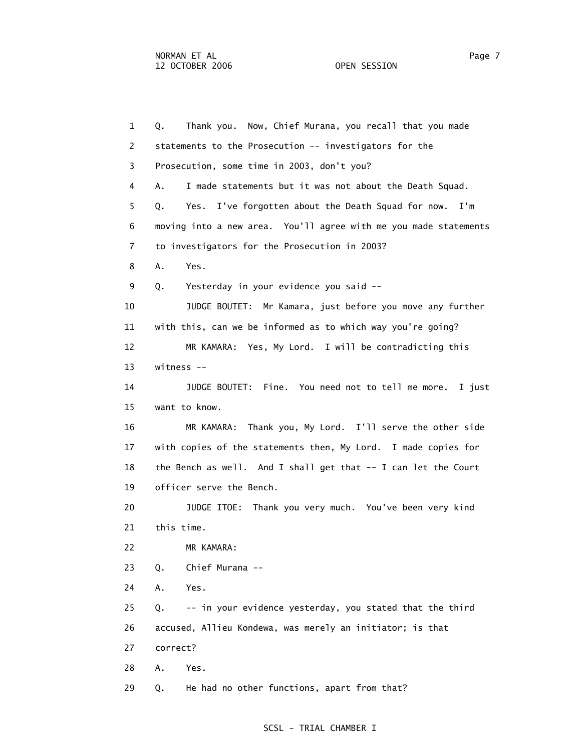1 Q. Thank you. Now, Chief Murana, you recall that you made 2 statements to the Prosecution -- investigators for the 3 Prosecution, some time in 2003, don't you? 4 A. I made statements but it was not about the Death Squad. 5 Q. Yes. I've forgotten about the Death Squad for now. I'm 6 moving into a new area. You'll agree with me you made statements 7 to investigators for the Prosecution in 2003? 8 A. Yes. 9 Q. Yesterday in your evidence you said -- 10 JUDGE BOUTET: Mr Kamara, just before you move any further 11 with this, can we be informed as to which way you're going? 12 MR KAMARA: Yes, My Lord. I will be contradicting this 13 witness -- 14 JUDGE BOUTET: Fine. You need not to tell me more. I just 15 want to know. 16 MR KAMARA: Thank you, My Lord. I'll serve the other side 17 with copies of the statements then, My Lord. I made copies for 18 the Bench as well. And I shall get that -- I can let the Court 19 officer serve the Bench. 20 JUDGE ITOE: Thank you very much. You've been very kind 21 this time. 22 MR KAMARA: 23 Q. Chief Murana -- 24 A. Yes. 25 Q. -- in your evidence yesterday, you stated that the third 26 accused, Allieu Kondewa, was merely an initiator; is that 27 correct? 28 A. Yes. 29 Q. He had no other functions, apart from that?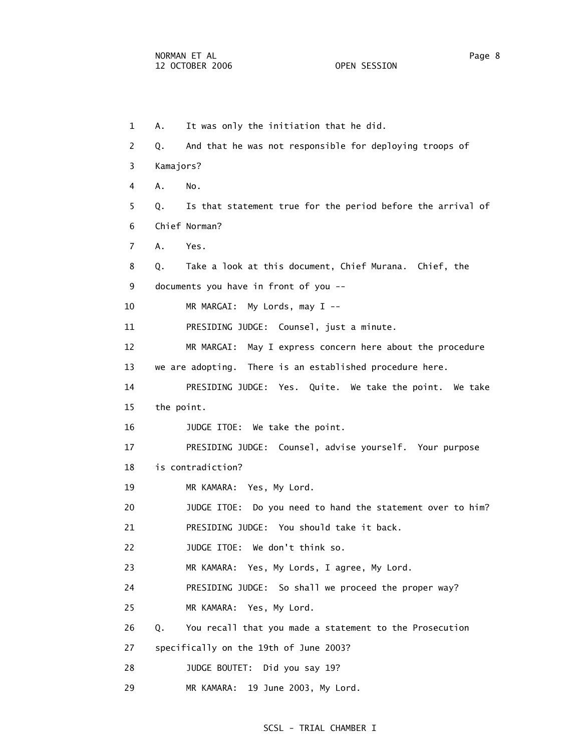1 A. It was only the initiation that he did. 2 Q. And that he was not responsible for deploying troops of 3 Kamajors? 4 A. No. 5 Q. Is that statement true for the period before the arrival of 6 Chief Norman? 7 A. Yes. 8 Q. Take a look at this document, Chief Murana. Chief, the 9 documents you have in front of you -- 10 MR MARGAI: My Lords, may I -- 11 PRESIDING JUDGE: Counsel, just a minute. 12 MR MARGAI: May I express concern here about the procedure 13 we are adopting. There is an established procedure here. 14 PRESIDING JUDGE: Yes. Quite. We take the point. We take 15 the point. 16 JUDGE ITOE: We take the point. 17 PRESIDING JUDGE: Counsel, advise yourself. Your purpose 18 is contradiction? 19 MR KAMARA: Yes, My Lord. 20 JUDGE ITOE: Do you need to hand the statement over to him? 21 PRESIDING JUDGE: You should take it back. 22 JUDGE ITOE: We don't think so. 23 MR KAMARA: Yes, My Lords, I agree, My Lord. 24 PRESIDING JUDGE: So shall we proceed the proper way? 25 MR KAMARA: Yes, My Lord. 26 Q. You recall that you made a statement to the Prosecution 27 specifically on the 19th of June 2003? 28 JUDGE BOUTET: Did you say 19? 29 MR KAMARA: 19 June 2003, My Lord.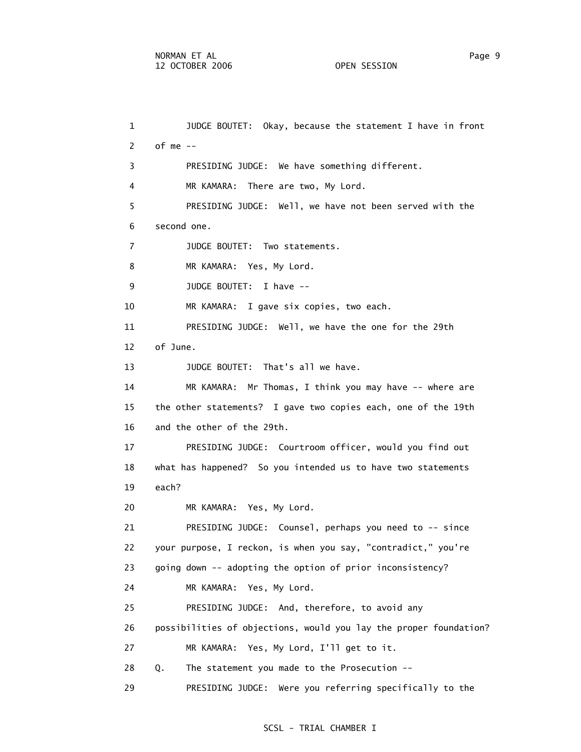1 JUDGE BOUTET: Okay, because the statement I have in front 2 of me -- 3 PRESIDING JUDGE: We have something different. 4 MR KAMARA: There are two, My Lord. 5 PRESIDING JUDGE: Well, we have not been served with the 6 second one. 7 JUDGE BOUTET: Two statements. 8 MR KAMARA: Yes, My Lord. 9 JUDGE BOUTET: I have -- 10 MR KAMARA: I gave six copies, two each. 11 PRESIDING JUDGE: Well, we have the one for the 29th 12 of June. 13 JUDGE BOUTET: That's all we have. 14 MR KAMARA: Mr Thomas, I think you may have -- where are 15 the other statements? I gave two copies each, one of the 19th 16 and the other of the 29th. 17 PRESIDING JUDGE: Courtroom officer, would you find out 18 what has happened? So you intended us to have two statements 19 each? 20 MR KAMARA: Yes, My Lord. 21 PRESIDING JUDGE: Counsel, perhaps you need to -- since 22 your purpose, I reckon, is when you say, "contradict," you're 23 going down -- adopting the option of prior inconsistency? 24 MR KAMARA: Yes, My Lord. 25 PRESIDING JUDGE: And, therefore, to avoid any 26 possibilities of objections, would you lay the proper foundation? 27 MR KAMARA: Yes, My Lord, I'll get to it. 28 Q. The statement you made to the Prosecution -- 29 PRESIDING JUDGE: Were you referring specifically to the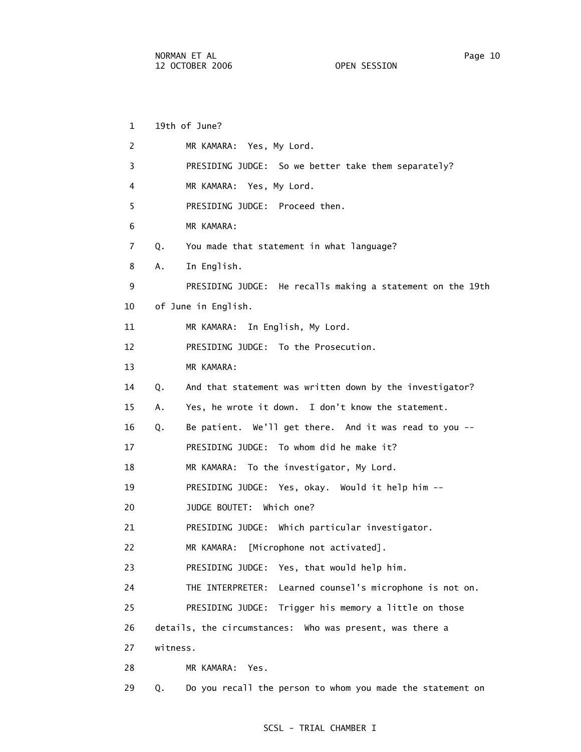1 19th of June? 2 MR KAMARA: Yes, My Lord. 3 PRESIDING JUDGE: So we better take them separately? 4 MR KAMARA: Yes, My Lord. 5 PRESIDING JUDGE: Proceed then. 6 MR KAMARA: 7 Q. You made that statement in what language? 8 A. In English. 9 PRESIDING JUDGE: He recalls making a statement on the 19th 10 of June in English. 11 MR KAMARA: In English, My Lord. 12 PRESIDING JUDGE: To the Prosecution. 13 MR KAMARA: 14 Q. And that statement was written down by the investigator? 15 A. Yes, he wrote it down. I don't know the statement. 16 Q. Be patient. We'll get there. And it was read to you -- 17 PRESIDING JUDGE: To whom did he make it? 18 MR KAMARA: To the investigator, My Lord. 19 PRESIDING JUDGE: Yes, okay. Would it help him -- 20 JUDGE BOUTET: Which one? 21 PRESIDING JUDGE: Which particular investigator. 22 MR KAMARA: [Microphone not activated]. 23 PRESIDING JUDGE: Yes, that would help him. 24 THE INTERPRETER: Learned counsel's microphone is not on. 25 PRESIDING JUDGE: Trigger his memory a little on those 26 details, the circumstances: Who was present, was there a 27 witness. 28 MR KAMARA: Yes.

29 Q. Do you recall the person to whom you made the statement on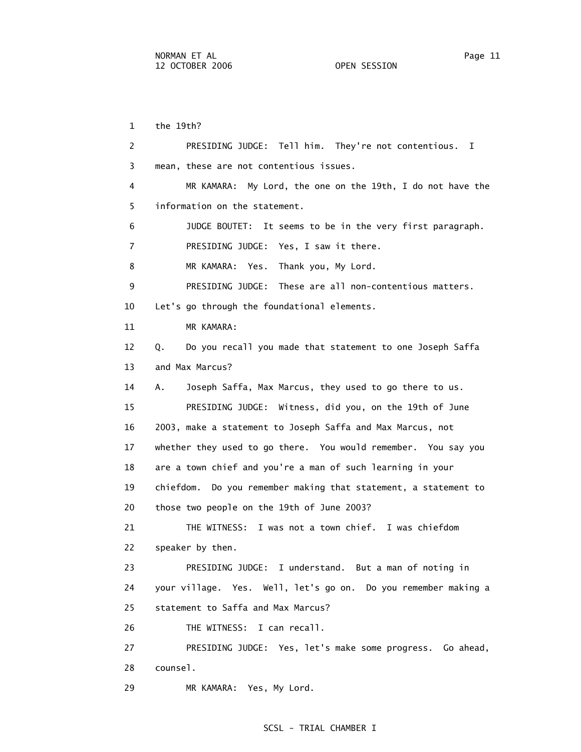1 the 19th? 2 PRESIDING JUDGE: Tell him. They're not contentious. I 3 mean, these are not contentious issues. 4 MR KAMARA: My Lord, the one on the 19th, I do not have the 5 information on the statement. 6 JUDGE BOUTET: It seems to be in the very first paragraph. 7 PRESIDING JUDGE: Yes, I saw it there. 8 MR KAMARA: Yes. Thank you, My Lord. 9 PRESIDING JUDGE: These are all non-contentious matters. 10 Let's go through the foundational elements. 11 MR KAMARA: 12 Q. Do you recall you made that statement to one Joseph Saffa 13 and Max Marcus? 14 A. Joseph Saffa, Max Marcus, they used to go there to us. 15 PRESIDING JUDGE: Witness, did you, on the 19th of June 16 2003, make a statement to Joseph Saffa and Max Marcus, not 17 whether they used to go there. You would remember. You say you 18 are a town chief and you're a man of such learning in your 19 chiefdom. Do you remember making that statement, a statement to 20 those two people on the 19th of June 2003? 21 THE WITNESS: I was not a town chief. I was chiefdom 22 speaker by then. 23 PRESIDING JUDGE: I understand. But a man of noting in 24 your village. Yes. Well, let's go on. Do you remember making a 25 statement to Saffa and Max Marcus? 26 THE WITNESS: I can recall. 27 PRESIDING JUDGE: Yes, let's make some progress. Go ahead, 28 counsel.

# SCSL - TRIAL CHAMBER I

29 MR KAMARA: Yes, My Lord.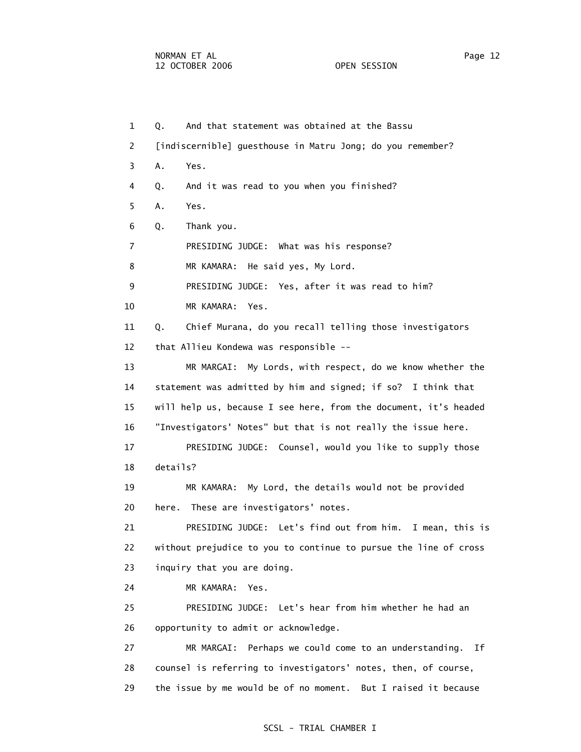1 Q. And that statement was obtained at the Bassu 2 [indiscernible] guesthouse in Matru Jong; do you remember? 3 A. Yes. 4 Q. And it was read to you when you finished? 5 A. Yes. 6 Q. Thank you. 7 PRESIDING JUDGE: What was his response? 8 MR KAMARA: He said yes, My Lord. 9 PRESIDING JUDGE: Yes, after it was read to him? 10 MR KAMARA: Yes. 11 Q. Chief Murana, do you recall telling those investigators 12 that Allieu Kondewa was responsible -- 13 MR MARGAI: My Lords, with respect, do we know whether the 14 statement was admitted by him and signed; if so? I think that 15 will help us, because I see here, from the document, it's headed 16 "Investigators' Notes" but that is not really the issue here. 17 PRESIDING JUDGE: Counsel, would you like to supply those 18 details? 19 MR KAMARA: My Lord, the details would not be provided 20 here. These are investigators' notes. 21 PRESIDING JUDGE: Let's find out from him. I mean, this is 22 without prejudice to you to continue to pursue the line of cross 23 inquiry that you are doing. 24 MR KAMARA: Yes. 25 PRESIDING JUDGE: Let's hear from him whether he had an 26 opportunity to admit or acknowledge. 27 MR MARGAI: Perhaps we could come to an understanding. If 28 counsel is referring to investigators' notes, then, of course, 29 the issue by me would be of no moment. But I raised it because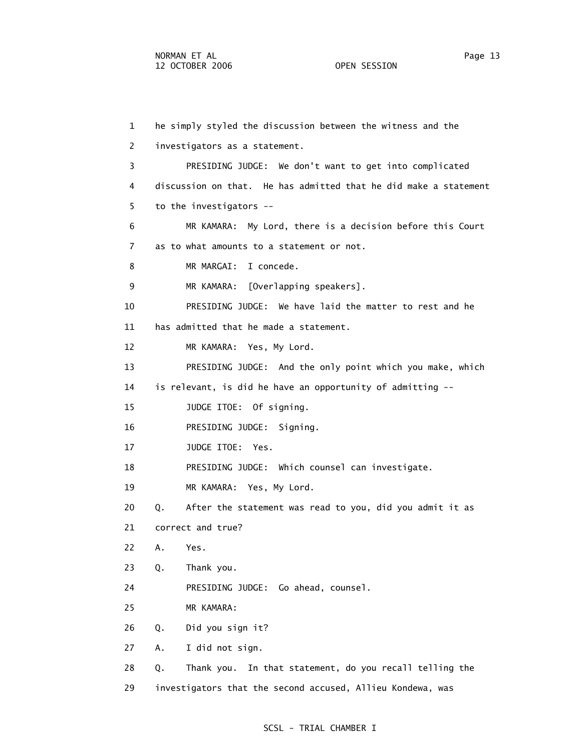1 he simply styled the discussion between the witness and the 2 investigators as a statement. 3 PRESIDING JUDGE: We don't want to get into complicated 4 discussion on that. He has admitted that he did make a statement 5 to the investigators -- 6 MR KAMARA: My Lord, there is a decision before this Court 7 as to what amounts to a statement or not. 8 MR MARGAI: I concede. 9 MR KAMARA: [Overlapping speakers]. 10 PRESIDING JUDGE: We have laid the matter to rest and he 11 has admitted that he made a statement. 12 MR KAMARA: Yes, My Lord. 13 PRESIDING JUDGE: And the only point which you make, which 14 is relevant, is did he have an opportunity of admitting -- 15 JUDGE ITOE: Of signing. 16 PRESIDING JUDGE: Signing. 17 JUDGE ITOE: Yes. 18 PRESIDING JUDGE: Which counsel can investigate. 19 MR KAMARA: Yes, My Lord. 20 Q. After the statement was read to you, did you admit it as 21 correct and true? 22 A. Yes. 23 Q. Thank you. 24 PRESIDING JUDGE: Go ahead, counsel. 25 MR KAMARA: 26 Q. Did you sign it? 27 A. I did not sign. 28 Q. Thank you. In that statement, do you recall telling the 29 investigators that the second accused, Allieu Kondewa, was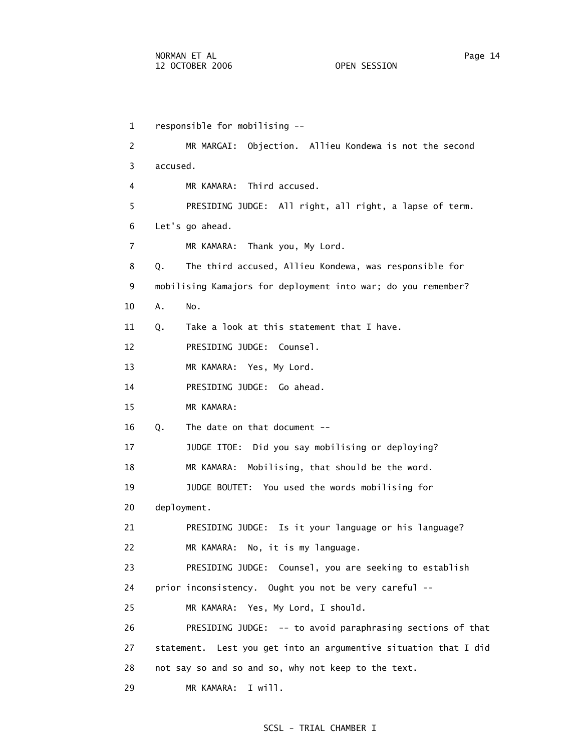1 responsible for mobilising -- 2 MR MARGAI: Objection. Allieu Kondewa is not the second 3 accused. 4 MR KAMARA: Third accused. 5 PRESIDING JUDGE: All right, all right, a lapse of term. 6 Let's go ahead. 7 MR KAMARA: Thank you, My Lord. 8 Q. The third accused, Allieu Kondewa, was responsible for 9 mobilising Kamajors for deployment into war; do you remember? 10 A. No. 11 Q. Take a look at this statement that I have. 12 PRESIDING JUDGE: Counsel. 13 MR KAMARA: Yes, My Lord. 14 PRESIDING JUDGE: Go ahead. 15 MR KAMARA: 16 Q. The date on that document -- 17 JUDGE ITOE: Did you say mobilising or deploying? 18 MR KAMARA: Mobilising, that should be the word. 19 JUDGE BOUTET: You used the words mobilising for 20 deployment. 21 PRESIDING JUDGE: Is it your language or his language? 22 MR KAMARA: No, it is my language. 23 PRESIDING JUDGE: Counsel, you are seeking to establish 24 prior inconsistency. Ought you not be very careful -- 25 MR KAMARA: Yes, My Lord, I should. 26 PRESIDING JUDGE: -- to avoid paraphrasing sections of that 27 statement. Lest you get into an argumentive situation that I did 28 not say so and so and so, why not keep to the text. 29 MR KAMARA: I will.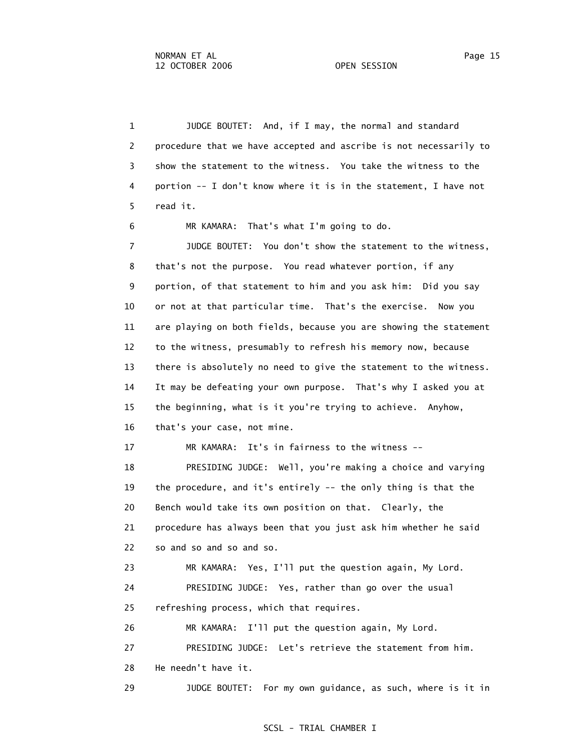1 JUDGE BOUTET: And, if I may, the normal and standard 2 procedure that we have accepted and ascribe is not necessarily to 3 show the statement to the witness. You take the witness to the 4 portion -- I don't know where it is in the statement, I have not 5 read it. 6 MR KAMARA: That's what I'm going to do. 7 JUDGE BOUTET: You don't show the statement to the witness, 8 that's not the purpose. You read whatever portion, if any 9 portion, of that statement to him and you ask him: Did you say 10 or not at that particular time. That's the exercise. Now you 11 are playing on both fields, because you are showing the statement 12 to the witness, presumably to refresh his memory now, because 13 there is absolutely no need to give the statement to the witness. 14 It may be defeating your own purpose. That's why I asked you at 15 the beginning, what is it you're trying to achieve. Anyhow, 16 that's your case, not mine. 17 MR KAMARA: It's in fairness to the witness -- 18 PRESIDING JUDGE: Well, you're making a choice and varying 19 the procedure, and it's entirely -- the only thing is that the 20 Bench would take its own position on that. Clearly, the 21 procedure has always been that you just ask him whether he said 22 so and so and so and so. 23 MR KAMARA: Yes, I'll put the question again, My Lord. 24 PRESIDING JUDGE: Yes, rather than go over the usual 25 refreshing process, which that requires. 26 MR KAMARA: I'll put the question again, My Lord. 27 PRESIDING JUDGE: Let's retrieve the statement from him. 28 He needn't have it. 29 JUDGE BOUTET: For my own guidance, as such, where is it in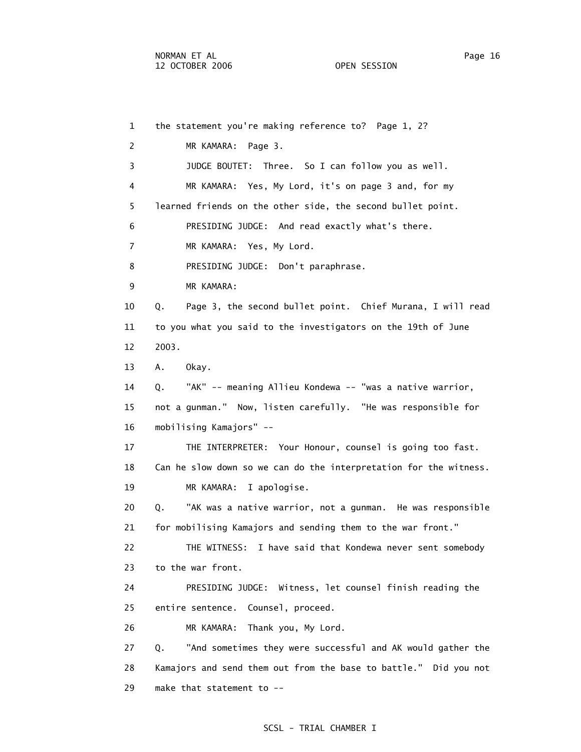1 the statement you're making reference to? Page 1, 2? 2 MR KAMARA: Page 3. 3 JUDGE BOUTET: Three. So I can follow you as well. 4 MR KAMARA: Yes, My Lord, it's on page 3 and, for my 5 learned friends on the other side, the second bullet point. 6 PRESIDING JUDGE: And read exactly what's there. 7 MR KAMARA: Yes, My Lord. 8 PRESIDING JUDGE: Don't paraphrase. 9 MR KAMARA: 10 Q. Page 3, the second bullet point. Chief Murana, I will read 11 to you what you said to the investigators on the 19th of June 12 2003. 13 A. Okay. 14 Q. "AK" -- meaning Allieu Kondewa -- "was a native warrior, 15 not a gunman." Now, listen carefully. "He was responsible for 16 mobilising Kamajors" -- 17 THE INTERPRETER: Your Honour, counsel is going too fast. 18 Can he slow down so we can do the interpretation for the witness. 19 MR KAMARA: I apologise. 20 Q. "AK was a native warrior, not a gunman. He was responsible 21 for mobilising Kamajors and sending them to the war front." 22 THE WITNESS: I have said that Kondewa never sent somebody 23 to the war front. 24 PRESIDING JUDGE: Witness, let counsel finish reading the 25 entire sentence. Counsel, proceed. 26 MR KAMARA: Thank you, My Lord. 27 Q. "And sometimes they were successful and AK would gather the 28 Kamajors and send them out from the base to battle." Did you not 29 make that statement to --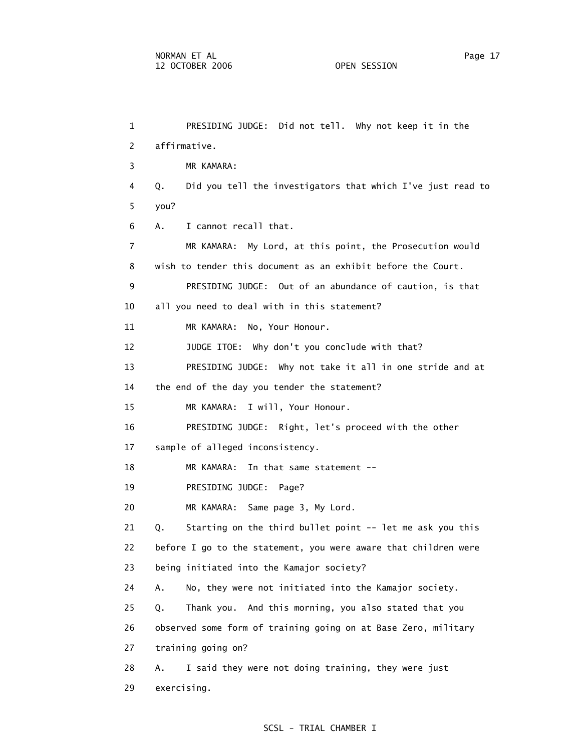1 PRESIDING JUDGE: Did not tell. Why not keep it in the 2 affirmative. 3 MR KAMARA: 4 Q. Did you tell the investigators that which I've just read to 5 you? 6 A. I cannot recall that. 7 MR KAMARA: My Lord, at this point, the Prosecution would 8 wish to tender this document as an exhibit before the Court. 9 PRESIDING JUDGE: Out of an abundance of caution, is that 10 all you need to deal with in this statement? 11 MR KAMARA: No, Your Honour. 12 JUDGE ITOE: Why don't you conclude with that? 13 PRESIDING JUDGE: Why not take it all in one stride and at 14 the end of the day you tender the statement? 15 MR KAMARA: I will, Your Honour. 16 PRESIDING JUDGE: Right, let's proceed with the other 17 sample of alleged inconsistency. 18 MR KAMARA: In that same statement -- 19 PRESIDING JUDGE: Page? 20 MR KAMARA: Same page 3, My Lord. 21 Q. Starting on the third bullet point -- let me ask you this 22 before I go to the statement, you were aware that children were 23 being initiated into the Kamajor society? 24 A. No, they were not initiated into the Kamajor society. 25 Q. Thank you. And this morning, you also stated that you 26 observed some form of training going on at Base Zero, military 27 training going on? 28 A. I said they were not doing training, they were just 29 exercising.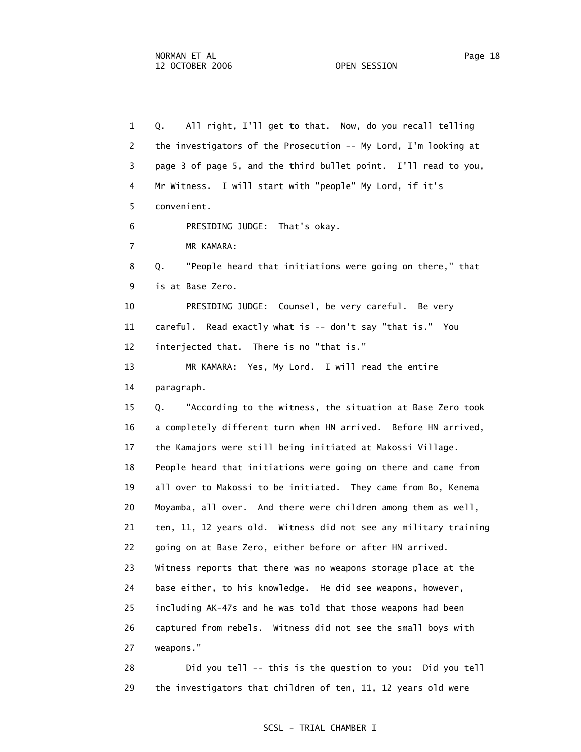1 Q. All right, I'll get to that. Now, do you recall telling 2 the investigators of the Prosecution -- My Lord, I'm looking at 3 page 3 of page 5, and the third bullet point. I'll read to you, 4 Mr Witness. I will start with "people" My Lord, if it's 5 convenient. 6 PRESIDING JUDGE: That's okay. 7 MR KAMARA: 8 Q. "People heard that initiations were going on there," that 9 is at Base Zero. 10 PRESIDING JUDGE: Counsel, be very careful. Be very 11 careful. Read exactly what is -- don't say "that is." You 12 interjected that. There is no "that is." 13 MR KAMARA: Yes, My Lord. I will read the entire 14 paragraph. 15 Q. "According to the witness, the situation at Base Zero took 16 a completely different turn when HN arrived. Before HN arrived, 17 the Kamajors were still being initiated at Makossi Village. 18 People heard that initiations were going on there and came from 19 all over to Makossi to be initiated. They came from Bo, Kenema 20 Moyamba, all over. And there were children among them as well, 21 ten, 11, 12 years old. Witness did not see any military training 22 going on at Base Zero, either before or after HN arrived. 23 Witness reports that there was no weapons storage place at the 24 base either, to his knowledge. He did see weapons, however, 25 including AK-47s and he was told that those weapons had been 26 captured from rebels. Witness did not see the small boys with 27 weapons."

 28 Did you tell -- this is the question to you: Did you tell 29 the investigators that children of ten, 11, 12 years old were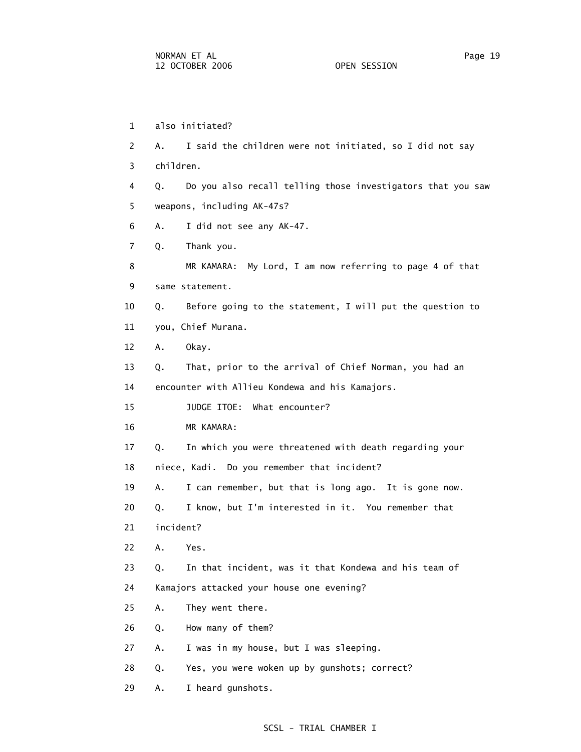1 also initiated? 2 A. I said the children were not initiated, so I did not say 3 children. 4 Q. Do you also recall telling those investigators that you saw 5 weapons, including AK-47s? 6 A. I did not see any AK-47. 7 Q. Thank you. 8 MR KAMARA: My Lord, I am now referring to page 4 of that 9 same statement. 10 Q. Before going to the statement, I will put the question to 11 you, Chief Murana. 12 A. Okay. 13 Q. That, prior to the arrival of Chief Norman, you had an 14 encounter with Allieu Kondewa and his Kamajors. 15 JUDGE ITOE: What encounter? 16 MR KAMARA: 17 Q. In which you were threatened with death regarding your 18 niece, Kadi. Do you remember that incident? 19 A. I can remember, but that is long ago. It is gone now. 20 Q. I know, but I'm interested in it. You remember that 21 incident? 22 A. Yes. 23 Q. In that incident, was it that Kondewa and his team of 24 Kamajors attacked your house one evening? 25 A. They went there. 26 Q. How many of them? 27 A. I was in my house, but I was sleeping. 28 Q. Yes, you were woken up by gunshots; correct?

#### SCSL - TRIAL CHAMBER I

29 A. I heard gunshots.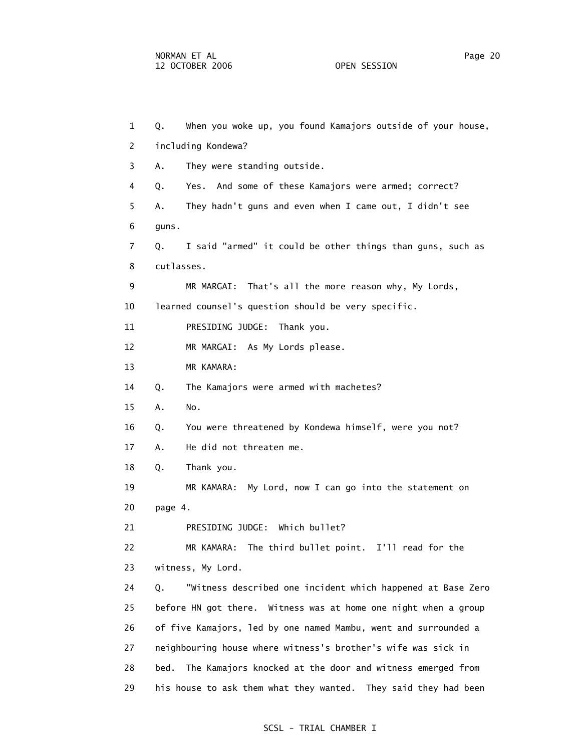1 Q. When you woke up, you found Kamajors outside of your house, 2 including Kondewa? 3 A. They were standing outside. 4 Q. Yes. And some of these Kamajors were armed; correct? 5 A. They hadn't guns and even when I came out, I didn't see 6 guns. 7 Q. I said "armed" it could be other things than guns, such as 8 cutlasses. 9 MR MARGAI: That's all the more reason why, My Lords, 10 learned counsel's question should be very specific. 11 PRESIDING JUDGE: Thank you. 12 MR MARGAI: As My Lords please. 13 MR KAMARA: 14 Q. The Kamajors were armed with machetes? 15 A. No. 16 Q. You were threatened by Kondewa himself, were you not? 17 A. He did not threaten me. 18 Q. Thank you. 19 MR KAMARA: My Lord, now I can go into the statement on 20 page 4. 21 PRESIDING JUDGE: Which bullet? 22 MR KAMARA: The third bullet point. I'll read for the 23 witness, My Lord. 24 Q. "Witness described one incident which happened at Base Zero 25 before HN got there. Witness was at home one night when a group 26 of five Kamajors, led by one named Mambu, went and surrounded a 27 neighbouring house where witness's brother's wife was sick in 28 bed. The Kamajors knocked at the door and witness emerged from 29 his house to ask them what they wanted. They said they had been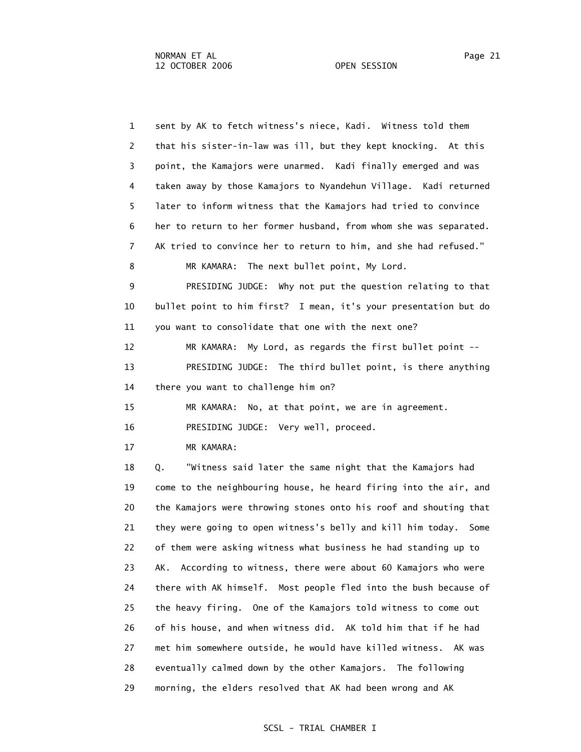1 sent by AK to fetch witness's niece, Kadi. Witness told them 2 that his sister-in-law was ill, but they kept knocking. At this 3 point, the Kamajors were unarmed. Kadi finally emerged and was 4 taken away by those Kamajors to Nyandehun Village. Kadi returned 5 later to inform witness that the Kamajors had tried to convince 6 her to return to her former husband, from whom she was separated. 7 AK tried to convince her to return to him, and she had refused." 8 MR KAMARA: The next bullet point, My Lord. 9 PRESIDING JUDGE: Why not put the question relating to that 10 bullet point to him first? I mean, it's your presentation but do 11 you want to consolidate that one with the next one? 12 MR KAMARA: My Lord, as regards the first bullet point -- 13 PRESIDING JUDGE: The third bullet point, is there anything 14 there you want to challenge him on? 15 MR KAMARA: No, at that point, we are in agreement. 16 PRESIDING JUDGE: Very well, proceed. 17 MR KAMARA: 18 Q. "Witness said later the same night that the Kamajors had 19 come to the neighbouring house, he heard firing into the air, and 20 the Kamajors were throwing stones onto his roof and shouting that 21 they were going to open witness's belly and kill him today. Some 22 of them were asking witness what business he had standing up to 23 AK. According to witness, there were about 60 Kamajors who were 24 there with AK himself. Most people fled into the bush because of 25 the heavy firing. One of the Kamajors told witness to come out 26 of his house, and when witness did. AK told him that if he had 27 met him somewhere outside, he would have killed witness. AK was 28 eventually calmed down by the other Kamajors. The following 29 morning, the elders resolved that AK had been wrong and AK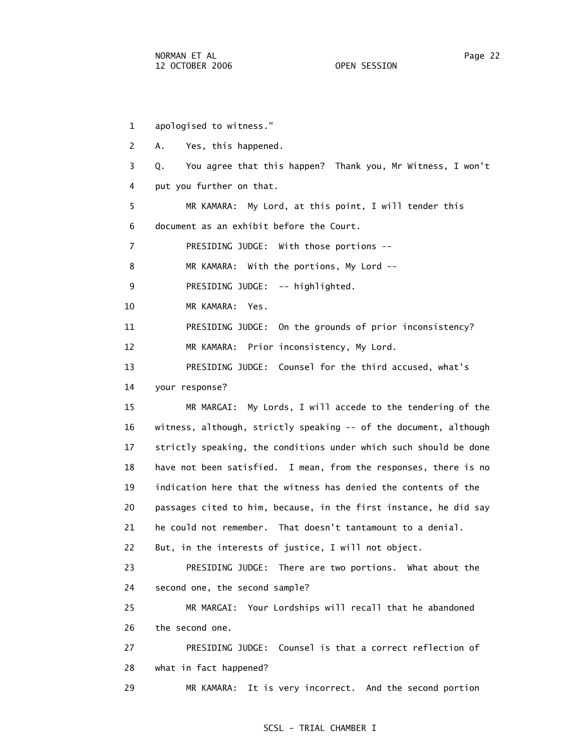1 apologised to witness." 2 A. Yes, this happened. 3 Q. You agree that this happen? Thank you, Mr Witness, I won't 4 put you further on that. 5 MR KAMARA: My Lord, at this point, I will tender this 6 document as an exhibit before the Court. 7 PRESIDING JUDGE: With those portions -- 8 MR KAMARA: With the portions, My Lord -- 9 PRESIDING JUDGE: -- highlighted. 10 MR KAMARA: Yes. 11 PRESIDING JUDGE: On the grounds of prior inconsistency? 12 MR KAMARA: Prior inconsistency, My Lord. 13 PRESIDING JUDGE: Counsel for the third accused, what's 14 your response? 15 MR MARGAI: My Lords, I will accede to the tendering of the 16 witness, although, strictly speaking -- of the document, although 17 strictly speaking, the conditions under which such should be done 18 have not been satisfied. I mean, from the responses, there is no 19 indication here that the witness has denied the contents of the 20 passages cited to him, because, in the first instance, he did say 21 he could not remember. That doesn't tantamount to a denial. 22 But, in the interests of justice, I will not object. 23 PRESIDING JUDGE: There are two portions. What about the 24 second one, the second sample? 25 MR MARGAI: Your Lordships will recall that he abandoned 26 the second one. 27 PRESIDING JUDGE: Counsel is that a correct reflection of 28 what in fact happened? 29 MR KAMARA: It is very incorrect. And the second portion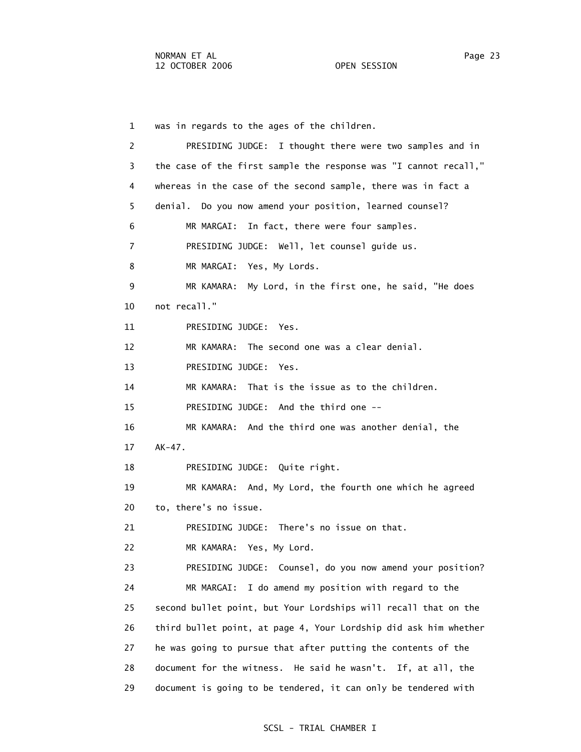1 was in regards to the ages of the children. 2 PRESIDING JUDGE: I thought there were two samples and in 3 the case of the first sample the response was "I cannot recall," 4 whereas in the case of the second sample, there was in fact a 5 denial. Do you now amend your position, learned counsel? 6 MR MARGAI: In fact, there were four samples. 7 PRESIDING JUDGE: Well, let counsel guide us. 8 MR MARGAI: Yes, My Lords. 9 MR KAMARA: My Lord, in the first one, he said, "He does 10 not recall." 11 PRESIDING JUDGE: Yes. 12 MR KAMARA: The second one was a clear denial. 13 PRESIDING JUDGE: Yes. 14 MR KAMARA: That is the issue as to the children. 15 PRESIDING JUDGE: And the third one -- 16 MR KAMARA: And the third one was another denial, the 17 AK-47. 18 PRESIDING JUDGE: Quite right. 19 MR KAMARA: And, My Lord, the fourth one which he agreed 20 to, there's no issue. 21 PRESIDING JUDGE: There's no issue on that. 22 MR KAMARA: Yes, My Lord. 23 PRESIDING JUDGE: Counsel, do you now amend your position? 24 MR MARGAI: I do amend my position with regard to the 25 second bullet point, but Your Lordships will recall that on the 26 third bullet point, at page 4, Your Lordship did ask him whether 27 he was going to pursue that after putting the contents of the 28 document for the witness. He said he wasn't. If, at all, the 29 document is going to be tendered, it can only be tendered with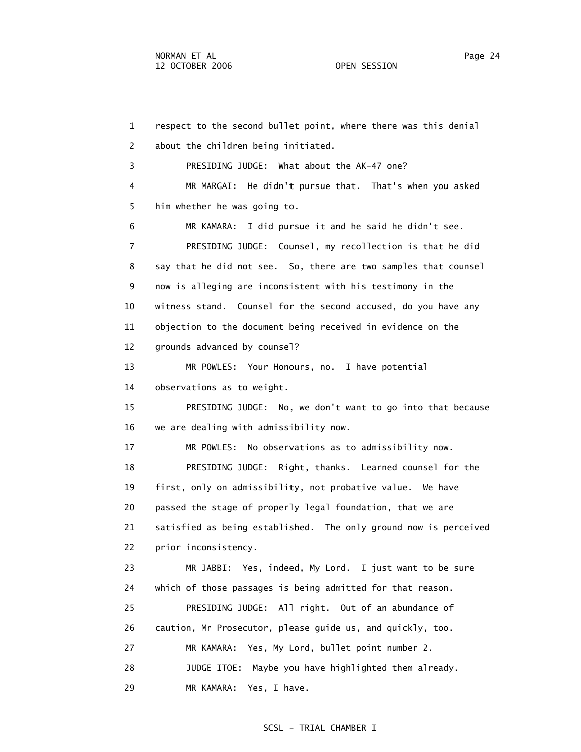1 respect to the second bullet point, where there was this denial 2 about the children being initiated. 3 PRESIDING JUDGE: What about the AK-47 one? 4 MR MARGAI: He didn't pursue that. That's when you asked 5 him whether he was going to. 6 MR KAMARA: I did pursue it and he said he didn't see. 7 PRESIDING JUDGE: Counsel, my recollection is that he did 8 say that he did not see. So, there are two samples that counsel 9 now is alleging are inconsistent with his testimony in the 10 witness stand. Counsel for the second accused, do you have any 11 objection to the document being received in evidence on the 12 grounds advanced by counsel? 13 MR POWLES: Your Honours, no. I have potential 14 observations as to weight. 15 PRESIDING JUDGE: No, we don't want to go into that because 16 we are dealing with admissibility now. 17 MR POWLES: No observations as to admissibility now. 18 PRESIDING JUDGE: Right, thanks. Learned counsel for the 19 first, only on admissibility, not probative value. We have 20 passed the stage of properly legal foundation, that we are 21 satisfied as being established. The only ground now is perceived 22 prior inconsistency. 23 MR JABBI: Yes, indeed, My Lord. I just want to be sure 24 which of those passages is being admitted for that reason. 25 PRESIDING JUDGE: All right. Out of an abundance of 26 caution, Mr Prosecutor, please guide us, and quickly, too. 27 MR KAMARA: Yes, My Lord, bullet point number 2. 28 JUDGE ITOE: Maybe you have highlighted them already. 29 MR KAMARA: Yes, I have.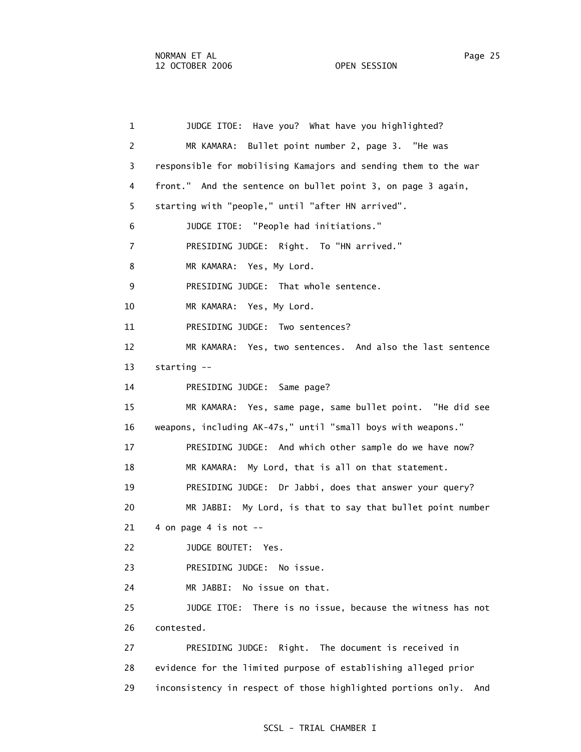1 JUDGE ITOE: Have you? What have you highlighted? 2 MR KAMARA: Bullet point number 2, page 3. "He was 3 responsible for mobilising Kamajors and sending them to the war 4 front." And the sentence on bullet point 3, on page 3 again, 5 starting with "people," until "after HN arrived". 6 JUDGE ITOE: "People had initiations." 7 PRESIDING JUDGE: Right. To "HN arrived." 8 MR KAMARA: Yes, My Lord. 9 PRESIDING JUDGE: That whole sentence. 10 MR KAMARA: Yes, My Lord. 11 PRESIDING JUDGE: Two sentences? 12 MR KAMARA: Yes, two sentences. And also the last sentence 13 starting -- 14 PRESIDING JUDGE: Same page? 15 MR KAMARA: Yes, same page, same bullet point. "He did see 16 weapons, including AK-47s," until "small boys with weapons." 17 PRESIDING JUDGE: And which other sample do we have now? 18 MR KAMARA: My Lord, that is all on that statement. 19 PRESIDING JUDGE: Dr Jabbi, does that answer your query? 20 MR JABBI: My Lord, is that to say that bullet point number  $21$  4 on page 4 is not  $-$  22 JUDGE BOUTET: Yes. 23 PRESIDING JUDGE: No issue. 24 MR JABBI: No issue on that. 25 JUDGE ITOE: There is no issue, because the witness has not 26 contested. 27 PRESIDING JUDGE: Right. The document is received in 28 evidence for the limited purpose of establishing alleged prior 29 inconsistency in respect of those highlighted portions only. And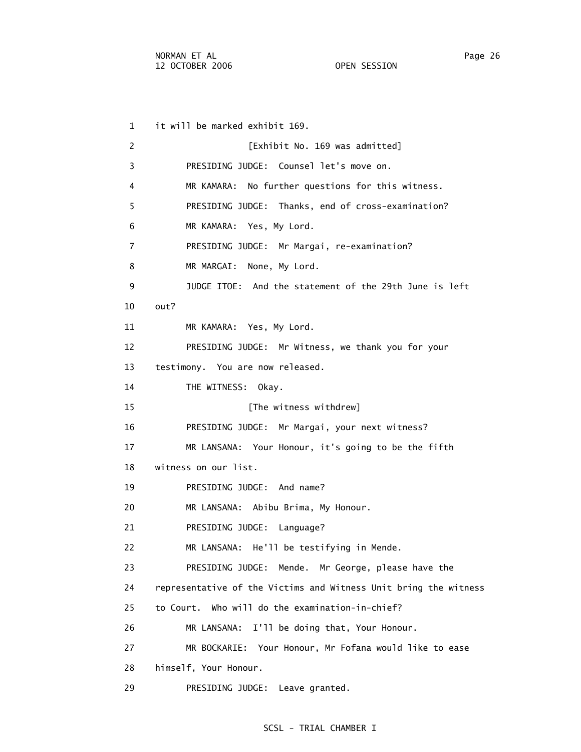1 it will be marked exhibit 169. 2 **[Exhibit No. 169 was admitted]**  3 PRESIDING JUDGE: Counsel let's move on. 4 MR KAMARA: No further questions for this witness. 5 PRESIDING JUDGE: Thanks, end of cross-examination? 6 MR KAMARA: Yes, My Lord. 7 PRESIDING JUDGE: Mr Margai, re-examination? 8 MR MARGAI: None, My Lord. 9 JUDGE ITOE: And the statement of the 29th June is left 10 out? 11 MR KAMARA: Yes, My Lord. 12 PRESIDING JUDGE: Mr Witness, we thank you for your 13 testimony. You are now released. 14 THE WITNESS: Okay. 15 **Interval** [The witness withdrew] 16 PRESIDING JUDGE: Mr Margai, your next witness? 17 MR LANSANA: Your Honour, it's going to be the fifth 18 witness on our list. 19 PRESIDING JUDGE: And name? 20 MR LANSANA: Abibu Brima, My Honour. 21 PRESIDING JUDGE: Language? 22 MR LANSANA: He'll be testifying in Mende. 23 PRESIDING JUDGE: Mende. Mr George, please have the 24 representative of the Victims and Witness Unit bring the witness 25 to Court. Who will do the examination-in-chief? 26 MR LANSANA: I'll be doing that, Your Honour. 27 MR BOCKARIE: Your Honour, Mr Fofana would like to ease 28 himself, Your Honour.

29 PRESIDING JUDGE: Leave granted.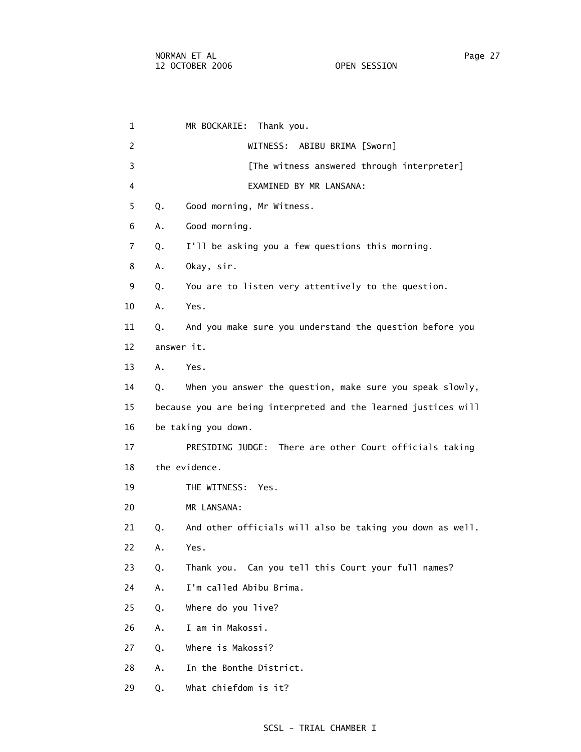1 MR BOCKARIE: Thank you. 2 WITNESS: ABIBU BRIMA [Sworn] 3 **12 [The witness answered through interpreter]**  4 EXAMINED BY MR LANSANA: 5 Q. Good morning, Mr Witness. 6 A. Good morning. 7 Q. I'll be asking you a few questions this morning. 8 A. Okay, sir. 9 Q. You are to listen very attentively to the question. 10 A. Yes. 11 Q. And you make sure you understand the question before you 12 answer it. 13 A. Yes. 14 Q. When you answer the question, make sure you speak slowly, 15 because you are being interpreted and the learned justices will 16 be taking you down. 17 PRESIDING JUDGE: There are other Court officials taking 18 the evidence. 19 THE WITNESS: Yes. 20 MR LANSANA: 21 Q. And other officials will also be taking you down as well. 22 A. Yes. 23 Q. Thank you. Can you tell this Court your full names? 24 A. I'm called Abibu Brima. 25 Q. Where do you live? 26 A. I am in Makossi. 27 Q. Where is Makossi? 28 A. In the Bonthe District. 29 Q. What chiefdom is it?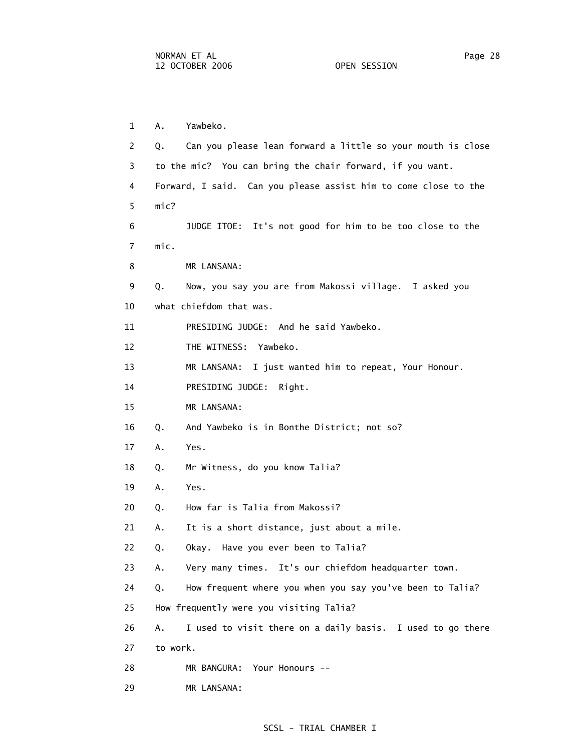29 MR LANSANA:

 1 A. Yawbeko. 2 Q. Can you please lean forward a little so your mouth is close 3 to the mic? You can bring the chair forward, if you want. 4 Forward, I said. Can you please assist him to come close to the 5 mic? 6 JUDGE ITOE: It's not good for him to be too close to the 7 mic. 8 MR LANSANA: 9 Q. Now, you say you are from Makossi village. I asked you 10 what chiefdom that was. 11 PRESIDING JUDGE: And he said Yawbeko. 12 THE WITNESS: Yawbeko. 13 MR LANSANA: I just wanted him to repeat, Your Honour. 14 PRESIDING JUDGE: Right. 15 MR LANSANA: 16 Q. And Yawbeko is in Bonthe District; not so? 17 A. Yes. 18 Q. Mr Witness, do you know Talia? 19 A. Yes. 20 Q. How far is Talia from Makossi? 21 A. It is a short distance, just about a mile. 22 Q. Okay. Have you ever been to Talia? 23 A. Very many times. It's our chiefdom headquarter town. 24 Q. How frequent where you when you say you've been to Talia? 25 How frequently were you visiting Talia? 26 A. I used to visit there on a daily basis. I used to go there 27 to work. 28 MR BANGURA: Your Honours --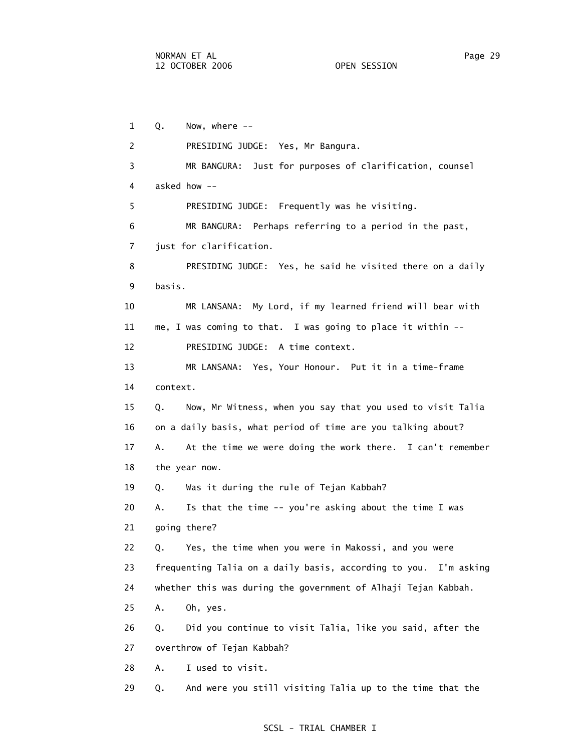1 Q. Now, where -- 2 PRESIDING JUDGE: Yes, Mr Bangura. 3 MR BANGURA: Just for purposes of clarification, counsel 4 asked how -- 5 PRESIDING JUDGE: Frequently was he visiting. 6 MR BANGURA: Perhaps referring to a period in the past, 7 just for clarification. 8 PRESIDING JUDGE: Yes, he said he visited there on a daily 9 basis. 10 MR LANSANA: My Lord, if my learned friend will bear with 11 me, I was coming to that. I was going to place it within -- 12 PRESIDING JUDGE: A time context. 13 MR LANSANA: Yes, Your Honour. Put it in a time-frame 14 context. 15 Q. Now, Mr Witness, when you say that you used to visit Talia 16 on a daily basis, what period of time are you talking about? 17 A. At the time we were doing the work there. I can't remember 18 the year now. 19 Q. Was it during the rule of Tejan Kabbah? 20 A. Is that the time -- you're asking about the time I was 21 going there? 22 Q. Yes, the time when you were in Makossi, and you were 23 frequenting Talia on a daily basis, according to you. I'm asking 24 whether this was during the government of Alhaji Tejan Kabbah. 25 A. Oh, yes. 26 Q. Did you continue to visit Talia, like you said, after the 27 overthrow of Tejan Kabbah? 28 A. I used to visit. 29 Q. And were you still visiting Talia up to the time that the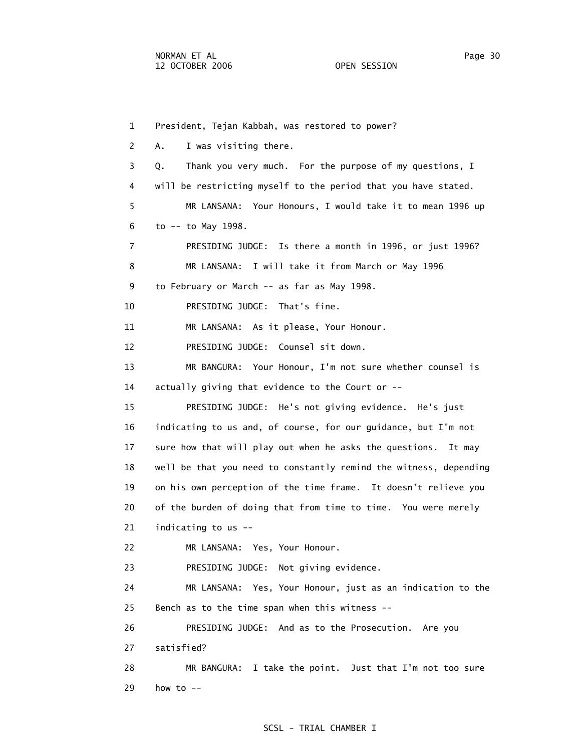1 President, Tejan Kabbah, was restored to power? 2 A. I was visiting there. 3 Q. Thank you very much. For the purpose of my questions, I 4 will be restricting myself to the period that you have stated. 5 MR LANSANA: Your Honours, I would take it to mean 1996 up 6 to -- to May 1998. 7 PRESIDING JUDGE: Is there a month in 1996, or just 1996? 8 MR LANSANA: I will take it from March or May 1996 9 to February or March -- as far as May 1998. 10 PRESIDING JUDGE: That's fine. 11 MR LANSANA: As it please, Your Honour. 12 PRESIDING JUDGE: Counsel sit down. 13 MR BANGURA: Your Honour, I'm not sure whether counsel is 14 actually giving that evidence to the Court or -- 15 PRESIDING JUDGE: He's not giving evidence. He's just 16 indicating to us and, of course, for our guidance, but I'm not 17 sure how that will play out when he asks the questions. It may 18 well be that you need to constantly remind the witness, depending 19 on his own perception of the time frame. It doesn't relieve you 20 of the burden of doing that from time to time. You were merely 21 indicating to us -- 22 MR LANSANA: Yes, Your Honour. 23 PRESIDING JUDGE: Not giving evidence. 24 MR LANSANA: Yes, Your Honour, just as an indication to the 25 Bench as to the time span when this witness -- 26 PRESIDING JUDGE: And as to the Prosecution. Are you 27 satisfied? 28 MR BANGURA: I take the point. Just that I'm not too sure 29 how to --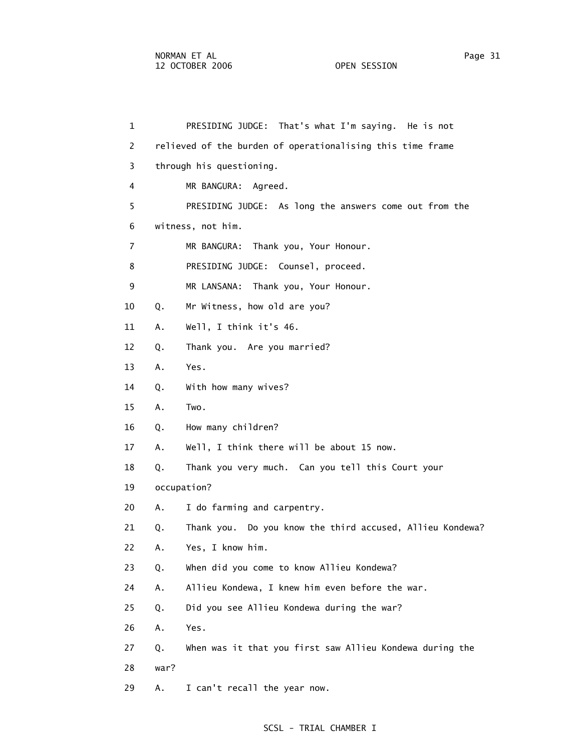| $\mathbf{1}$   |      | PRESIDING JUDGE: That's what I'm saying. He is not         |
|----------------|------|------------------------------------------------------------|
| 2              |      | relieved of the burden of operationalising this time frame |
| 3              |      | through his questioning.                                   |
| 4              |      | MR BANGURA:<br>Agreed.                                     |
| 5              |      | PRESIDING JUDGE: As long the answers come out from the     |
| 6              |      | witness, not him.                                          |
| $\overline{7}$ |      | MR BANGURA: Thank you, Your Honour.                        |
| 8              |      | PRESIDING JUDGE: Counsel, proceed.                         |
| 9              |      | MR LANSANA: Thank you, Your Honour.                        |
| 10             | Q.   | Mr Witness, how old are you?                               |
| 11             | Α.   | Well, I think it's 46.                                     |
| 12             | Q.   | Thank you. Are you married?                                |
| 13             | Α.   | Yes.                                                       |
| 14             | Q.   | With how many wives?                                       |
| 15             | Α.   | Two.                                                       |
| 16             | Q.   | How many children?                                         |
| 17             | Α.   | Well, I think there will be about 15 now.                  |
| 18             | Q.   | Thank you very much. Can you tell this Court your          |
| 19             |      | occupation?                                                |
| 20             | Α.   | I do farming and carpentry.                                |
| 21             | Q.   | Thank you. Do you know the third accused, Allieu Kondewa?  |
| 22             | A.,  | Yes, I know him.                                           |
| 23             | Q.   | When did you come to know Allieu Kondewa?                  |
| 24             | Α.   | Allieu Kondewa, I knew him even before the war.            |
| 25             | Q.   | Did you see Allieu Kondewa during the war?                 |
| 26             | Α.   | Yes.                                                       |
| 27             | Q.   | When was it that you first saw Allieu Kondewa during the   |
| 28             | war? |                                                            |
| 29             | Α.   | I can't recall the year now.                               |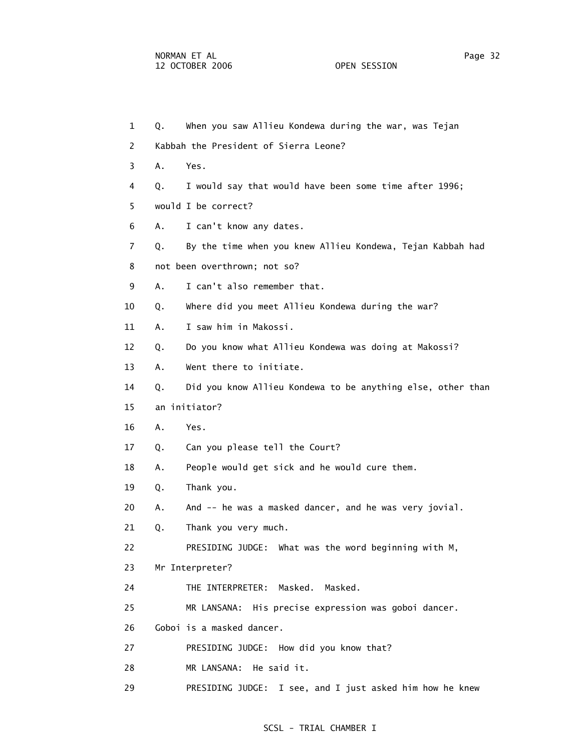| 1  | Q. | When you saw Allieu Kondewa during the war, was Tejan       |
|----|----|-------------------------------------------------------------|
| 2  |    | Kabbah the President of Sierra Leone?                       |
| 3  | Α. | Yes.                                                        |
| 4  | Q. | I would say that would have been some time after 1996;      |
| 5  |    | would I be correct?                                         |
| 6  | Α. | I can't know any dates.                                     |
| 7  | Q. | By the time when you knew Allieu Kondewa, Tejan Kabbah had  |
| 8  |    | not been overthrown; not so?                                |
| 9  | А. | I can't also remember that.                                 |
| 10 | Q. | Where did you meet Allieu Kondewa during the war?           |
| 11 | Α. | I saw him in Makossi.                                       |
| 12 | Q. | Do you know what Allieu Kondewa was doing at Makossi?       |
| 13 | Α. | Went there to initiate.                                     |
| 14 | Q. | Did you know Allieu Kondewa to be anything else, other than |
| 15 |    | an initiator?                                               |
| 16 | Α. | Yes.                                                        |
| 17 | Q. | Can you please tell the Court?                              |
| 18 | Α. | People would get sick and he would cure them.               |
| 19 | Q. | Thank you.                                                  |
| 20 | Α. | And -- he was a masked dancer, and he was very jovial.      |
| 21 | Q. | Thank you very much.                                        |
| 22 |    | PRESIDING JUDGE: What was the word beginning with M,        |
| 23 |    | Mr Interpreter?                                             |
| 24 |    | THE INTERPRETER: Masked.<br>Masked.                         |
| 25 |    | MR LANSANA: His precise expression was goboi dancer.        |
| 26 |    | Goboi is a masked dancer.                                   |
| 27 |    | PRESIDING JUDGE: How did you know that?                     |
| 28 |    | He said it.<br>MR LANSANA:                                  |
|    |    |                                                             |

29 PRESIDING JUDGE: I see, and I just asked him how he knew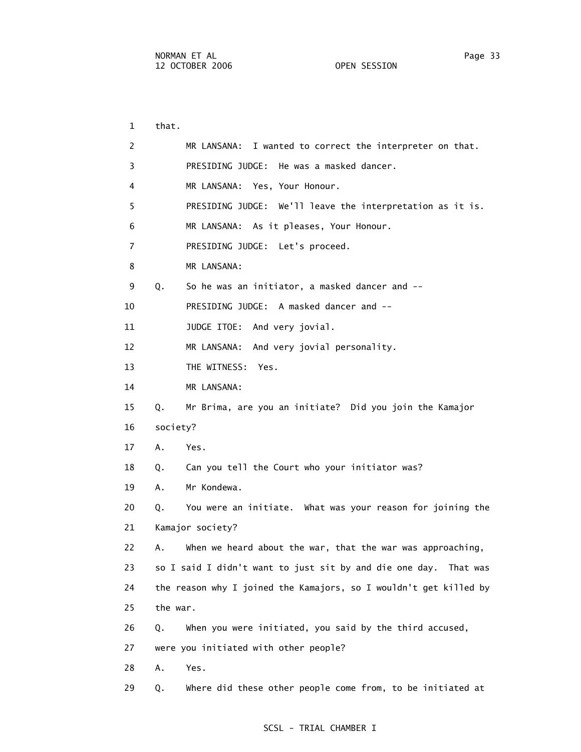1 that. 2 MR LANSANA: I wanted to correct the interpreter on that. 3 PRESIDING JUDGE: He was a masked dancer. 4 MR LANSANA: Yes, Your Honour. 5 PRESIDING JUDGE: We'll leave the interpretation as it is. 6 MR LANSANA: As it pleases, Your Honour. 7 PRESIDING JUDGE: Let's proceed. 8 MR LANSANA: 9 Q. So he was an initiator, a masked dancer and -- 10 PRESIDING JUDGE: A masked dancer and -- 11 JUDGE ITOE: And very jovial. 12 MR LANSANA: And very jovial personality. 13 THE WITNESS: Yes. 14 MR LANSANA: 15 Q. Mr Brima, are you an initiate? Did you join the Kamajor 16 society? 17 A. Yes. 18 Q. Can you tell the Court who your initiator was? 19 A. Mr Kondewa. 20 Q. You were an initiate. What was your reason for joining the 21 Kamajor society? 22 A. When we heard about the war, that the war was approaching, 23 so I said I didn't want to just sit by and die one day. That was 24 the reason why I joined the Kamajors, so I wouldn't get killed by 25 the war. 26 Q. When you were initiated, you said by the third accused, 27 were you initiated with other people? 28 A. Yes. 29 Q. Where did these other people come from, to be initiated at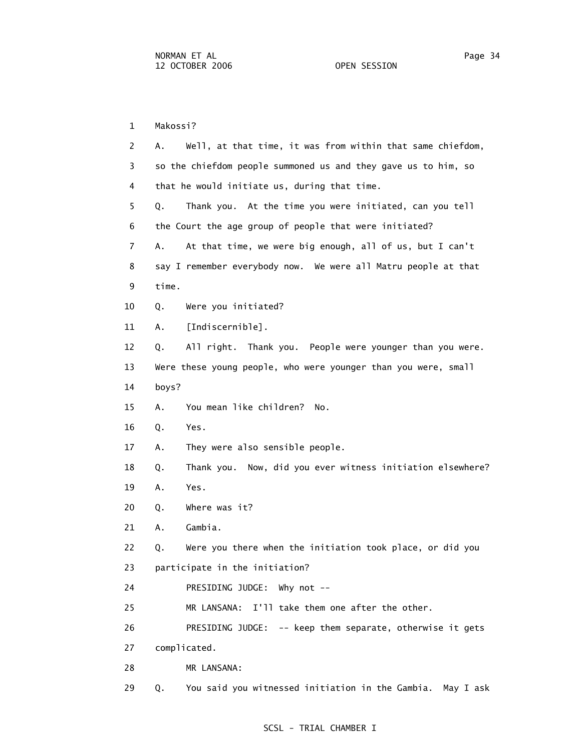1 Makossi? 2 A. Well, at that time, it was from within that same chiefdom, 3 so the chiefdom people summoned us and they gave us to him, so 4 that he would initiate us, during that time. 5 Q. Thank you. At the time you were initiated, can you tell 6 the Court the age group of people that were initiated? 7 A. At that time, we were big enough, all of us, but I can't 8 say I remember everybody now. We were all Matru people at that 9 time. 10 Q. Were you initiated? 11 A. [Indiscernible]. 12 Q. All right. Thank you. People were younger than you were. 13 Were these young people, who were younger than you were, small 14 boys? 15 A. You mean like children? No. 16 Q. Yes. 17 A. They were also sensible people. 18 Q. Thank you. Now, did you ever witness initiation elsewhere? 19 A. Yes. 20 Q. Where was it? 21 A. Gambia. 22 Q. Were you there when the initiation took place, or did you 23 participate in the initiation? 24 PRESIDING JUDGE: Why not -- 25 MR LANSANA: I'll take them one after the other. 26 PRESIDING JUDGE: -- keep them separate, otherwise it gets 27 complicated. 28 MR LANSANA:

29 Q. You said you witnessed initiation in the Gambia. May I ask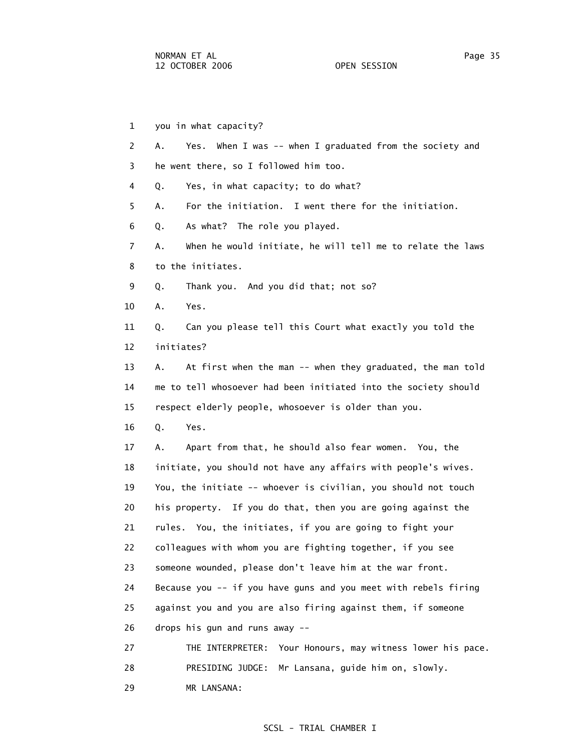1 you in what capacity? 2 A. Yes. When I was -- when I graduated from the society and 3 he went there, so I followed him too. 4 Q. Yes, in what capacity; to do what? 5 A. For the initiation. I went there for the initiation. 6 Q. As what? The role you played. 7 A. When he would initiate, he will tell me to relate the laws 8 to the initiates. 9 Q. Thank you. And you did that; not so? 10 A. Yes. 11 Q. Can you please tell this Court what exactly you told the 12 initiates? 13 A. At first when the man -- when they graduated, the man told 14 me to tell whosoever had been initiated into the society should 15 respect elderly people, whosoever is older than you. 16 Q. Yes. 17 A. Apart from that, he should also fear women. You, the 18 initiate, you should not have any affairs with people's wives. 19 You, the initiate -- whoever is civilian, you should not touch 20 his property. If you do that, then you are going against the 21 rules. You, the initiates, if you are going to fight your 22 colleagues with whom you are fighting together, if you see 23 someone wounded, please don't leave him at the war front. 24 Because you -- if you have guns and you meet with rebels firing 25 against you and you are also firing against them, if someone 26 drops his gun and runs away -- 27 THE INTERPRETER: Your Honours, may witness lower his pace. 28 PRESIDING JUDGE: Mr Lansana, guide him on, slowly. 29 MR LANSANA: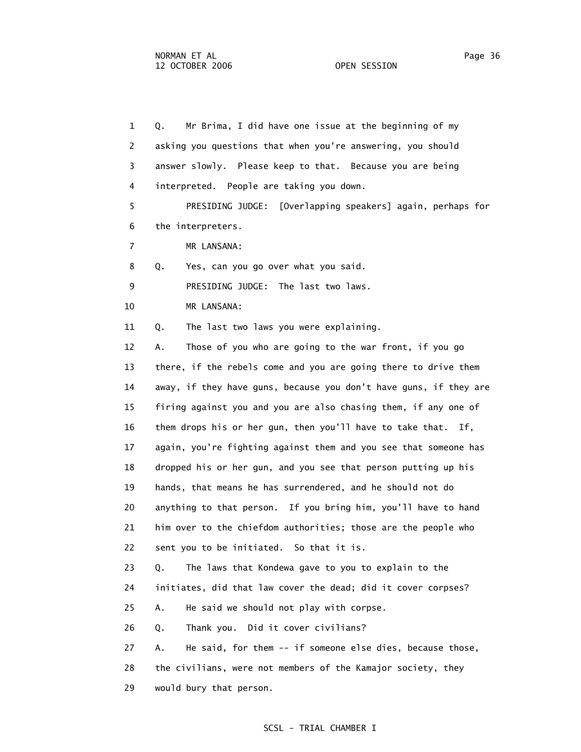1 Q. Mr Brima, I did have one issue at the beginning of my 2 asking you questions that when you're answering, you should 3 answer slowly. Please keep to that. Because you are being 4 interpreted. People are taking you down. 5 PRESIDING JUDGE: [Overlapping speakers] again, perhaps for 6 the interpreters. 7 MR LANSANA: 8 Q. Yes, can you go over what you said. 9 PRESIDING JUDGE: The last two laws. 10 MR LANSANA: 11 Q. The last two laws you were explaining. 12 A. Those of you who are going to the war front, if you go 13 there, if the rebels come and you are going there to drive them 14 away, if they have guns, because you don't have guns, if they are 15 firing against you and you are also chasing them, if any one of 16 them drops his or her gun, then you'll have to take that. If, 17 again, you're fighting against them and you see that someone has 18 dropped his or her gun, and you see that person putting up his 19 hands, that means he has surrendered, and he should not do 20 anything to that person. If you bring him, you'll have to hand 21 him over to the chiefdom authorities; those are the people who 22 sent you to be initiated. So that it is. 23 Q. The laws that Kondewa gave to you to explain to the 24 initiates, did that law cover the dead; did it cover corpses? 25 A. He said we should not play with corpse. 26 Q. Thank you. Did it cover civilians? 27 A. He said, for them -- if someone else dies, because those, 28 the civilians, were not members of the Kamajor society, they 29 would bury that person.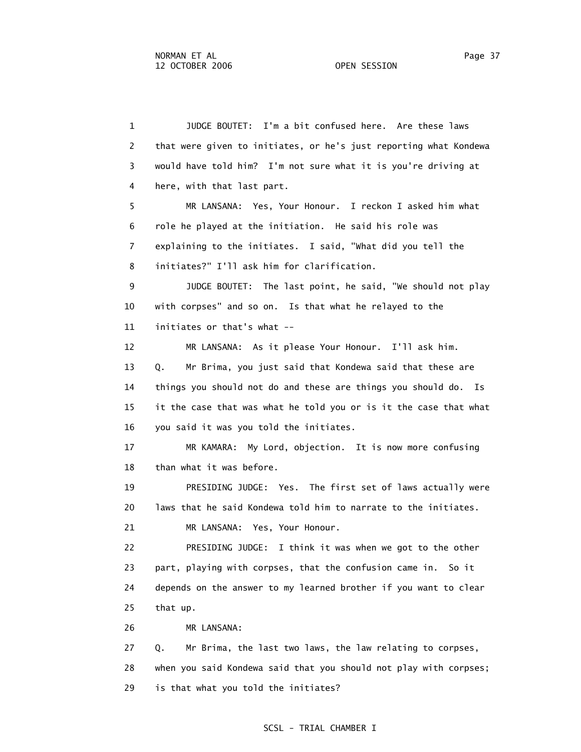1 JUDGE BOUTET: I'm a bit confused here. Are these laws 2 that were given to initiates, or he's just reporting what Kondewa 3 would have told him? I'm not sure what it is you're driving at 4 here, with that last part. 5 MR LANSANA: Yes, Your Honour. I reckon I asked him what 6 role he played at the initiation. He said his role was 7 explaining to the initiates. I said, "What did you tell the 8 initiates?" I'll ask him for clarification. 9 JUDGE BOUTET: The last point, he said, "We should not play 10 with corpses" and so on. Is that what he relayed to the 11 initiates or that's what -- 12 MR LANSANA: As it please Your Honour. I'll ask him. 13 Q. Mr Brima, you just said that Kondewa said that these are 14 things you should not do and these are things you should do. Is 15 it the case that was what he told you or is it the case that what 16 you said it was you told the initiates. 17 MR KAMARA: My Lord, objection. It is now more confusing 18 than what it was before. 19 PRESIDING JUDGE: Yes. The first set of laws actually were 20 laws that he said Kondewa told him to narrate to the initiates. 21 MR LANSANA: Yes, Your Honour. 22 PRESIDING JUDGE: I think it was when we got to the other 23 part, playing with corpses, that the confusion came in. So it 24 depends on the answer to my learned brother if you want to clear 25 that up. 26 MR LANSANA: 27 Q. Mr Brima, the last two laws, the law relating to corpses, 28 when you said Kondewa said that you should not play with corpses;

29 is that what you told the initiates?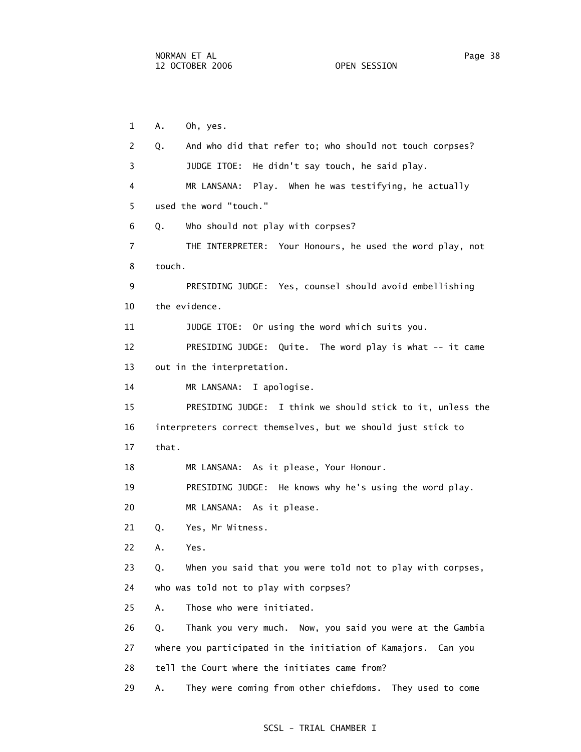1 A. Oh, yes. 2 Q. And who did that refer to; who should not touch corpses? 3 JUDGE ITOE: He didn't say touch, he said play. 4 MR LANSANA: Play. When he was testifying, he actually 5 used the word "touch." 6 Q. Who should not play with corpses? 7 THE INTERPRETER: Your Honours, he used the word play, not 8 touch. 9 PRESIDING JUDGE: Yes, counsel should avoid embellishing 10 the evidence. 11 JUDGE ITOE: Or using the word which suits you. 12 PRESIDING JUDGE: Quite. The word play is what -- it came 13 out in the interpretation. 14 MR LANSANA: I apologise. 15 PRESIDING JUDGE: I think we should stick to it, unless the 16 interpreters correct themselves, but we should just stick to 17 that. 18 MR LANSANA: As it please, Your Honour. 19 PRESIDING JUDGE: He knows why he's using the word play. 20 MR LANSANA: As it please. 21 Q. Yes, Mr Witness. 22 A. Yes. 23 Q. When you said that you were told not to play with corpses, 24 who was told not to play with corpses? 25 A. Those who were initiated. 26 Q. Thank you very much. Now, you said you were at the Gambia 27 where you participated in the initiation of Kamajors. Can you 28 tell the Court where the initiates came from? 29 A. They were coming from other chiefdoms. They used to come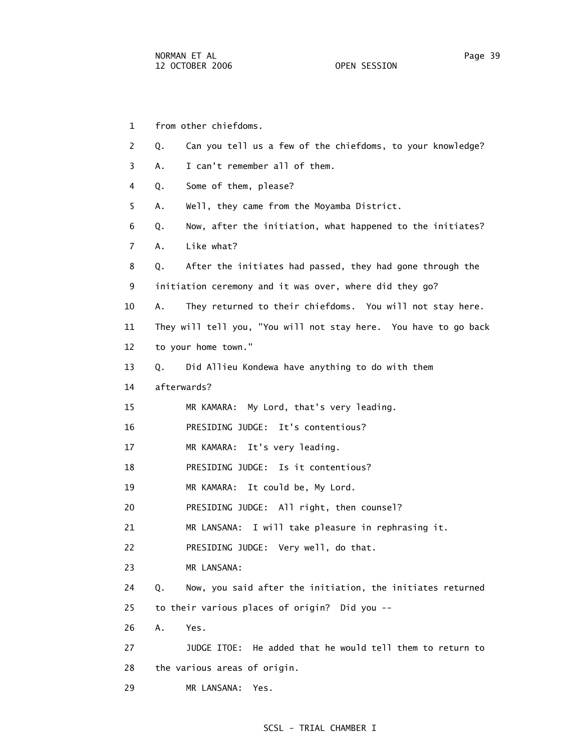1 from other chiefdoms. 2 Q. Can you tell us a few of the chiefdoms, to your knowledge? 3 A. I can't remember all of them. 4 Q. Some of them, please? 5 A. Well, they came from the Moyamba District. 6 Q. Now, after the initiation, what happened to the initiates? 7 A. Like what? 8 Q. After the initiates had passed, they had gone through the 9 initiation ceremony and it was over, where did they go? 10 A. They returned to their chiefdoms. You will not stay here. 11 They will tell you, "You will not stay here. You have to go back 12 to your home town." 13 Q. Did Allieu Kondewa have anything to do with them 14 afterwards? 15 MR KAMARA: My Lord, that's very leading. 16 PRESIDING JUDGE: It's contentious? 17 MR KAMARA: It's very leading. 18 PRESIDING JUDGE: Is it contentious? 19 MR KAMARA: It could be, My Lord. 20 PRESIDING JUDGE: All right, then counsel? 21 MR LANSANA: I will take pleasure in rephrasing it. 22 PRESIDING JUDGE: Very well, do that. 23 MR LANSANA: 24 Q. Now, you said after the initiation, the initiates returned 25 to their various places of origin? Did you -- 26 A. Yes. 27 JUDGE ITOE: He added that he would tell them to return to 28 the various areas of origin. 29 MR LANSANA: Yes.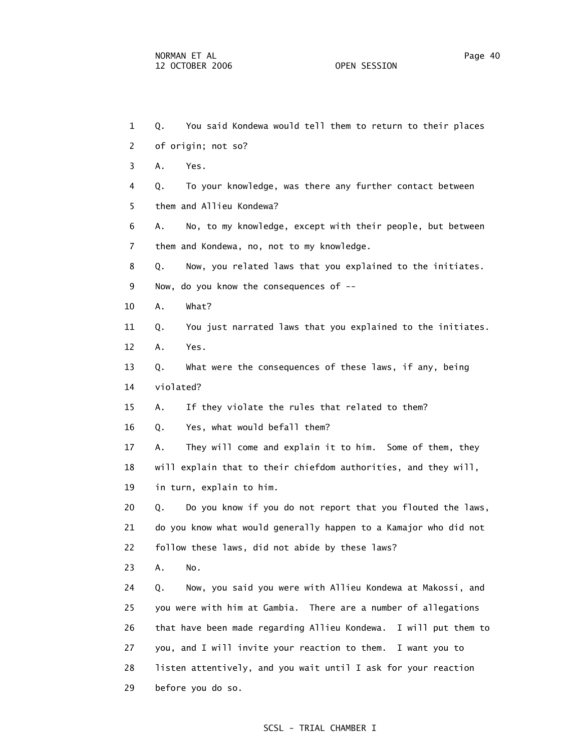1 Q. You said Kondewa would tell them to return to their places 2 of origin; not so? 3 A. Yes. 4 Q. To your knowledge, was there any further contact between 5 them and Allieu Kondewa? 6 A. No, to my knowledge, except with their people, but between 7 them and Kondewa, no, not to my knowledge. 8 Q. Now, you related laws that you explained to the initiates. 9 Now, do you know the consequences of -- 10 A. What? 11 Q. You just narrated laws that you explained to the initiates. 12 A. Yes. 13 Q. What were the consequences of these laws, if any, being 14 violated? 15 A. If they violate the rules that related to them? 16 Q. Yes, what would befall them? 17 A. They will come and explain it to him. Some of them, they 18 will explain that to their chiefdom authorities, and they will, 19 in turn, explain to him. 20 Q. Do you know if you do not report that you flouted the laws, 21 do you know what would generally happen to a Kamajor who did not 22 follow these laws, did not abide by these laws? 23 A. No. 24 Q. Now, you said you were with Allieu Kondewa at Makossi, and 25 you were with him at Gambia. There are a number of allegations 26 that have been made regarding Allieu Kondewa. I will put them to 27 you, and I will invite your reaction to them. I want you to 28 listen attentively, and you wait until I ask for your reaction 29 before you do so.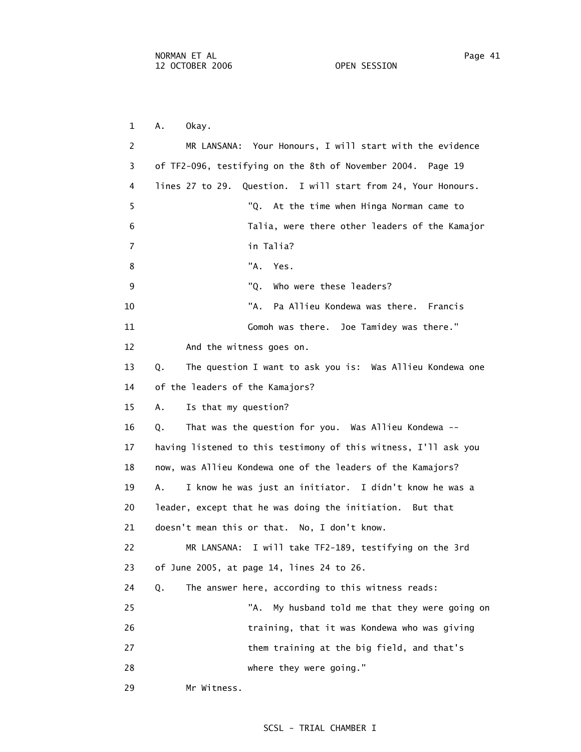29 Mr Witness.

 1 A. Okay. 2 MR LANSANA: Your Honours, I will start with the evidence 3 of TF2-096, testifying on the 8th of November 2004. Page 19 4 lines 27 to 29. Question. I will start from 24, Your Honours. 5 "Q. At the time when Hinga Norman came to 6 Talia, were there other leaders of the Kamajor 7 in Talia? 8 "A. Yes. 9 The Contract Contract Contract Contract Contract Contract Contract Contract Contract Contract Contract Contract Contract Contract Contract Contract Contract Contract Contract Contract Contract Contract Contract Contract 10 "A. Pa Allieu Kondewa was there. Francis 11 Gomoh was there. Joe Tamidey was there." 12 And the witness goes on. 13 Q. The question I want to ask you is: Was Allieu Kondewa one 14 of the leaders of the Kamajors? 15 A. Is that my question? 16 Q. That was the question for you. Was Allieu Kondewa -- 17 having listened to this testimony of this witness, I'll ask you 18 now, was Allieu Kondewa one of the leaders of the Kamajors? 19 A. I know he was just an initiator. I didn't know he was a 20 leader, except that he was doing the initiation. But that 21 doesn't mean this or that. No, I don't know. 22 MR LANSANA: I will take TF2-189, testifying on the 3rd 23 of June 2005, at page 14, lines 24 to 26. 24 Q. The answer here, according to this witness reads: 25 TA. My husband told me that they were going on 26 training, that it was Kondewa who was giving 27 them training at the big field, and that's 28 where they were going."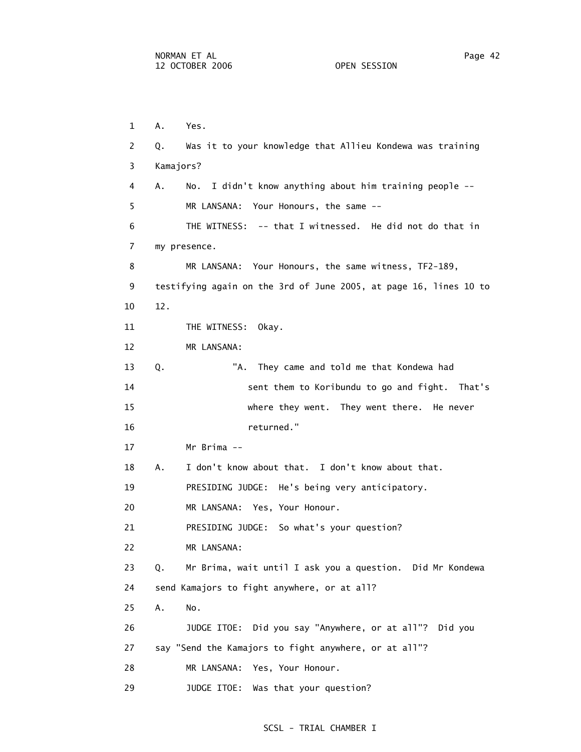1 A. Yes. 2 Q. Was it to your knowledge that Allieu Kondewa was training 3 Kamajors? 4 A. No. I didn't know anything about him training people -- 5 MR LANSANA: Your Honours, the same -- 6 THE WITNESS: -- that I witnessed. He did not do that in 7 my presence. 8 MR LANSANA: Your Honours, the same witness, TF2-189, 9 testifying again on the 3rd of June 2005, at page 16, lines 10 to 10 12. 11 THE WITNESS: Okay. 12 MR LANSANA: 13 Q. "A. They came and told me that Kondewa had 14 sent them to Koribundu to go and fight. That's 15 where they went. They went there. He never 16 returned." 17 Mr Brima -- 18 A. I don't know about that. I don't know about that. 19 PRESIDING JUDGE: He's being very anticipatory. 20 MR LANSANA: Yes, Your Honour. 21 PRESIDING JUDGE: So what's your question? 22 MR LANSANA: 23 Q. Mr Brima, wait until I ask you a question. Did Mr Kondewa 24 send Kamajors to fight anywhere, or at all? 25 A. No. 26 JUDGE ITOE: Did you say "Anywhere, or at all"? Did you 27 say "Send the Kamajors to fight anywhere, or at all"? 28 MR LANSANA: Yes, Your Honour. 29 JUDGE ITOE: Was that your question?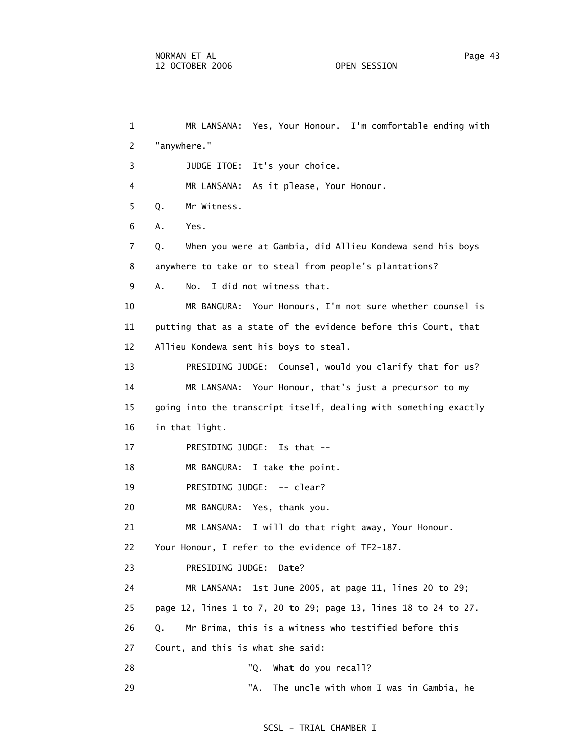1 MR LANSANA: Yes, Your Honour. I'm comfortable ending with 2 "anywhere." 3 JUDGE ITOE: It's your choice. 4 MR LANSANA: As it please, Your Honour. 5 Q. Mr Witness. 6 A. Yes. 7 Q. When you were at Gambia, did Allieu Kondewa send his boys 8 anywhere to take or to steal from people's plantations? 9 A. No. I did not witness that. 10 MR BANGURA: Your Honours, I'm not sure whether counsel is 11 putting that as a state of the evidence before this Court, that 12 Allieu Kondewa sent his boys to steal. 13 PRESIDING JUDGE: Counsel, would you clarify that for us? 14 MR LANSANA: Your Honour, that's just a precursor to my 15 going into the transcript itself, dealing with something exactly 16 in that light. 17 PRESIDING JUDGE: Is that -- 18 MR BANGURA: I take the point. 19 PRESIDING JUDGE: -- clear? 20 MR BANGURA: Yes, thank you. 21 MR LANSANA: I will do that right away, Your Honour. 22 Your Honour, I refer to the evidence of TF2-187. 23 PRESIDING JUDGE: Date? 24 MR LANSANA: 1st June 2005, at page 11, lines 20 to 29; 25 page 12, lines 1 to 7, 20 to 29; page 13, lines 18 to 24 to 27. 26 Q. Mr Brima, this is a witness who testified before this 27 Court, and this is what she said: 28 "Q. What do you recall? 29 TA. The uncle with whom I was in Gambia, he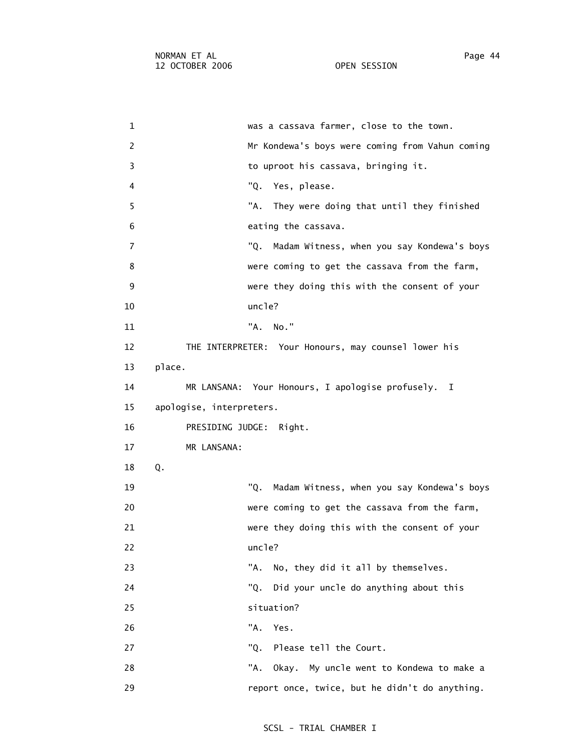1 was a cassava farmer, close to the town. 2 Mr Kondewa's boys were coming from Vahun coming 3 to uproot his cassava, bringing it. 4 "Q. Yes, please. 5 "A. They were doing that until they finished 6 eating the cassava. 7 "Q. Madam Witness, when you say Kondewa's boys 8 were coming to get the cassava from the farm, 9 were they doing this with the consent of your 10 uncle? 11 "A. No." 12 THE INTERPRETER: Your Honours, may counsel lower his 13 place. 14 MR LANSANA: Your Honours, I apologise profusely. I 15 apologise, interpreters. 16 PRESIDING JUDGE: Right. 17 MR LANSANA: 18 Q. 19 "Q. Madam Witness, when you say Kondewa's boys 20 were coming to get the cassava from the farm, 21 were they doing this with the consent of your 22 uncle? 23 TA. No, they did it all by themselves. 24 "Q. Did your uncle do anything about this 25 situation? 26 "A. Yes. 27 The Court. Community Communist Court. 28 TA. Okay. My uncle went to Kondewa to make a 29 report once, twice, but he didn't do anything.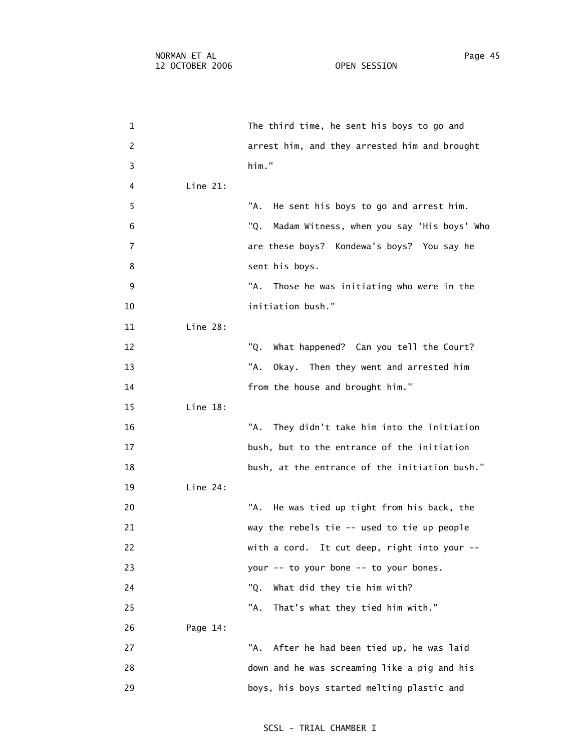1 The third time, he sent his boys to go and 2 arrest him, and they arrested him and brought 3 him." 4 Line 21: 5 "A. He sent his boys to go and arrest him. 6 "Q. Madam Witness, when you say 'His boys' Who 7 are these boys? Kondewa's boys? You say he 8 sent his boys. 9 The State Mann State Was initiating who were in the State Mann State Mann State Mann State Mann St 10 initiation bush." 11 Line 28: 12 "Q. What happened? Can you tell the Court? 13 Then they went and arrested him 14 **from the house and brought him.**" 15 Line 18: 16 "A. They didn't take him into the initiation 17 bush, but to the entrance of the initiation 18 bush, at the entrance of the initiation bush." 19 Line 24: 20 TA. He was tied up tight from his back, the 21 way the rebels tie -- used to tie up people 22 with a cord. It cut deep, right into your -- 23 your -- to your bone -- to your bones. 24 TQ. What did they tie him with? 25 "A. That's what they tied him with." 26 Page 14: 27 TA. After he had been tied up, he was laid 28 down and he was screaming like a pig and his 29 boys, his boys started melting plastic and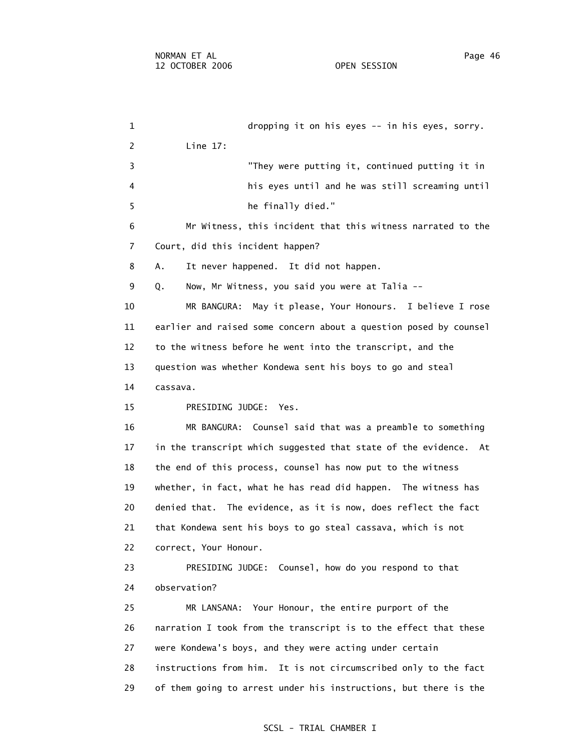1 dropping it on his eyes -- in his eyes, sorry. 2 Line 17: 3 "They were putting it, continued putting it in 4 his eyes until and he was still screaming until 5 he finally died." 6 Mr Witness, this incident that this witness narrated to the 7 Court, did this incident happen? 8 A. It never happened. It did not happen. 9 Q. Now, Mr Witness, you said you were at Talia -- 10 MR BANGURA: May it please, Your Honours. I believe I rose 11 earlier and raised some concern about a question posed by counsel 12 to the witness before he went into the transcript, and the 13 question was whether Kondewa sent his boys to go and steal 14 cassava. 15 PRESIDING JUDGE: Yes. 16 MR BANGURA: Counsel said that was a preamble to something 17 in the transcript which suggested that state of the evidence. At 18 the end of this process, counsel has now put to the witness 19 whether, in fact, what he has read did happen. The witness has 20 denied that. The evidence, as it is now, does reflect the fact 21 that Kondewa sent his boys to go steal cassava, which is not 22 correct, Your Honour. 23 PRESIDING JUDGE: Counsel, how do you respond to that 24 observation? 25 MR LANSANA: Your Honour, the entire purport of the 26 narration I took from the transcript is to the effect that these 27 were Kondewa's boys, and they were acting under certain 28 instructions from him. It is not circumscribed only to the fact 29 of them going to arrest under his instructions, but there is the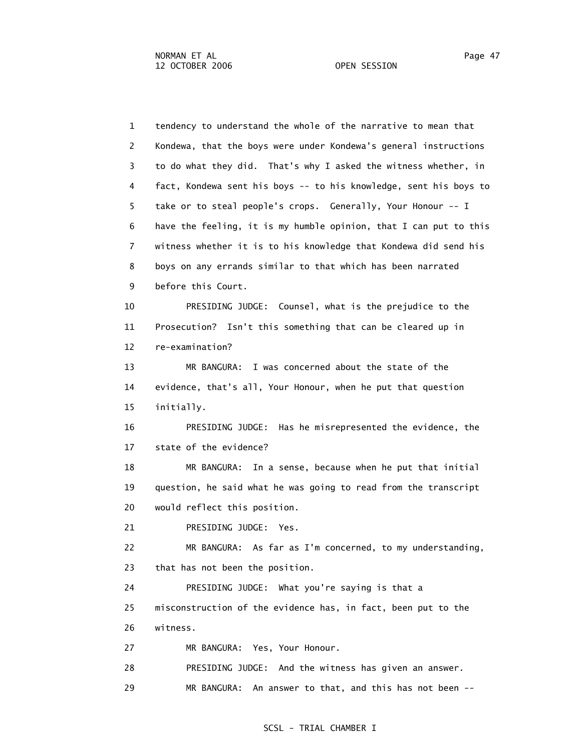1 tendency to understand the whole of the narrative to mean that 2 Kondewa, that the boys were under Kondewa's general instructions 3 to do what they did. That's why I asked the witness whether, in 4 fact, Kondewa sent his boys -- to his knowledge, sent his boys to 5 take or to steal people's crops. Generally, Your Honour -- I 6 have the feeling, it is my humble opinion, that I can put to this 7 witness whether it is to his knowledge that Kondewa did send his 8 boys on any errands similar to that which has been narrated 9 before this Court. 10 PRESIDING JUDGE: Counsel, what is the prejudice to the 11 Prosecution? Isn't this something that can be cleared up in 12 re-examination? 13 MR BANGURA: I was concerned about the state of the 14 evidence, that's all, Your Honour, when he put that question 15 initially. 16 PRESIDING JUDGE: Has he misrepresented the evidence, the 17 state of the evidence? 18 MR BANGURA: In a sense, because when he put that initial 19 question, he said what he was going to read from the transcript 20 would reflect this position. 21 PRESIDING JUDGE: Yes. 22 MR BANGURA: As far as I'm concerned, to my understanding, 23 that has not been the position. 24 PRESIDING JUDGE: What you're saying is that a 25 misconstruction of the evidence has, in fact, been put to the 26 witness. 27 MR BANGURA: Yes, Your Honour. 28 PRESIDING JUDGE: And the witness has given an answer. 29 MR BANGURA: An answer to that, and this has not been --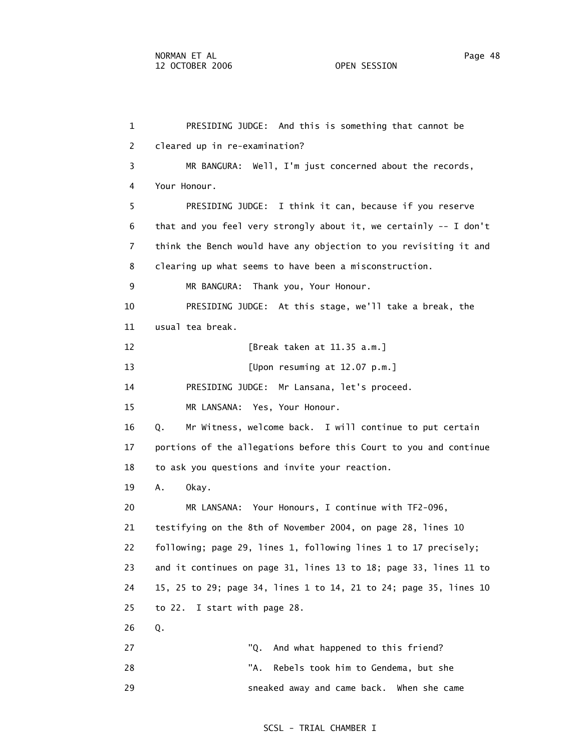1 PRESIDING JUDGE: And this is something that cannot be 2 cleared up in re-examination? 3 MR BANGURA: Well, I'm just concerned about the records, 4 Your Honour. 5 PRESIDING JUDGE: I think it can, because if you reserve 6 that and you feel very strongly about it, we certainly -- I don't 7 think the Bench would have any objection to you revisiting it and 8 clearing up what seems to have been a misconstruction. 9 MR BANGURA: Thank you, Your Honour. 10 PRESIDING JUDGE: At this stage, we'll take a break, the 11 usual tea break. 12 [Break taken at 11.35 a.m.] 13 [Upon resuming at 12.07 p.m.] 14 PRESIDING JUDGE: Mr Lansana, let's proceed. 15 MR LANSANA: Yes, Your Honour. 16 Q. Mr Witness, welcome back. I will continue to put certain 17 portions of the allegations before this Court to you and continue 18 to ask you questions and invite your reaction. 19 A. Okay. 20 MR LANSANA: Your Honours, I continue with TF2-096, 21 testifying on the 8th of November 2004, on page 28, lines 10 22 following; page 29, lines 1, following lines 1 to 17 precisely; 23 and it continues on page 31, lines 13 to 18; page 33, lines 11 to 24 15, 25 to 29; page 34, lines 1 to 14, 21 to 24; page 35, lines 10 25 to 22. I start with page 28. 26 Q. 27 The College of the College of the College of the College of the College of the College of the College of the College of the College of the College of the College of the College of the College of the College of the Colle 28 "A. Rebels took him to Gendema, but she 29 sneaked away and came back. When she came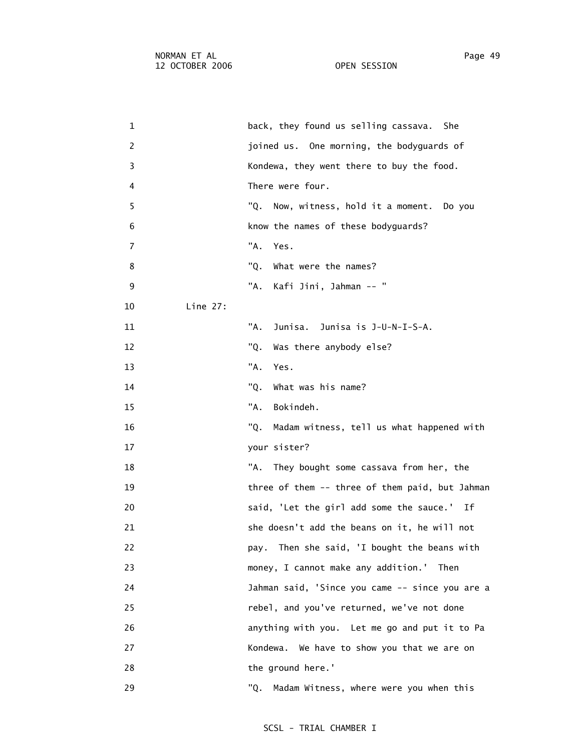1 back, they found us selling cassava. She 2 joined us. One morning, the bodyguards of 3 Kondewa, they went there to buy the food. 4 There were four. 5 "Q. Now, witness, hold it a moment. Do you 6 know the names of these bodyguards? 7 "A. Yes. 8 "Q. What were the names? 9 "A. Kafi Jini, Jahman -- " 10 Line 27: 11 "A. Junisa. Junisa is J-U-N-I-S-A. 12 TQ. Was there anybody else? 13 "A. Yes. 14 TQ. What was his name? 15 "A. Bokindeh. 16 "Q. Madam witness, tell us what happened with 17 your sister? 18 "A. They bought some cassava from her, the 19 three of them -- three of them paid, but Jahman 20 said, 'Let the girl add some the sauce.' If 21 she doesn't add the beans on it, he will not 22 pay. Then she said, 'I bought the beans with 23 money, I cannot make any addition.' Then 24 Jahman said, 'Since you came -- since you are a 25 rebel, and you've returned, we've not done 26 anything with you. Let me go and put it to Pa 27 Kondewa. We have to show you that we are on 28 the ground here.' 29 "Q. Madam Witness, where were you when this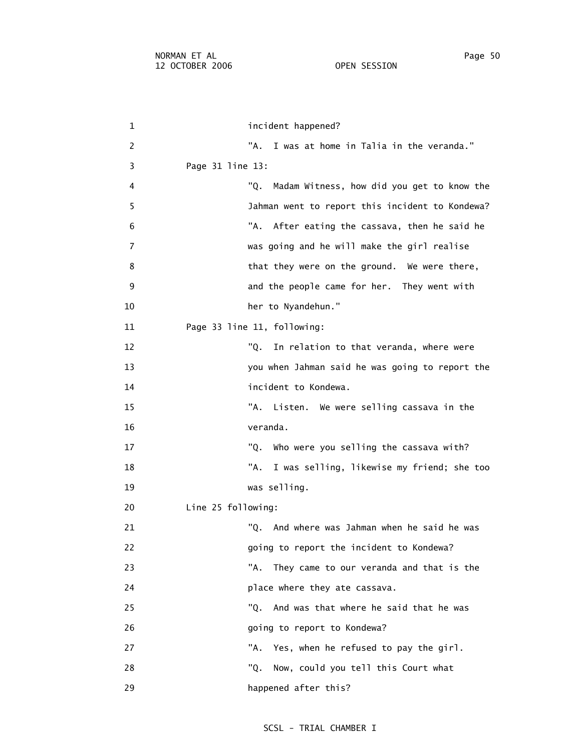1 incident happened? 2 TA. I was at home in Talia in the veranda." 3 Page 31 line 13: 4 "Q. Madam Witness, how did you get to know the 5 Jahman went to report this incident to Kondewa? 6 "A. After eating the cassava, then he said he 7 was going and he will make the girl realise 8 beta they were on the ground. We were there, 9 and the people came for her. They went with 10 her to Nyandehun." 11 Page 33 line 11, following: 12 The College of the Total Total Telecommunic that veranda, where were 13 you when Jahman said he was going to report the 14 incident to Kondewa. 15 "A. Listen. We were selling cassava in the 16 veranda. 17 The Cassava with? U. Who were you selling the cassava with? 18 "A. I was selling, likewise my friend; she too 19 was selling. 20 Line 25 following: 21 "Q. And where was Jahman when he said he was 22 going to report the incident to Kondewa? 23 "A. They came to our veranda and that is the 24 place where they ate cassava. 25 "Q. And was that where he said that he was 26 **b** going to report to Kondewa? 27 The Manus Channer Channer Channer Channer Channer Channer Channer Channer Channer Channer Channer Channer C 28 TQ. Now, could you tell this Court what 29 happened after this?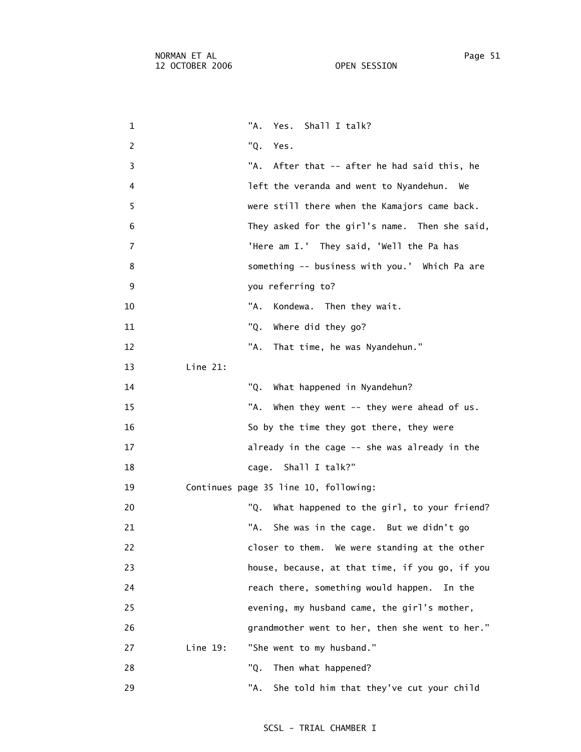| 1              | "A.<br>Shall I talk?<br>Yes.                      |
|----------------|---------------------------------------------------|
| 2              | "Q.<br>Yes.                                       |
| 3              | "A.<br>After that -- after he had said this, he   |
| 4              | left the veranda and went to Nyandehun.<br>We     |
| 5              | were still there when the Kamajors came back.     |
| 6              | They asked for the girl's name. Then she said,    |
| $\overline{7}$ | 'Here am I.' They said, 'Well the Pa has          |
| 8              | something -- business with you.' Which Pa are     |
| 9              | you referring to?                                 |
| 10             | "A.<br>Kondewa. Then they wait.                   |
| 11             | "Q.<br>Where did they go?                         |
| 12             | "A.<br>That time, he was Nyandehun."              |
| 13             | Line 21:                                          |
| 14             | "Q.<br>What happened in Nyandehun?                |
| 15             | "A.<br>When they went -- they were ahead of us.   |
| 16             | So by the time they got there, they were          |
| 17             | already in the cage -- she was already in the     |
| 18             | Shall I talk?"<br>cage.                           |
| 19             | Continues page 35 line 10, following:             |
| 20             | "Q.<br>What happened to the girl, to your friend? |
| 21             | "A.<br>She was in the cage. But we didn't go      |
| 22             | closer to them. We were standing at the other     |
| 23             | house, because, at that time, if you go, if you   |
| 24             | reach there, something would happen.<br>In the    |
| 25             | evening, my husband came, the girl's mother,      |
| 26             | grandmother went to her, then she went to her."   |
| 27             | Line 19:<br>"She went to my husband."             |
| 28             | "Q.<br>Then what happened?                        |
| 29             | "A.<br>She told him that they've cut your child   |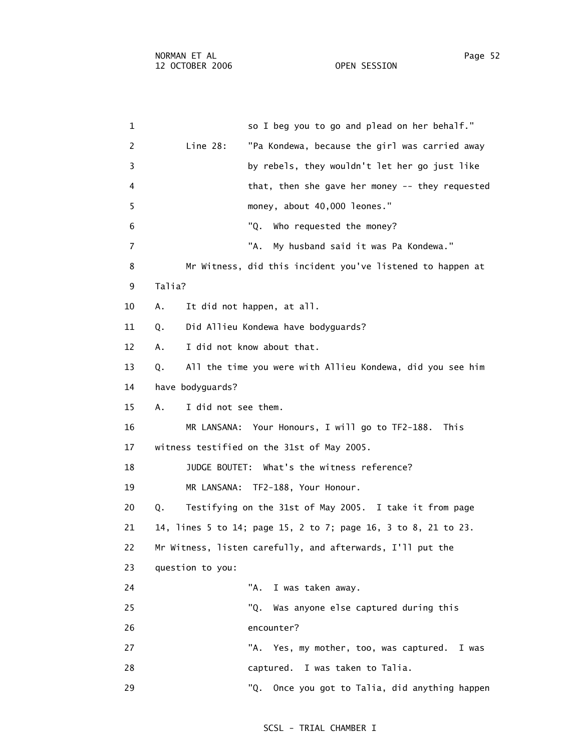1 so I beg you to go and plead on her behalf." 2 Line 28: "Pa Kondewa, because the girl was carried away 3 by rebels, they wouldn't let her go just like 4 that, then she gave her money -- they requested 5 money, about 40,000 leones." 6 "Q. Who requested the money? 7 "A. My husband said it was Pa Kondewa." 8 Mr Witness, did this incident you've listened to happen at 9 Talia? 10 A. It did not happen, at all. 11 Q. Did Allieu Kondewa have bodyguards? 12 A. I did not know about that. 13 Q. All the time you were with Allieu Kondewa, did you see him 14 have bodyguards? 15 A. I did not see them. 16 MR LANSANA: Your Honours, I will go to TF2-188. This 17 witness testified on the 31st of May 2005. 18 JUDGE BOUTET: What's the witness reference? 19 MR LANSANA: TF2-188, Your Honour. 20 Q. Testifying on the 31st of May 2005. I take it from page 21 14, lines 5 to 14; page 15, 2 to 7; page 16, 3 to 8, 21 to 23. 22 Mr Witness, listen carefully, and afterwards, I'll put the 23 question to you: 24 "A. I was taken away. 25 "Q. Was anyone else captured during this 26 encounter? 27 "A. Yes, my mother, too, was captured. I was 28 captured. I was taken to Talia. 29 "Q. Once you got to Talia, did anything happen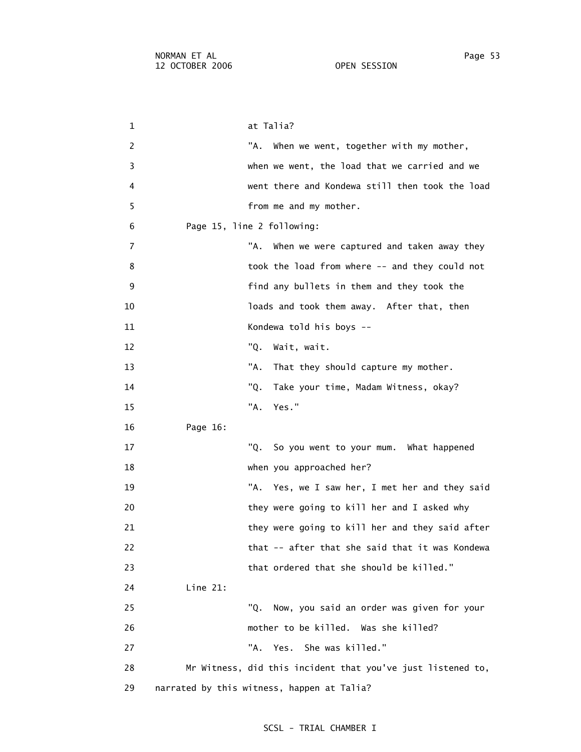1 at Talia? 2 TA. When we went, together with my mother, 3 when we went, the load that we carried and we 4 went there and Kondewa still then took the load 5 from me and my mother. 6 Page 15, line 2 following: 7 The state of the Millen we were captured and taken away they 8 took the load from where -- and they could not 9 find any bullets in them and they took the 10 loads and took them away. After that, then 11 Kondewa told his boys -- 12 "Q. Wait, wait. 13 That they should capture my mother. 14 "Q. Take your time, Madam Witness, okay? 15 "A. Yes." 16 Page 16: 17 "Q. So you went to your mum. What happened 18 when you approached her? 19 "A. Yes, we I saw her, I met her and they said 20 they were going to kill her and I asked why 21 they were going to kill her and they said after 22 that -- after that she said that it was Kondewa 23 that ordered that she should be killed." 24 Line 21: 25 "Q. Now, you said an order was given for your 26 mother to be killed. Was she killed? 27 TA. Yes. She was killed." 28 Mr Witness, did this incident that you've just listened to,

29 narrated by this witness, happen at Talia?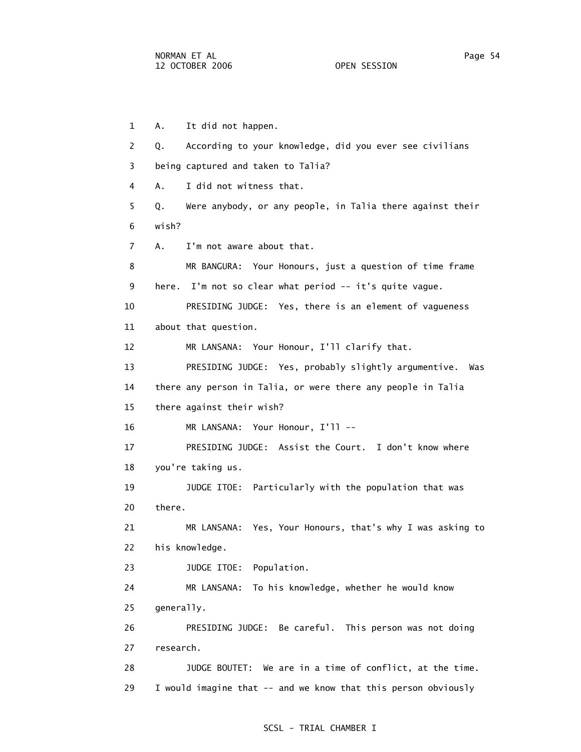1 A. It did not happen. 2 Q. According to your knowledge, did you ever see civilians 3 being captured and taken to Talia? 4 A. I did not witness that. 5 Q. Were anybody, or any people, in Talia there against their 6 wish? 7 A. I'm not aware about that. 8 MR BANGURA: Your Honours, just a question of time frame 9 here. I'm not so clear what period -- it's quite vague. 10 PRESIDING JUDGE: Yes, there is an element of vagueness 11 about that question. 12 MR LANSANA: Your Honour, I'll clarify that. 13 PRESIDING JUDGE: Yes, probably slightly argumentive. Was 14 there any person in Talia, or were there any people in Talia 15 there against their wish? 16 MR LANSANA: Your Honour, I'll -- 17 PRESIDING JUDGE: Assist the Court. I don't know where 18 you're taking us. 19 JUDGE ITOE: Particularly with the population that was 20 there. 21 MR LANSANA: Yes, Your Honours, that's why I was asking to 22 his knowledge. 23 JUDGE ITOE: Population. 24 MR LANSANA: To his knowledge, whether he would know 25 generally. 26 PRESIDING JUDGE: Be careful. This person was not doing 27 research. 28 JUDGE BOUTET: We are in a time of conflict, at the time. 29 I would imagine that -- and we know that this person obviously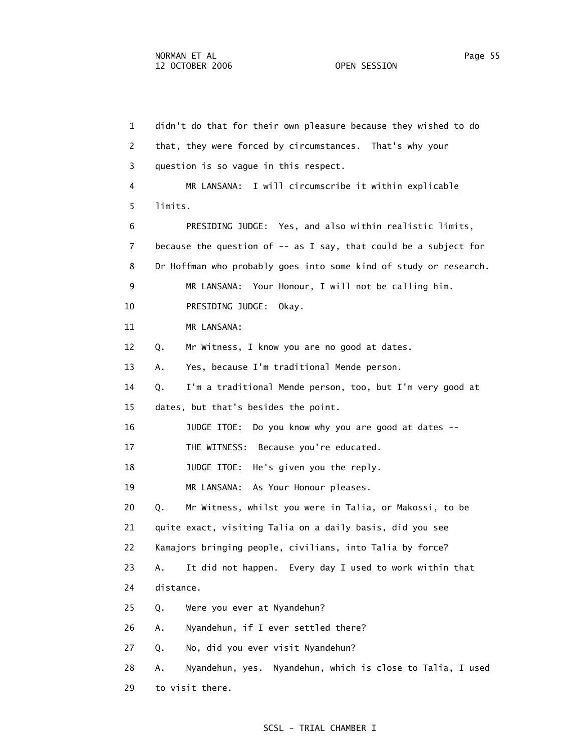1 didn't do that for their own pleasure because they wished to do 2 that, they were forced by circumstances. That's why your 3 question is so vague in this respect. 4 MR LANSANA: I will circumscribe it within explicable 5 limits. 6 PRESIDING JUDGE: Yes, and also within realistic limits, 7 because the question of -- as I say, that could be a subject for 8 Dr Hoffman who probably goes into some kind of study or research. 9 MR LANSANA: Your Honour, I will not be calling him. 10 PRESIDING JUDGE: Okay. 11 MR LANSANA: 12 Q. Mr Witness, I know you are no good at dates. 13 A. Yes, because I'm traditional Mende person. 14 Q. I'm a traditional Mende person, too, but I'm very good at 15 dates, but that's besides the point. 16 JUDGE ITOE: Do you know why you are good at dates -- 17 THE WITNESS: Because you're educated. 18 JUDGE ITOE: He's given you the reply. 19 MR LANSANA: As Your Honour pleases. 20 Q. Mr Witness, whilst you were in Talia, or Makossi, to be 21 quite exact, visiting Talia on a daily basis, did you see 22 Kamajors bringing people, civilians, into Talia by force? 23 A. It did not happen. Every day I used to work within that 24 distance. 25 Q. Were you ever at Nyandehun? 26 A. Nyandehun, if I ever settled there? 27 Q. No, did you ever visit Nyandehun? 28 A. Nyandehun, yes. Nyandehun, which is close to Talia, I used 29 to visit there.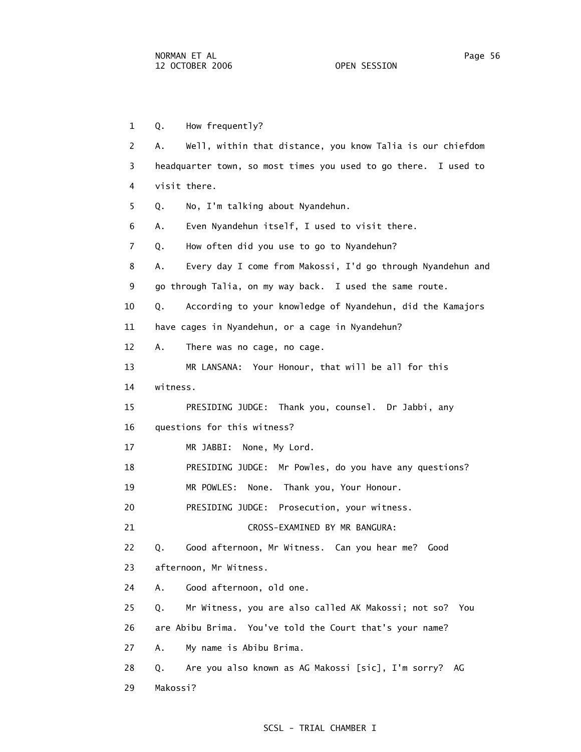1 Q. How frequently? 2 A. Well, within that distance, you know Talia is our chiefdom 3 headquarter town, so most times you used to go there. I used to 4 visit there. 5 Q. No, I'm talking about Nyandehun. 6 A. Even Nyandehun itself, I used to visit there. 7 Q. How often did you use to go to Nyandehun? 8 A. Every day I come from Makossi, I'd go through Nyandehun and 9 go through Talia, on my way back. I used the same route. 10 Q. According to your knowledge of Nyandehun, did the Kamajors 11 have cages in Nyandehun, or a cage in Nyandehun? 12 A. There was no cage, no cage. 13 MR LANSANA: Your Honour, that will be all for this 14 witness. 15 PRESIDING JUDGE: Thank you, counsel. Dr Jabbi, any 16 questions for this witness? 17 MR JABBI: None, My Lord. 18 PRESIDING JUDGE: Mr Powles, do you have any questions? 19 MR POWLES: None. Thank you, Your Honour. 20 PRESIDING JUDGE: Prosecution, your witness. 21 CROSS-EXAMINED BY MR BANGURA: 22 Q. Good afternoon, Mr Witness. Can you hear me? Good 23 afternoon, Mr Witness. 24 A. Good afternoon, old one. 25 Q. Mr Witness, you are also called AK Makossi; not so? You 26 are Abibu Brima. You've told the Court that's your name? 27 A. My name is Abibu Brima. 28 Q. Are you also known as AG Makossi [sic], I'm sorry? AG 29 Makossi?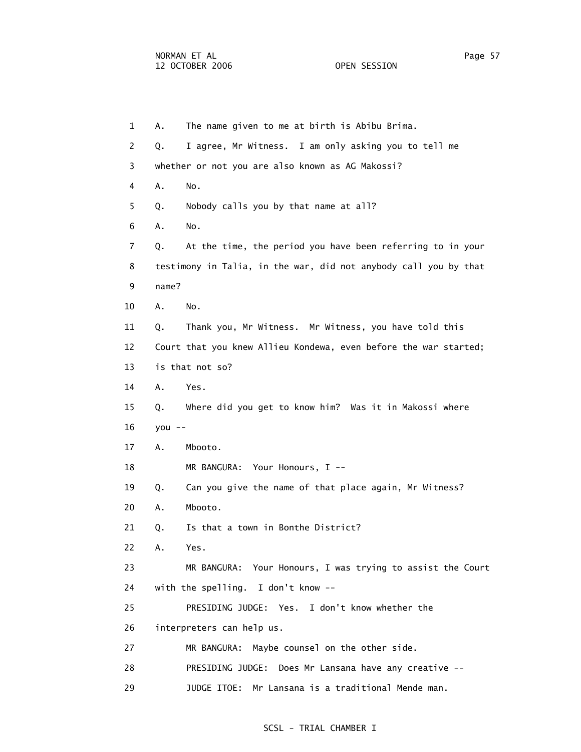1 A. The name given to me at birth is Abibu Brima. 2 Q. I agree, Mr Witness. I am only asking you to tell me 3 whether or not you are also known as AG Makossi? 4 A. No. 5 Q. Nobody calls you by that name at all? 6 A. No. 7 Q. At the time, the period you have been referring to in your 8 testimony in Talia, in the war, did not anybody call you by that 9 name? 10 A. No. 11 Q. Thank you, Mr Witness. Mr Witness, you have told this 12 Court that you knew Allieu Kondewa, even before the war started; 13 is that not so? 14 A. Yes. 15 Q. Where did you get to know him? Was it in Makossi where 16 you -- 17 A. Mbooto. 18 MR BANGURA: Your Honours, I -- 19 Q. Can you give the name of that place again, Mr Witness? 20 A. Mbooto. 21 Q. Is that a town in Bonthe District? 22 A. Yes. 23 MR BANGURA: Your Honours, I was trying to assist the Court 24 with the spelling. I don't know -- 25 PRESIDING JUDGE: Yes. I don't know whether the 26 interpreters can help us. 27 MR BANGURA: Maybe counsel on the other side. 28 PRESIDING JUDGE: Does Mr Lansana have any creative -- 29 JUDGE ITOE: Mr Lansana is a traditional Mende man.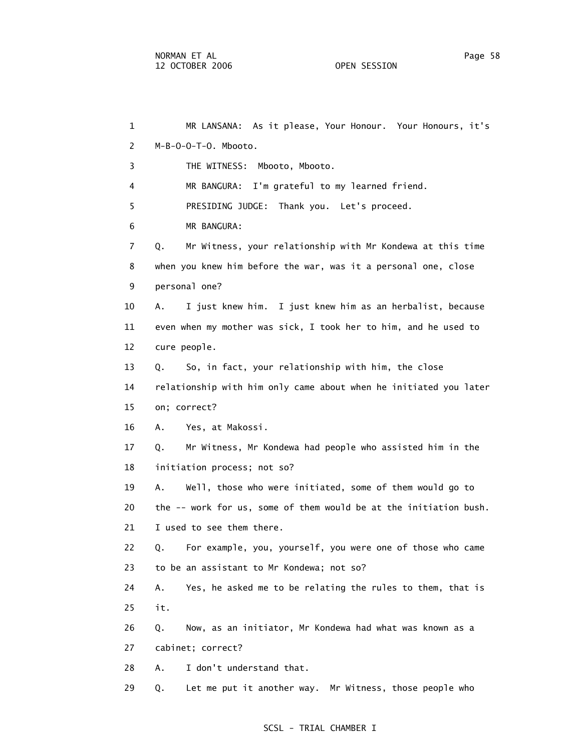1 MR LANSANA: As it please, Your Honour. Your Honours, it's 2 M-B-O-O-T-O. Mbooto. 3 THE WITNESS: Mbooto, Mbooto. 4 MR BANGURA: I'm grateful to my learned friend. 5 PRESIDING JUDGE: Thank you. Let's proceed. 6 MR BANGURA: 7 Q. Mr Witness, your relationship with Mr Kondewa at this time 8 when you knew him before the war, was it a personal one, close 9 personal one? 10 A. I just knew him. I just knew him as an herbalist, because 11 even when my mother was sick, I took her to him, and he used to 12 cure people. 13 Q. So, in fact, your relationship with him, the close 14 relationship with him only came about when he initiated you later 15 on; correct? 16 A. Yes, at Makossi. 17 Q. Mr Witness, Mr Kondewa had people who assisted him in the 18 initiation process; not so? 19 A. Well, those who were initiated, some of them would go to 20 the -- work for us, some of them would be at the initiation bush. 21 I used to see them there. 22 Q. For example, you, yourself, you were one of those who came 23 to be an assistant to Mr Kondewa; not so? 24 A. Yes, he asked me to be relating the rules to them, that is 25 it. 26 Q. Now, as an initiator, Mr Kondewa had what was known as a 27 cabinet; correct? 28 A. I don't understand that. 29 Q. Let me put it another way. Mr Witness, those people who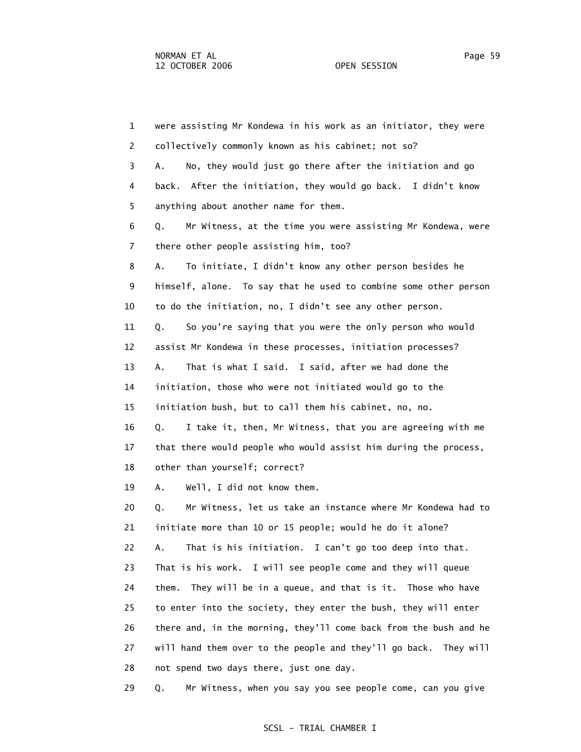1 were assisting Mr Kondewa in his work as an initiator, they were 2 collectively commonly known as his cabinet; not so? 3 A. No, they would just go there after the initiation and go 4 back. After the initiation, they would go back. I didn't know 5 anything about another name for them. 6 Q. Mr Witness, at the time you were assisting Mr Kondewa, were 7 there other people assisting him, too? 8 A. To initiate, I didn't know any other person besides he 9 himself, alone. To say that he used to combine some other person 10 to do the initiation, no, I didn't see any other person. 11 Q. So you're saying that you were the only person who would 12 assist Mr Kondewa in these processes, initiation processes? 13 A. That is what I said. I said, after we had done the 14 initiation, those who were not initiated would go to the 15 initiation bush, but to call them his cabinet, no, no. 16 Q. I take it, then, Mr Witness, that you are agreeing with me 17 that there would people who would assist him during the process, 18 other than yourself; correct? 19 A. Well, I did not know them. 20 Q. Mr Witness, let us take an instance where Mr Kondewa had to 21 initiate more than 10 or 15 people; would he do it alone? 22 A. That is his initiation. I can't go too deep into that. 23 That is his work. I will see people come and they will queue 24 them. They will be in a queue, and that is it. Those who have 25 to enter into the society, they enter the bush, they will enter 26 there and, in the morning, they'll come back from the bush and he 27 will hand them over to the people and they'll go back. They will 28 not spend two days there, just one day.

29 Q. Mr Witness, when you say you see people come, can you give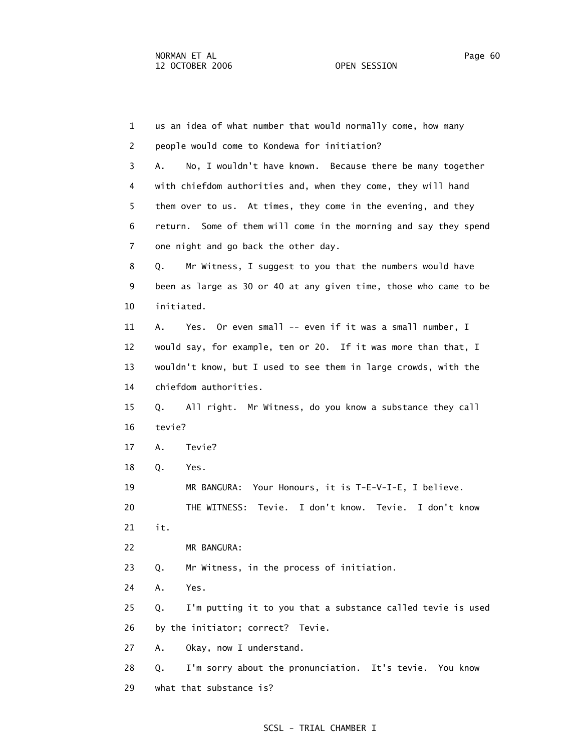1 us an idea of what number that would normally come, how many 2 people would come to Kondewa for initiation? 3 A. No, I wouldn't have known. Because there be many together 4 with chiefdom authorities and, when they come, they will hand 5 them over to us. At times, they come in the evening, and they 6 return. Some of them will come in the morning and say they spend 7 one night and go back the other day. 8 Q. Mr Witness, I suggest to you that the numbers would have 9 been as large as 30 or 40 at any given time, those who came to be 10 initiated. 11 A. Yes. Or even small -- even if it was a small number, I 12 would say, for example, ten or 20. If it was more than that, I 13 wouldn't know, but I used to see them in large crowds, with the 14 chiefdom authorities. 15 Q. All right. Mr Witness, do you know a substance they call 16 tevie? 17 A. Tevie? 18 Q. Yes. 19 MR BANGURA: Your Honours, it is T-E-V-I-E, I believe. 20 THE WITNESS: Tevie. I don't know. Tevie. I don't know 21 it. 22 MR BANGURA: 23 Q. Mr Witness, in the process of initiation. 24 A. Yes. 25 Q. I'm putting it to you that a substance called tevie is used 26 by the initiator; correct? Tevie. 27 A. Okay, now I understand. 28 Q. I'm sorry about the pronunciation. It's tevie. You know 29 what that substance is?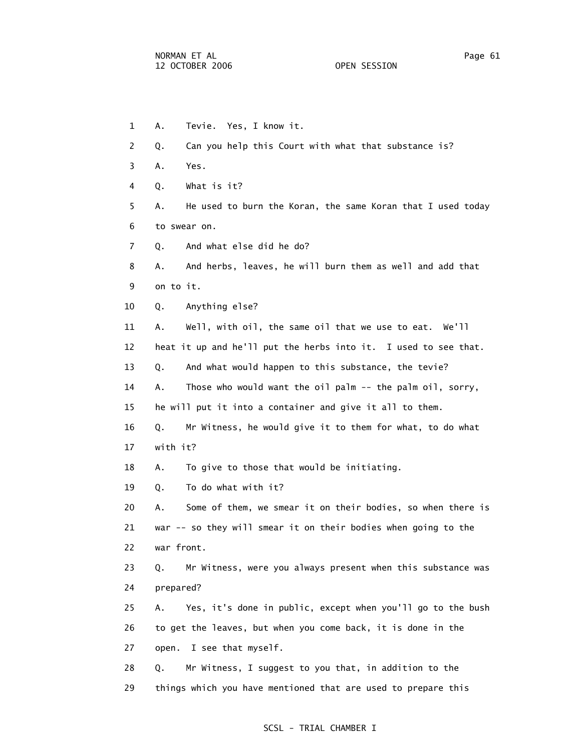1 A. Tevie. Yes, I know it. 2 Q. Can you help this Court with what that substance is? 3 A. Yes. 4 Q. What is it? 5 A. He used to burn the Koran, the same Koran that I used today 6 to swear on. 7 Q. And what else did he do? 8 A. And herbs, leaves, he will burn them as well and add that 9 on to it. 10 Q. Anything else? 11 A. Well, with oil, the same oil that we use to eat. We'll 12 heat it up and he'll put the herbs into it. I used to see that. 13 Q. And what would happen to this substance, the tevie? 14 A. Those who would want the oil palm -- the palm oil, sorry, 15 he will put it into a container and give it all to them. 16 Q. Mr Witness, he would give it to them for what, to do what 17 with it? 18 A. To give to those that would be initiating. 19 Q. To do what with it? 20 A. Some of them, we smear it on their bodies, so when there is 21 war -- so they will smear it on their bodies when going to the 22 war front. 23 Q. Mr Witness, were you always present when this substance was 24 prepared? 25 A. Yes, it's done in public, except when you'll go to the bush 26 to get the leaves, but when you come back, it is done in the 27 open. I see that myself. 28 Q. Mr Witness, I suggest to you that, in addition to the 29 things which you have mentioned that are used to prepare this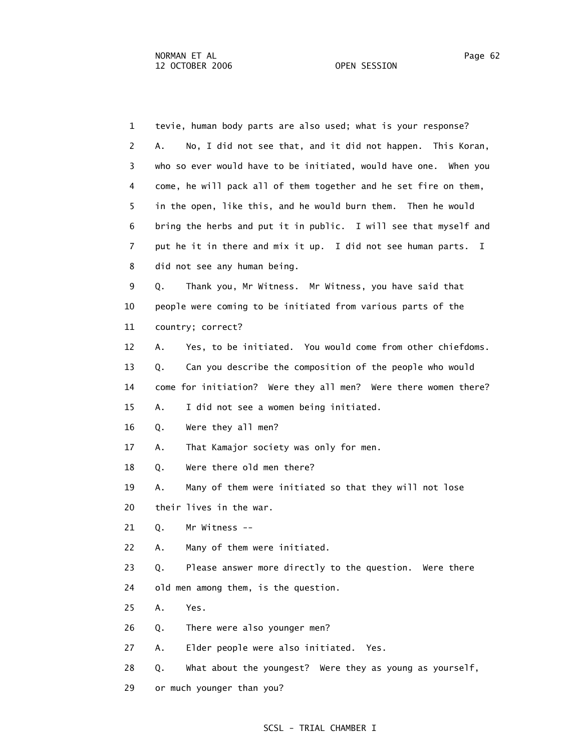1 tevie, human body parts are also used; what is your response? 2 A. No, I did not see that, and it did not happen. This Koran, 3 who so ever would have to be initiated, would have one. When you 4 come, he will pack all of them together and he set fire on them, 5 in the open, like this, and he would burn them. Then he would 6 bring the herbs and put it in public. I will see that myself and 7 put he it in there and mix it up. I did not see human parts. I 8 did not see any human being. 9 Q. Thank you, Mr Witness. Mr Witness, you have said that 10 people were coming to be initiated from various parts of the 11 country; correct? 12 A. Yes, to be initiated. You would come from other chiefdoms. 13 Q. Can you describe the composition of the people who would 14 come for initiation? Were they all men? Were there women there? 15 A. I did not see a women being initiated. 16 Q. Were they all men? 17 A. That Kamajor society was only for men. 18 Q. Were there old men there? 19 A. Many of them were initiated so that they will not lose 20 their lives in the war. 21 Q. Mr Witness -- 22 A. Many of them were initiated. 23 Q. Please answer more directly to the question. Were there 24 old men among them, is the question. 25 A. Yes. 26 Q. There were also younger men? 27 A. Elder people were also initiated. Yes. 28 Q. What about the youngest? Were they as young as yourself, 29 or much younger than you?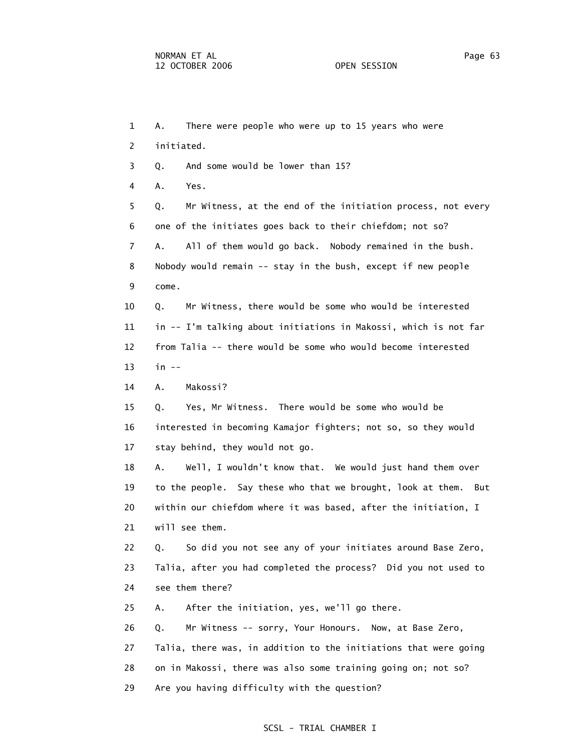1 A. There were people who were up to 15 years who were 2 initiated. 3 Q. And some would be lower than 15? 4 A. Yes. 5 Q. Mr Witness, at the end of the initiation process, not every 6 one of the initiates goes back to their chiefdom; not so? 7 A. All of them would go back. Nobody remained in the bush. 8 Nobody would remain -- stay in the bush, except if new people 9 come. 10 Q. Mr Witness, there would be some who would be interested 11 in -- I'm talking about initiations in Makossi, which is not far 12 from Talia -- there would be some who would become interested 13 in -- 14 A. Makossi? 15 Q. Yes, Mr Witness. There would be some who would be 16 interested in becoming Kamajor fighters; not so, so they would 17 stay behind, they would not go. 18 A. Well, I wouldn't know that. We would just hand them over 19 to the people. Say these who that we brought, look at them. But 20 within our chiefdom where it was based, after the initiation, I 21 will see them. 22 Q. So did you not see any of your initiates around Base Zero, 23 Talia, after you had completed the process? Did you not used to 24 see them there? 25 A. After the initiation, yes, we'll go there. 26 Q. Mr Witness -- sorry, Your Honours. Now, at Base Zero, 27 Talia, there was, in addition to the initiations that were going 28 on in Makossi, there was also some training going on; not so? 29 Are you having difficulty with the question?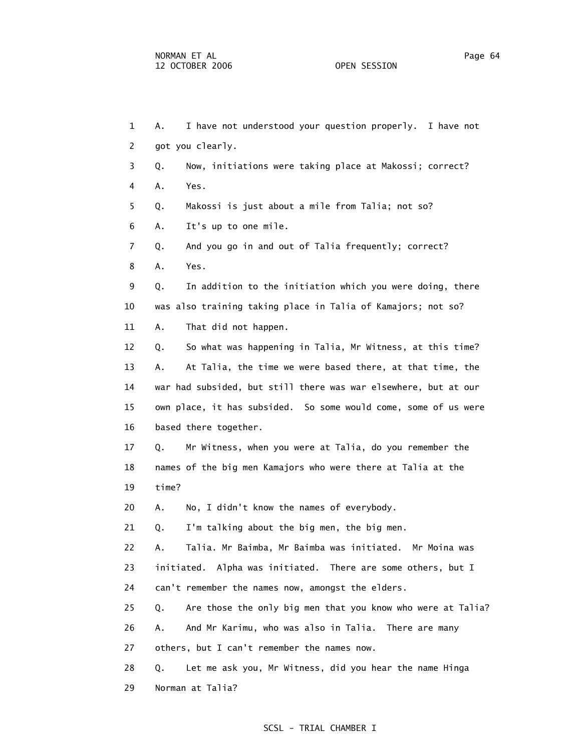1 A. I have not understood your question properly. I have not 2 got you clearly. 3 Q. Now, initiations were taking place at Makossi; correct? 4 A. Yes. 5 Q. Makossi is just about a mile from Talia; not so? 6 A. It's up to one mile. 7 Q. And you go in and out of Talia frequently; correct? 8 A. Yes. 9 Q. In addition to the initiation which you were doing, there 10 was also training taking place in Talia of Kamajors; not so? 11 A. That did not happen. 12 Q. So what was happening in Talia, Mr Witness, at this time? 13 A. At Talia, the time we were based there, at that time, the 14 war had subsided, but still there was war elsewhere, but at our 15 own place, it has subsided. So some would come, some of us were 16 based there together. 17 Q. Mr Witness, when you were at Talia, do you remember the 18 names of the big men Kamajors who were there at Talia at the 19 time? 20 A. No, I didn't know the names of everybody. 21 Q. I'm talking about the big men, the big men. 22 A. Talia. Mr Baimba, Mr Baimba was initiated. Mr Moina was 23 initiated. Alpha was initiated. There are some others, but I 24 can't remember the names now, amongst the elders. 25 Q. Are those the only big men that you know who were at Talia? 26 A. And Mr Karimu, who was also in Talia. There are many 27 others, but I can't remember the names now. 28 Q. Let me ask you, Mr Witness, did you hear the name Hinga

29 Norman at Talia?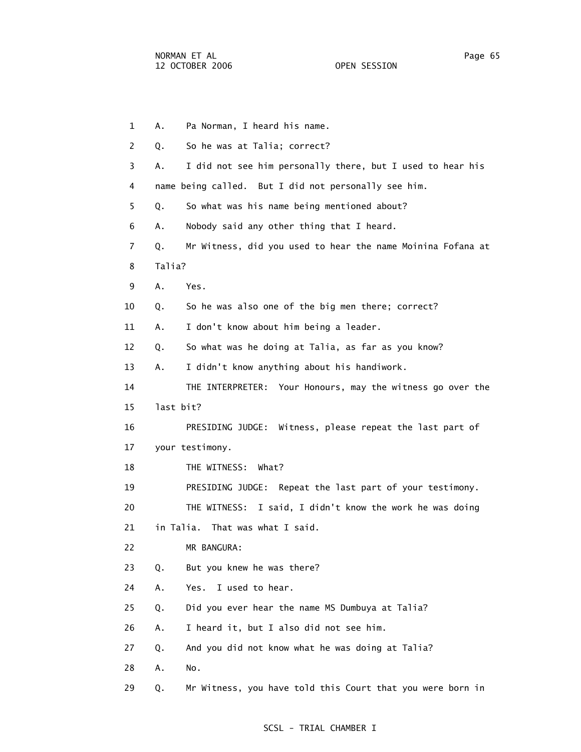1 A. Pa Norman, I heard his name. 2 Q. So he was at Talia; correct? 3 A. I did not see him personally there, but I used to hear his 4 name being called. But I did not personally see him. 5 Q. So what was his name being mentioned about? 6 A. Nobody said any other thing that I heard. 7 Q. Mr Witness, did you used to hear the name Moinina Fofana at 8 Talia? 9 A. Yes. 10 Q. So he was also one of the big men there; correct? 11 A. I don't know about him being a leader. 12 Q. So what was he doing at Talia, as far as you know? 13 A. I didn't know anything about his handiwork. 14 THE INTERPRETER: Your Honours, may the witness go over the 15 last bit? 16 PRESIDING JUDGE: Witness, please repeat the last part of 17 your testimony. 18 THE WITNESS: What? 19 PRESIDING JUDGE: Repeat the last part of your testimony. 20 THE WITNESS: I said, I didn't know the work he was doing 21 in Talia. That was what I said. 22 MR BANGURA: 23 Q. But you knew he was there? 24 A. Yes. I used to hear. 25 Q. Did you ever hear the name MS Dumbuya at Talia? 26 A. I heard it, but I also did not see him. 27 Q. And you did not know what he was doing at Talia? 28 A. No. 29 Q. Mr Witness, you have told this Court that you were born in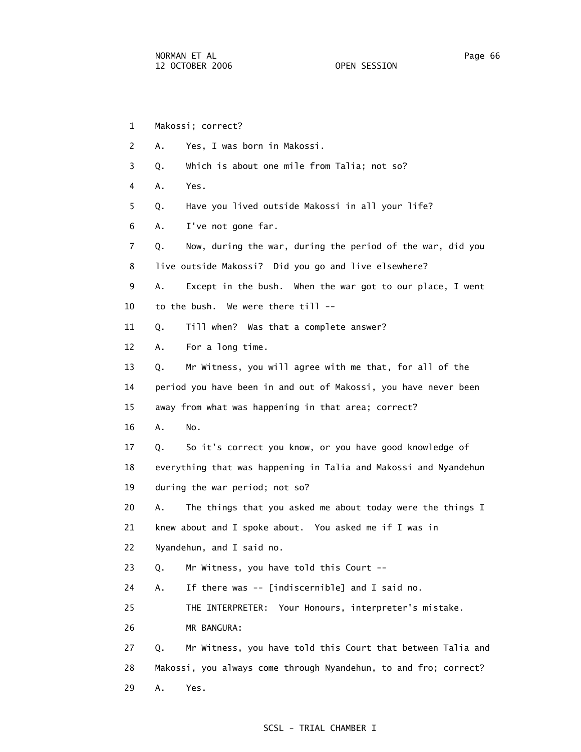1 Makossi; correct? 2 A. Yes, I was born in Makossi. 3 Q. Which is about one mile from Talia; not so? 4 A. Yes. 5 Q. Have you lived outside Makossi in all your life? 6 A. I've not gone far. 7 Q. Now, during the war, during the period of the war, did you 8 live outside Makossi? Did you go and live elsewhere? 9 A. Except in the bush. When the war got to our place, I went 10 to the bush. We were there till -- 11 Q. Till when? Was that a complete answer? 12 A. For a long time. 13 Q. Mr Witness, you will agree with me that, for all of the 14 period you have been in and out of Makossi, you have never been 15 away from what was happening in that area; correct? 16 A. No. 17 Q. So it's correct you know, or you have good knowledge of 18 everything that was happening in Talia and Makossi and Nyandehun 19 during the war period; not so? 20 A. The things that you asked me about today were the things I 21 knew about and I spoke about. You asked me if I was in 22 Nyandehun, and I said no. 23 Q. Mr Witness, you have told this Court -- 24 A. If there was -- [indiscernible] and I said no. 25 THE INTERPRETER: Your Honours, interpreter's mistake. 26 MR BANGURA: 27 Q. Mr Witness, you have told this Court that between Talia and 28 Makossi, you always come through Nyandehun, to and fro; correct? 29 A. Yes.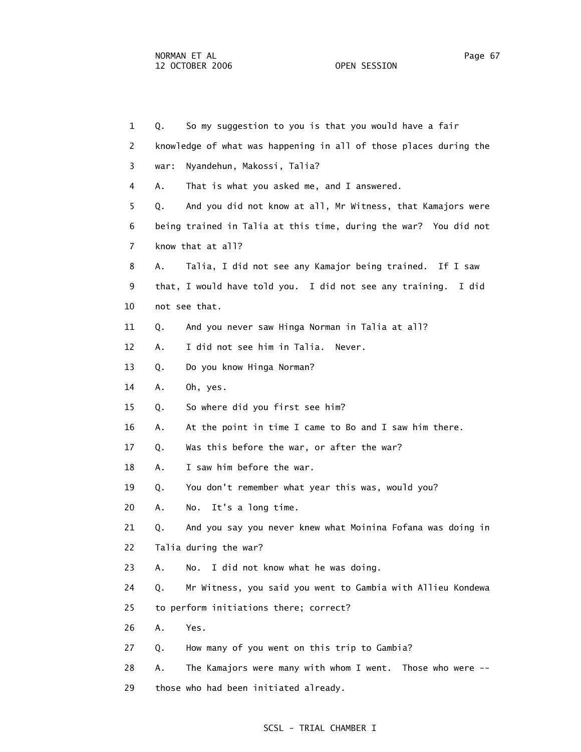1 Q. So my suggestion to you is that you would have a fair 2 knowledge of what was happening in all of those places during the 3 war: Nyandehun, Makossi, Talia? 4 A. That is what you asked me, and I answered. 5 Q. And you did not know at all, Mr Witness, that Kamajors were 6 being trained in Talia at this time, during the war? You did not 7 know that at all? 8 A. Talia, I did not see any Kamajor being trained. If I saw 9 that, I would have told you. I did not see any training. I did 10 not see that. 11 Q. And you never saw Hinga Norman in Talia at all? 12 A. I did not see him in Talia. Never. 13 Q. Do you know Hinga Norman? 14 A. Oh, yes. 15 Q. So where did you first see him? 16 A. At the point in time I came to Bo and I saw him there. 17 Q. Was this before the war, or after the war? 18 A. I saw him before the war. 19 Q. You don't remember what year this was, would you? 20 A. No. It's a long time. 21 Q. And you say you never knew what Moinina Fofana was doing in 22 Talia during the war? 23 A. No. I did not know what he was doing. 24 Q. Mr Witness, you said you went to Gambia with Allieu Kondewa 25 to perform initiations there; correct? 26 A. Yes. 27 Q. How many of you went on this trip to Gambia? 28 A. The Kamajors were many with whom I went. Those who were -- 29 those who had been initiated already.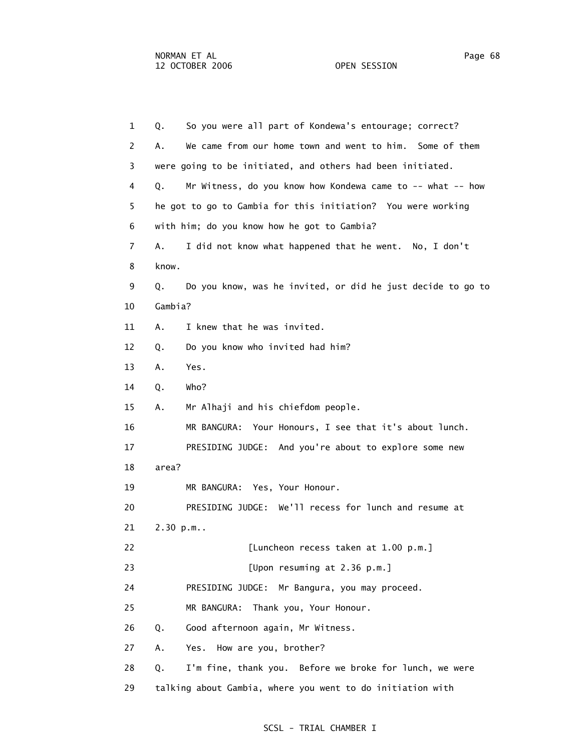1 Q. So you were all part of Kondewa's entourage; correct? 2 A. We came from our home town and went to him. Some of them 3 were going to be initiated, and others had been initiated. 4 Q. Mr Witness, do you know how Kondewa came to -- what -- how 5 he got to go to Gambia for this initiation? You were working 6 with him; do you know how he got to Gambia? 7 A. I did not know what happened that he went. No, I don't 8 know. 9 Q. Do you know, was he invited, or did he just decide to go to 10 Gambia? 11 A. I knew that he was invited. 12 Q. Do you know who invited had him? 13 A. Yes. 14 Q. Who? 15 A. Mr Alhaji and his chiefdom people. 16 MR BANGURA: Your Honours, I see that it's about lunch. 17 PRESIDING JUDGE: And you're about to explore some new 18 area? 19 MR BANGURA: Yes, Your Honour. 20 PRESIDING JUDGE: We'll recess for lunch and resume at 21 2.30 p.m.. 22 [Luncheon recess taken at 1.00 p.m.] 23 **Elercisies** [Upon resuming at 2.36 p.m.] 24 PRESIDING JUDGE: Mr Bangura, you may proceed. 25 MR BANGURA: Thank you, Your Honour. 26 Q. Good afternoon again, Mr Witness. 27 A. Yes. How are you, brother? 28 Q. I'm fine, thank you. Before we broke for lunch, we were 29 talking about Gambia, where you went to do initiation with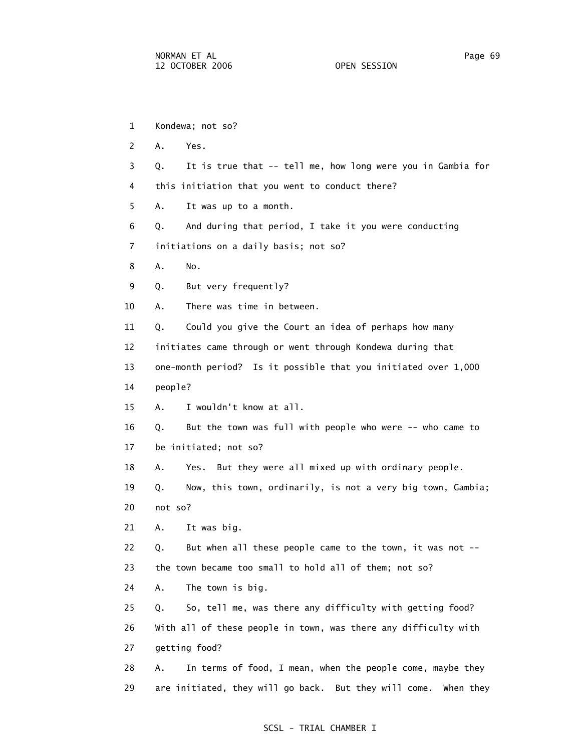1 Kondewa; not so? 2 A. Yes. 3 Q. It is true that -- tell me, how long were you in Gambia for 4 this initiation that you went to conduct there? 5 A. It was up to a month. 6 Q. And during that period, I take it you were conducting 7 initiations on a daily basis; not so? 8 A. No. 9 Q. But very frequently? 10 A. There was time in between. 11 Q. Could you give the Court an idea of perhaps how many 12 initiates came through or went through Kondewa during that 13 one-month period? Is it possible that you initiated over 1,000 14 people? 15 A. I wouldn't know at all. 16 Q. But the town was full with people who were -- who came to 17 be initiated; not so? 18 A. Yes. But they were all mixed up with ordinary people. 19 Q. Now, this town, ordinarily, is not a very big town, Gambia; 20 not so? 21 A. It was big. 22 Q. But when all these people came to the town, it was not -- 23 the town became too small to hold all of them; not so? 24 A. The town is big. 25 Q. So, tell me, was there any difficulty with getting food? 26 With all of these people in town, was there any difficulty with 27 getting food? 28 A. In terms of food, I mean, when the people come, maybe they 29 are initiated, they will go back. But they will come. When they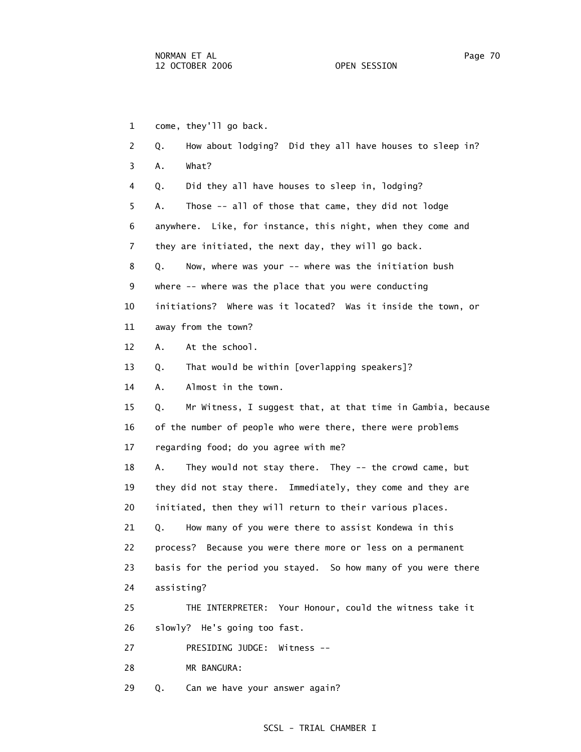1 come, they'll go back. 2 Q. How about lodging? Did they all have houses to sleep in? 3 A. What? 4 Q. Did they all have houses to sleep in, lodging? 5 A. Those -- all of those that came, they did not lodge 6 anywhere. Like, for instance, this night, when they come and 7 they are initiated, the next day, they will go back. 8 Q. Now, where was your -- where was the initiation bush 9 where -- where was the place that you were conducting 10 initiations? Where was it located? Was it inside the town, or 11 away from the town? 12 A. At the school. 13 Q. That would be within [overlapping speakers]? 14 A. Almost in the town. 15 Q. Mr Witness, I suggest that, at that time in Gambia, because 16 of the number of people who were there, there were problems 17 regarding food; do you agree with me? 18 A. They would not stay there. They -- the crowd came, but 19 they did not stay there. Immediately, they come and they are 20 initiated, then they will return to their various places. 21 Q. How many of you were there to assist Kondewa in this 22 process? Because you were there more or less on a permanent 23 basis for the period you stayed. So how many of you were there 24 assisting? 25 THE INTERPRETER: Your Honour, could the witness take it 26 slowly? He's going too fast. 27 PRESIDING JUDGE: Witness -- 28 MR BANGURA:

29 Q. Can we have your answer again?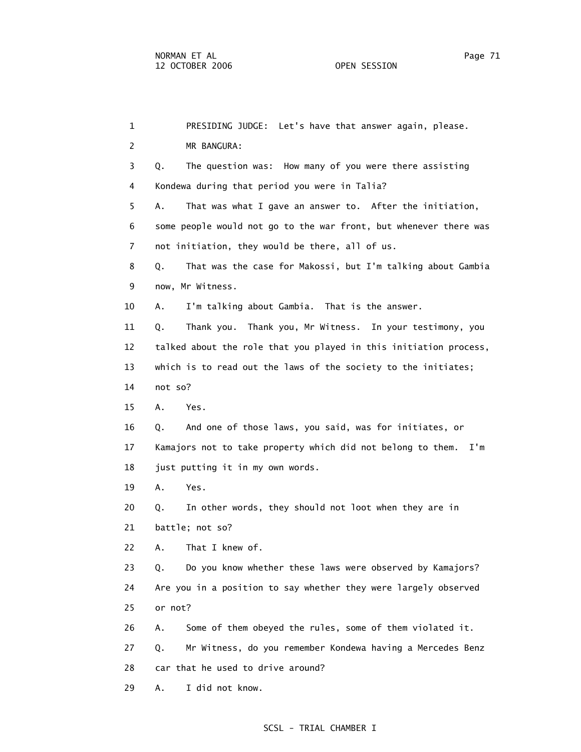| $\mathbf{1}$   | PRESIDING JUDGE: Let's have that answer again, please.            |
|----------------|-------------------------------------------------------------------|
| 2              | MR BANGURA:                                                       |
| 3              | The question was: How many of you were there assisting<br>Q.      |
| 4              | Kondewa during that period you were in Talia?                     |
| 5              | Α.<br>That was what I gave an answer to. After the initiation,    |
| 6              | some people would not go to the war front, but whenever there was |
| $\overline{7}$ | not initiation, they would be there, all of us.                   |
| 8              | That was the case for Makossi, but I'm talking about Gambia<br>Q. |
| 9              | now, Mr Witness.                                                  |
| 10             | I'm talking about Gambia. That is the answer.<br>Α.               |
| 11             | Thank you. Thank you, Mr Witness. In your testimony, you<br>Q.    |
| 12             | talked about the role that you played in this initiation process, |
| 13             | which is to read out the laws of the society to the initiates;    |
| 14             | not so?                                                           |
| 15             | Yes.<br>Α.                                                        |
| 16             | And one of those laws, you said, was for initiates, or<br>Q.      |
| 17             | Kamajors not to take property which did not belong to them. I'm   |
| 18             | just putting it in my own words.                                  |
| 19             | Α.<br>Yes.                                                        |
| 20             | In other words, they should not loot when they are in<br>Q.       |
| 21             | battle; not so?                                                   |
| 22             | That I knew of.<br>A.                                             |
| 23             | Do you know whether these laws were observed by Kamajors?<br>Q.   |
| 24             | Are you in a position to say whether they were largely observed   |
| 25             | or not?                                                           |
| 26             | Some of them obeyed the rules, some of them violated it.<br>Α.    |
| 27             | Mr Witness, do you remember Kondewa having a Mercedes Benz<br>Q.  |
| 28             | car that he used to drive around?                                 |
| 29             | I did not know.<br>Α.                                             |
|                |                                                                   |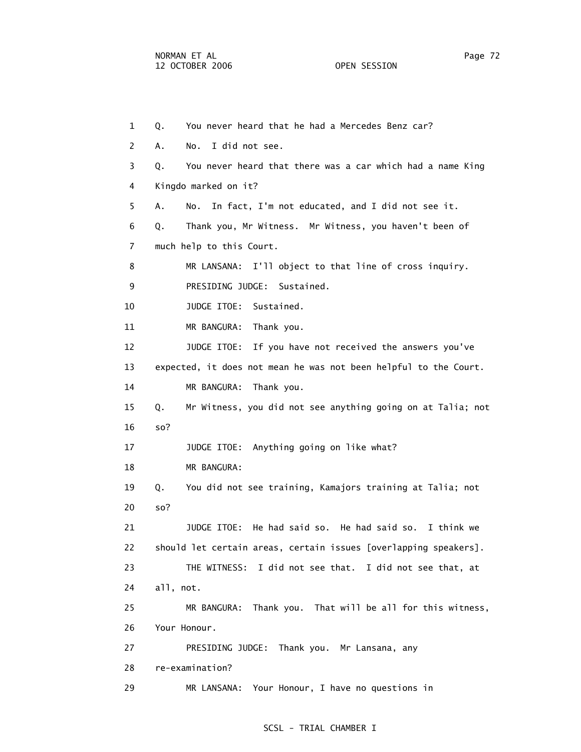1 Q. You never heard that he had a Mercedes Benz car? 2 A. No. I did not see. 3 Q. You never heard that there was a car which had a name King 4 Kingdo marked on it? 5 A. No. In fact, I'm not educated, and I did not see it. 6 Q. Thank you, Mr Witness. Mr Witness, you haven't been of 7 much help to this Court. 8 MR LANSANA: I'll object to that line of cross inquiry. 9 PRESIDING JUDGE: Sustained. 10 JUDGE ITOE: Sustained. 11 MR BANGURA: Thank you. 12 JUDGE ITOE: If you have not received the answers you've 13 expected, it does not mean he was not been helpful to the Court. 14 MR BANGURA: Thank you. 15 Q. Mr Witness, you did not see anything going on at Talia; not 16 so? 17 JUDGE ITOE: Anything going on like what? 18 MR BANGURA: 19 Q. You did not see training, Kamajors training at Talia; not 20 so? 21 JUDGE ITOE: He had said so. He had said so. I think we 22 should let certain areas, certain issues [overlapping speakers]. 23 THE WITNESS: I did not see that. I did not see that, at 24 all, not. 25 MR BANGURA: Thank you. That will be all for this witness, 26 Your Honour. 27 PRESIDING JUDGE: Thank you. Mr Lansana, any 28 re-examination? 29 MR LANSANA: Your Honour, I have no questions in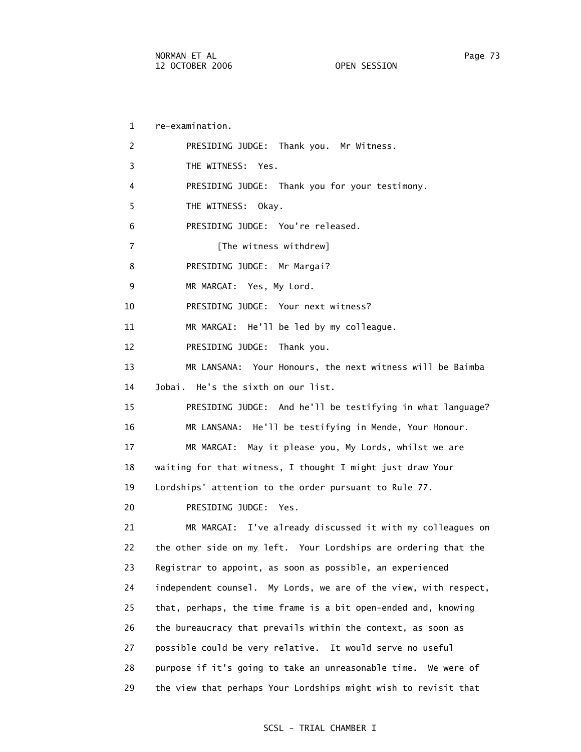1 re-examination. 2 PRESIDING JUDGE: Thank you. Mr Witness. 3 THE WITNESS: Yes. 4 PRESIDING JUDGE: Thank you for your testimony. 5 THE WITNESS: Okay. 6 PRESIDING JUDGE: You're released. 7 [The witness withdrew] 8 PRESIDING JUDGE: Mr Margai? 9 MR MARGAI: Yes, My Lord. 10 PRESIDING JUDGE: Your next witness? 11 MR MARGAI: He'll be led by my colleague. 12 PRESIDING JUDGE: Thank you. 13 MR LANSANA: Your Honours, the next witness will be Baimba 14 Jobai. He's the sixth on our list. 15 PRESIDING JUDGE: And he'll be testifying in what language? 16 MR LANSANA: He'll be testifying in Mende, Your Honour. 17 MR MARGAI: May it please you, My Lords, whilst we are 18 waiting for that witness, I thought I might just draw Your 19 Lordships' attention to the order pursuant to Rule 77. 20 PRESIDING JUDGE: Yes. 21 MR MARGAI: I've already discussed it with my colleagues on 22 the other side on my left. Your Lordships are ordering that the 23 Registrar to appoint, as soon as possible, an experienced 24 independent counsel. My Lords, we are of the view, with respect, 25 that, perhaps, the time frame is a bit open-ended and, knowing 26 the bureaucracy that prevails within the context, as soon as 27 possible could be very relative. It would serve no useful 28 purpose if it's going to take an unreasonable time. We were of 29 the view that perhaps Your Lordships might wish to revisit that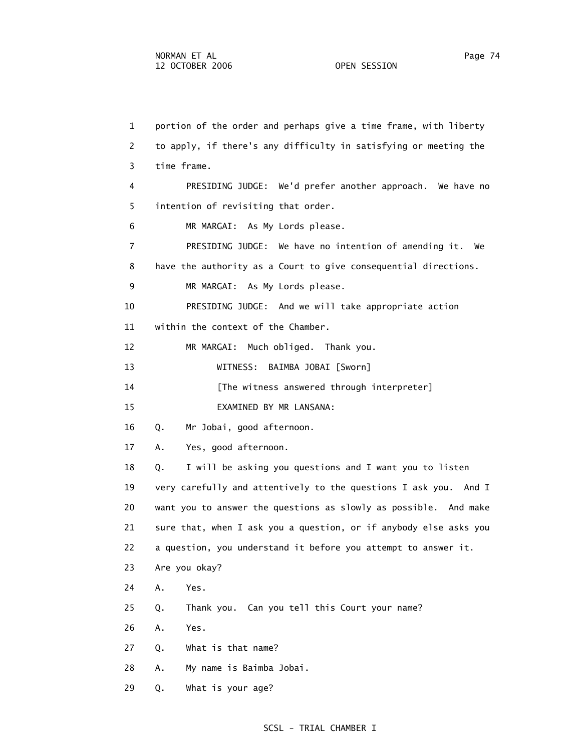1 portion of the order and perhaps give a time frame, with liberty 2 to apply, if there's any difficulty in satisfying or meeting the 3 time frame. 4 PRESIDING JUDGE: We'd prefer another approach. We have no 5 intention of revisiting that order. 6 MR MARGAI: As My Lords please. 7 PRESIDING JUDGE: We have no intention of amending it. We 8 have the authority as a Court to give consequential directions. 9 MR MARGAI: As My Lords please. 10 PRESIDING JUDGE: And we will take appropriate action 11 within the context of the Chamber. 12 MR MARGAI: Much obliged. Thank you. 13 WITNESS: BAIMBA JOBAI [Sworn] 14 [The witness answered through interpreter] 15 EXAMINED BY MR LANSANA: 16 Q. Mr Jobai, good afternoon. 17 A. Yes, good afternoon. 18 Q. I will be asking you questions and I want you to listen 19 very carefully and attentively to the questions I ask you. And I 20 want you to answer the questions as slowly as possible. And make 21 sure that, when I ask you a question, or if anybody else asks you 22 a question, you understand it before you attempt to answer it. 23 Are you okay? 24 A. Yes. 25 Q. Thank you. Can you tell this Court your name? 26 A. Yes. 27 Q. What is that name? 28 A. My name is Baimba Jobai.

29 Q. What is your age?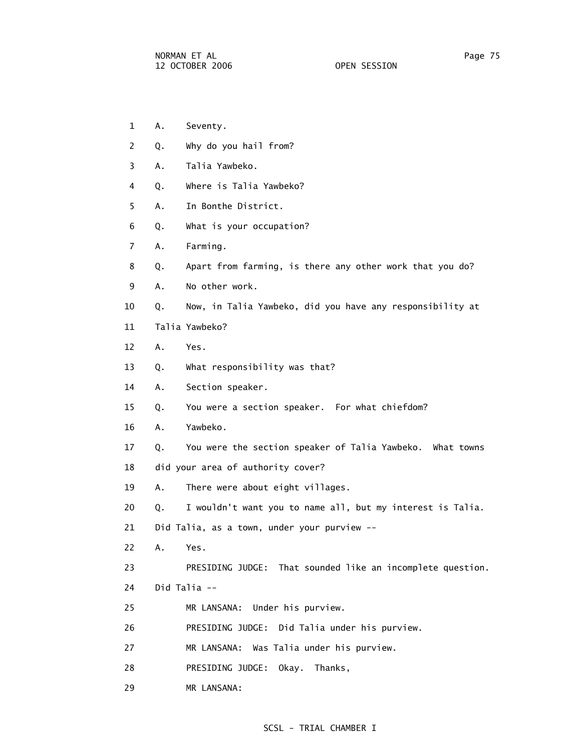- 1 A. Seventy.
- 2 Q. Why do you hail from?
- 3 A. Talia Yawbeko.
- 4 Q. Where is Talia Yawbeko?
- 5 A. In Bonthe District.
- 6 Q. What is your occupation?
- 7 A. Farming.
- 8 Q. Apart from farming, is there any other work that you do?
- 9 A. No other work.
- 10 Q. Now, in Talia Yawbeko, did you have any responsibility at
- 11 Talia Yawbeko?
- 12 A. Yes.
- 13 Q. What responsibility was that?
- 14 A. Section speaker.
- 15 Q. You were a section speaker. For what chiefdom?
- 16 A. Yawbeko.
- 17 Q. You were the section speaker of Talia Yawbeko. What towns
- 18 did your area of authority cover?
- 19 A. There were about eight villages.
- 20 Q. I wouldn't want you to name all, but my interest is Talia.
- 21 Did Talia, as a town, under your purview --
- 22 A. Yes.
- 23 PRESIDING JUDGE: That sounded like an incomplete question.
- 24 Did Talia --
- 25 MR LANSANA: Under his purview.
- 26 PRESIDING JUDGE: Did Talia under his purview.
- 27 MR LANSANA: Was Talia under his purview.
- 28 PRESIDING JUDGE: Okay. Thanks,
- 29 MR LANSANA: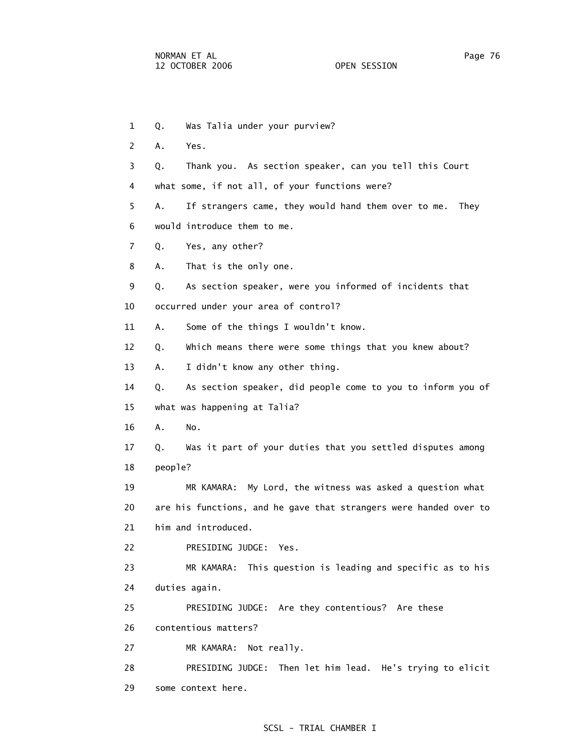1 Q. Was Talia under your purview? 2 A. Yes. 3 Q. Thank you. As section speaker, can you tell this Court 4 what some, if not all, of your functions were? 5 A. If strangers came, they would hand them over to me. They 6 would introduce them to me. 7 Q. Yes, any other? 8 A. That is the only one. 9 Q. As section speaker, were you informed of incidents that 10 occurred under your area of control? 11 A. Some of the things I wouldn't know. 12 Q. Which means there were some things that you knew about? 13 A. I didn't know any other thing. 14 Q. As section speaker, did people come to you to inform you of 15 what was happening at Talia? 16 A. No. 17 Q. Was it part of your duties that you settled disputes among 18 people? 19 MR KAMARA: My Lord, the witness was asked a question what 20 are his functions, and he gave that strangers were handed over to 21 him and introduced. 22 PRESIDING JUDGE: Yes. 23 MR KAMARA: This question is leading and specific as to his 24 duties again. 25 PRESIDING JUDGE: Are they contentious? Are these 26 contentious matters? 27 MR KAMARA: Not really. 28 PRESIDING JUDGE: Then let him lead. He's trying to elicit 29 some context here.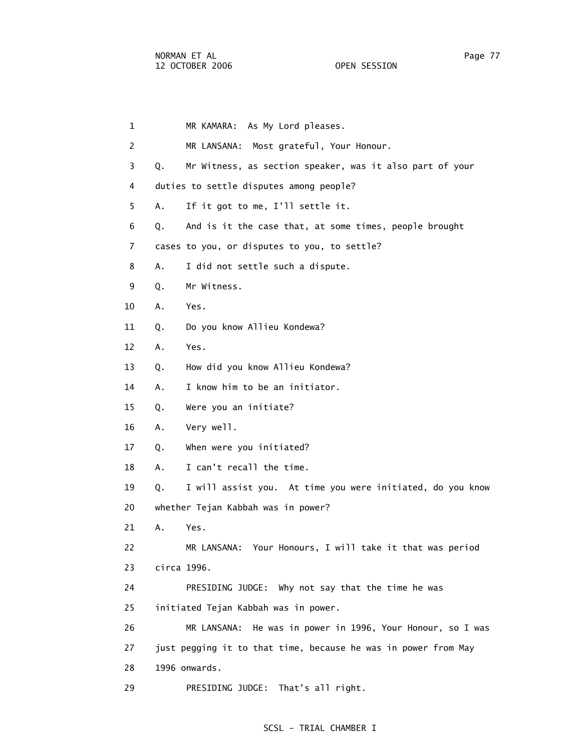1 MR KAMARA: As My Lord pleases. 2 MR LANSANA: Most grateful, Your Honour. 3 Q. Mr Witness, as section speaker, was it also part of your 4 duties to settle disputes among people? 5 A. If it got to me, I'll settle it. 6 Q. And is it the case that, at some times, people brought 7 cases to you, or disputes to you, to settle? 8 A. I did not settle such a dispute. 9 Q. Mr Witness. 10 A. Yes. 11 Q. Do you know Allieu Kondewa? 12 A. Yes. 13 Q. How did you know Allieu Kondewa? 14 A. I know him to be an initiator. 15 Q. Were you an initiate? 16 A. Very well. 17 Q. When were you initiated? 18 A. I can't recall the time. 19 Q. I will assist you. At time you were initiated, do you know 20 whether Tejan Kabbah was in power? 21 A. Yes. 22 MR LANSANA: Your Honours, I will take it that was period 23 circa 1996. 24 PRESIDING JUDGE: Why not say that the time he was 25 initiated Tejan Kabbah was in power. 26 MR LANSANA: He was in power in 1996, Your Honour, so I was 27 just pegging it to that time, because he was in power from May 28 1996 onwards. 29 PRESIDING JUDGE: That's all right.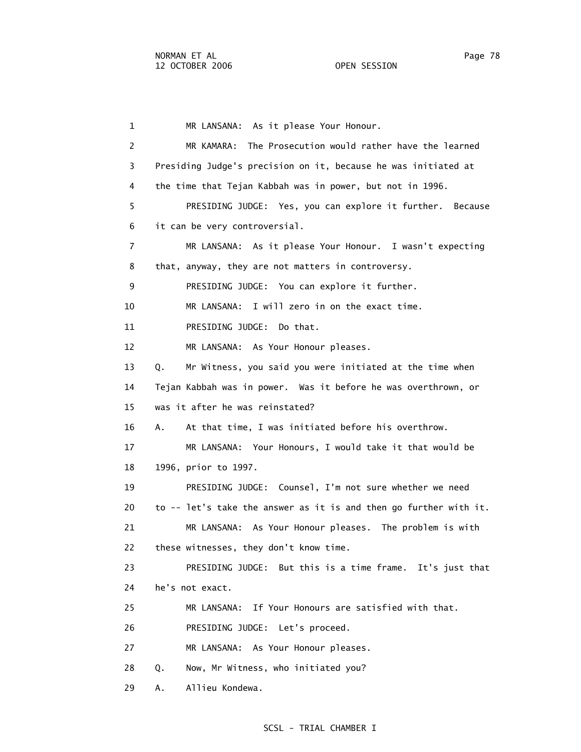1 MR LANSANA: As it please Your Honour. 2 MR KAMARA: The Prosecution would rather have the learned 3 Presiding Judge's precision on it, because he was initiated at 4 the time that Tejan Kabbah was in power, but not in 1996. 5 PRESIDING JUDGE: Yes, you can explore it further. Because 6 it can be very controversial. 7 MR LANSANA: As it please Your Honour. I wasn't expecting 8 that, anyway, they are not matters in controversy. 9 PRESIDING JUDGE: You can explore it further. 10 MR LANSANA: I will zero in on the exact time. 11 PRESIDING JUDGE: Do that. 12 MR LANSANA: As Your Honour pleases. 13 Q. Mr Witness, you said you were initiated at the time when 14 Tejan Kabbah was in power. Was it before he was overthrown, or 15 was it after he was reinstated? 16 A. At that time, I was initiated before his overthrow. 17 MR LANSANA: Your Honours, I would take it that would be 18 1996, prior to 1997. 19 PRESIDING JUDGE: Counsel, I'm not sure whether we need 20 to -- let's take the answer as it is and then go further with it. 21 MR LANSANA: As Your Honour pleases. The problem is with 22 these witnesses, they don't know time. 23 PRESIDING JUDGE: But this is a time frame. It's just that 24 he's not exact. 25 MR LANSANA: If Your Honours are satisfied with that. 26 PRESIDING JUDGE: Let's proceed. 27 MR LANSANA: As Your Honour pleases. 28 Q. Now, Mr Witness, who initiated you? 29 A. Allieu Kondewa.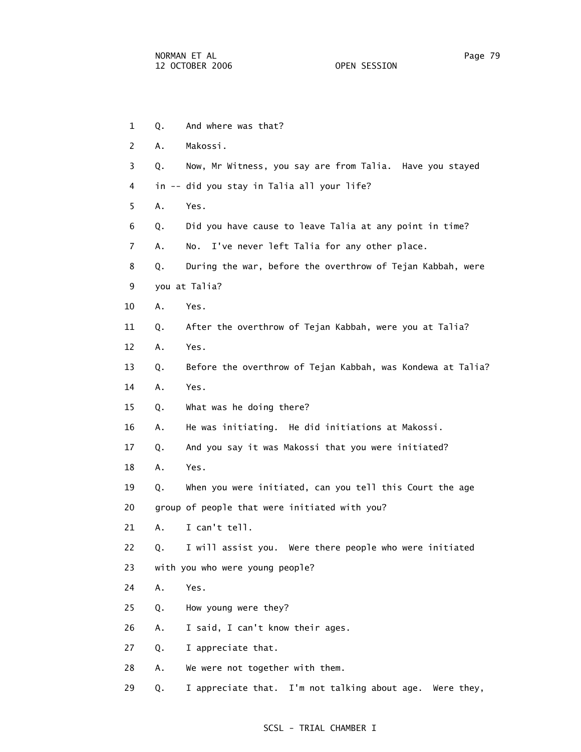- 1 0. And where was that? 2 A. Makossi. 3 Q. Now, Mr Witness, you say are from Talia. Have you stayed 4 in -- did you stay in Talia all your life? 5 A. Yes. 6 Q. Did you have cause to leave Talia at any point in time? 7 A. No. I've never left Talia for any other place. 8 Q. During the war, before the overthrow of Tejan Kabbah, were 9 you at Talia? 10 A. Yes. 11 Q. After the overthrow of Tejan Kabbah, were you at Talia? 12 A. Yes. 13 Q. Before the overthrow of Tejan Kabbah, was Kondewa at Talia? 14 A. Yes. 15 Q. What was he doing there? 16 A. He was initiating. He did initiations at Makossi. 17 Q. And you say it was Makossi that you were initiated? 18 A. Yes. 19 Q. When you were initiated, can you tell this Court the age 20 group of people that were initiated with you? 21 A. I can't tell. 22 Q. I will assist you. Were there people who were initiated 23 with you who were young people? 24 A. Yes. 25 Q. How young were they? 26 A. I said, I can't know their ages. 27 Q. I appreciate that. 28 A. We were not together with them.
- 29 Q. I appreciate that. I'm not talking about age. Were they,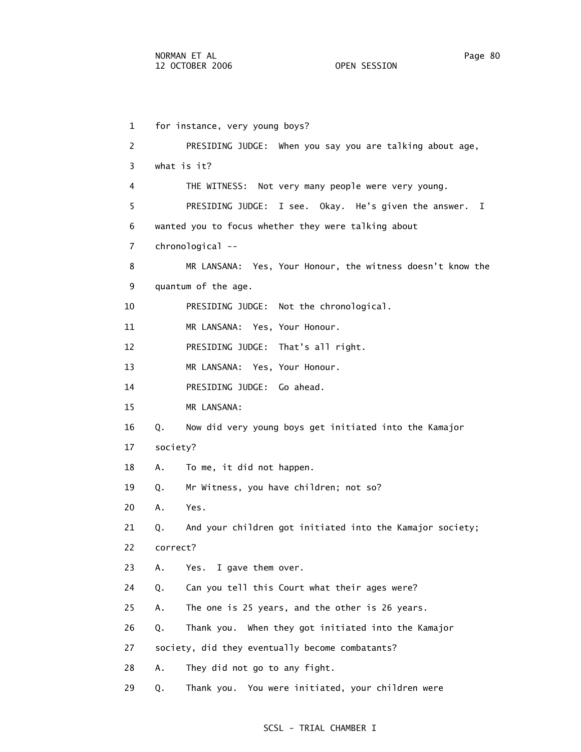1 for instance, very young boys? 2 PRESIDING JUDGE: When you say you are talking about age, 3 what is it? 4 THE WITNESS: Not very many people were very young. 5 PRESIDING JUDGE: I see. Okay. He's given the answer. I 6 wanted you to focus whether they were talking about 7 chronological -- 8 MR LANSANA: Yes, Your Honour, the witness doesn't know the 9 quantum of the age. 10 PRESIDING JUDGE: Not the chronological. 11 MR LANSANA: Yes, Your Honour. 12 PRESIDING JUDGE: That's all right. 13 MR LANSANA: Yes, Your Honour. 14 PRESIDING JUDGE: Go ahead. 15 MR LANSANA: 16 Q. Now did very young boys get initiated into the Kamajor 17 society? 18 A. To me, it did not happen. 19 Q. Mr Witness, you have children; not so? 20 A. Yes. 21 Q. And your children got initiated into the Kamajor society; 22 correct? 23 A. Yes. I gave them over. 24 Q. Can you tell this Court what their ages were? 25 A. The one is 25 years, and the other is 26 years. 26 Q. Thank you. When they got initiated into the Kamajor 27 society, did they eventually become combatants? 28 A. They did not go to any fight. 29 Q. Thank you. You were initiated, your children were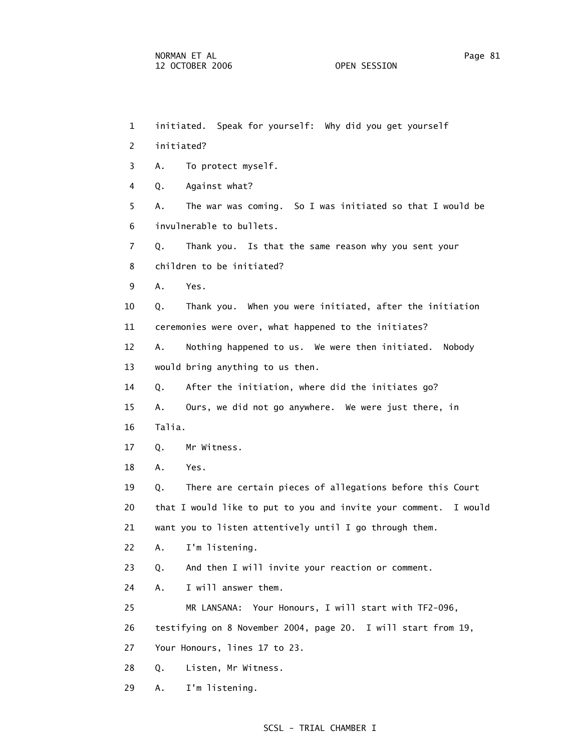| $\mathbf{1}$   | initiated. Speak for yourself: Why did you get yourself             |
|----------------|---------------------------------------------------------------------|
| 2              | initiated?                                                          |
| 3              | To protect myself.<br>Α.                                            |
| 4              | Against what?<br>Q.                                                 |
| 5              | The war was coming. So I was initiated so that I would be<br>А.     |
| 6              | invulnerable to bullets.                                            |
| $\overline{7}$ | Thank you. Is that the same reason why you sent your<br>Q.          |
| 8              | children to be initiated?                                           |
| 9              | Α.<br>Yes.                                                          |
| 10             | Thank you. When you were initiated, after the initiation<br>Q.      |
| 11             | ceremonies were over, what happened to the initiates?               |
| 12             | Nothing happened to us. We were then initiated.<br>Α.<br>Nobody     |
| 13             | would bring anything to us then.                                    |
| 14             | After the initiation, where did the initiates go?<br>Q.             |
| 15             | Ours, we did not go anywhere. We were just there, in<br>Α.          |
| 16             | Talia.                                                              |
| 17             | Mr Witness.<br>Q.                                                   |
| 18             | Α.<br>Yes.                                                          |
| 19             | There are certain pieces of allegations before this Court<br>Q.     |
| 20             | that I would like to put to you and invite your comment.<br>I would |
| 21             | want you to listen attentively until I go through them.             |
| 22             | I'm listening.<br>Α.                                                |
| 23             | And then I will invite your reaction or comment.<br>Q.              |
| 24             | I will answer them.<br>Α.                                           |
| 25             | MR LANSANA: Your Honours, I will start with TF2-096,                |
| 26             | testifying on 8 November 2004, page 20. I will start from 19,       |
| 27             | Your Honours, lines 17 to 23.                                       |
| 28             | Listen, Mr Witness.<br>Q.                                           |
|                |                                                                     |

29 A. I'm listening.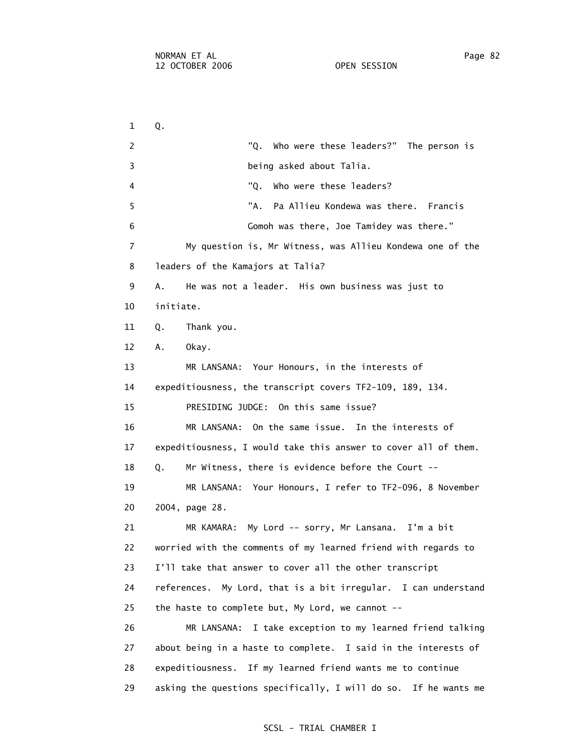1 Q. 2 The person is "Q. Who were these leaders?" The person is 3 being asked about Talia. 4 "Q. Who were these leaders? 5 "A. Pa Allieu Kondewa was there. Francis 6 Gomoh was there, Joe Tamidey was there." 7 My question is, Mr Witness, was Allieu Kondewa one of the 8 leaders of the Kamajors at Talia? 9 A. He was not a leader. His own business was just to 10 initiate. 11 Q. Thank you. 12 A. Okay. 13 MR LANSANA: Your Honours, in the interests of 14 expeditiousness, the transcript covers TF2-109, 189, 134. 15 PRESIDING JUDGE: On this same issue? 16 MR LANSANA: On the same issue. In the interests of 17 expeditiousness, I would take this answer to cover all of them. 18 Q. Mr Witness, there is evidence before the Court -- 19 MR LANSANA: Your Honours, I refer to TF2-096, 8 November 20 2004, page 28. 21 MR KAMARA: My Lord -- sorry, Mr Lansana. I'm a bit 22 worried with the comments of my learned friend with regards to 23 I'll take that answer to cover all the other transcript 24 references. My Lord, that is a bit irregular. I can understand 25 the haste to complete but, My Lord, we cannot -- 26 MR LANSANA: I take exception to my learned friend talking 27 about being in a haste to complete. I said in the interests of 28 expeditiousness. If my learned friend wants me to continue 29 asking the questions specifically, I will do so. If he wants me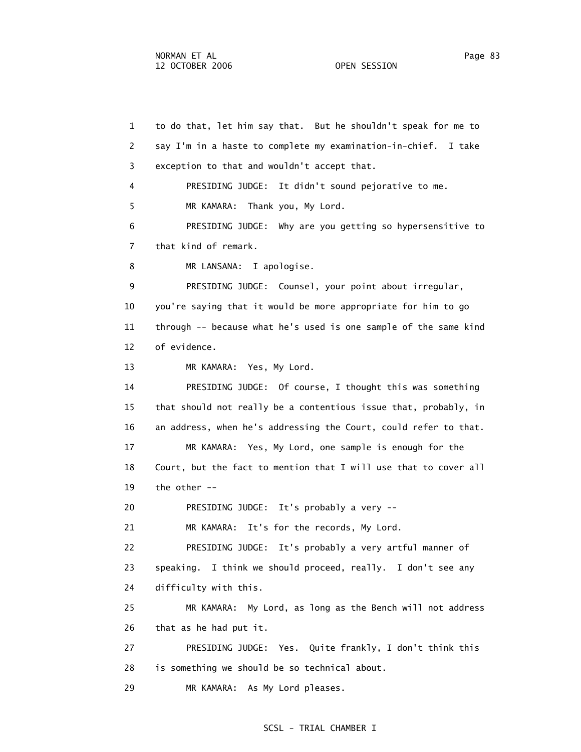1 to do that, let him say that. But he shouldn't speak for me to 2 say I'm in a haste to complete my examination-in-chief. I take 3 exception to that and wouldn't accept that. 4 PRESIDING JUDGE: It didn't sound pejorative to me. 5 MR KAMARA: Thank you, My Lord. 6 PRESIDING JUDGE: Why are you getting so hypersensitive to 7 that kind of remark. 8 MR LANSANA: I apologise. 9 PRESIDING JUDGE: Counsel, your point about irregular, 10 you're saying that it would be more appropriate for him to go 11 through -- because what he's used is one sample of the same kind 12 of evidence. 13 MR KAMARA: Yes, My Lord. 14 PRESIDING JUDGE: Of course, I thought this was something 15 that should not really be a contentious issue that, probably, in 16 an address, when he's addressing the Court, could refer to that. 17 MR KAMARA: Yes, My Lord, one sample is enough for the 18 Court, but the fact to mention that I will use that to cover all 19 the other -- 20 PRESIDING JUDGE: It's probably a very -- 21 MR KAMARA: It's for the records, My Lord. 22 PRESIDING JUDGE: It's probably a very artful manner of 23 speaking. I think we should proceed, really. I don't see any 24 difficulty with this. 25 MR KAMARA: My Lord, as long as the Bench will not address 26 that as he had put it. 27 PRESIDING JUDGE: Yes. Quite frankly, I don't think this 28 is something we should be so technical about. 29 MR KAMARA: As My Lord pleases.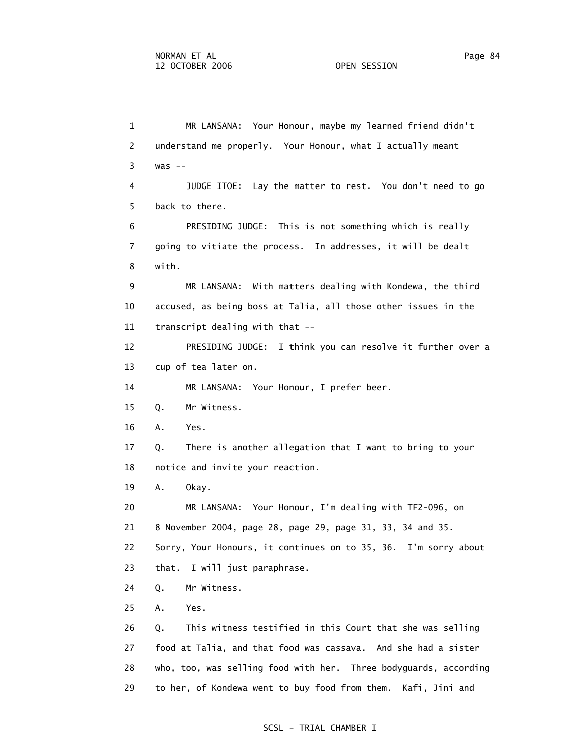1 MR LANSANA: Your Honour, maybe my learned friend didn't 2 understand me properly. Your Honour, what I actually meant 3 was -- 4 JUDGE ITOE: Lay the matter to rest. You don't need to go 5 back to there. 6 PRESIDING JUDGE: This is not something which is really 7 going to vitiate the process. In addresses, it will be dealt 8 with. 9 MR LANSANA: With matters dealing with Kondewa, the third 10 accused, as being boss at Talia, all those other issues in the 11 transcript dealing with that -- 12 PRESIDING JUDGE: I think you can resolve it further over a 13 cup of tea later on. 14 MR LANSANA: Your Honour, I prefer beer. 15 Q. Mr Witness. 16 A. Yes. 17 Q. There is another allegation that I want to bring to your 18 notice and invite your reaction. 19 A. Okay. 20 MR LANSANA: Your Honour, I'm dealing with TF2-096, on 21 8 November 2004, page 28, page 29, page 31, 33, 34 and 35. 22 Sorry, Your Honours, it continues on to 35, 36. I'm sorry about 23 that. I will just paraphrase. 24 Q. Mr Witness. 25 A. Yes. 26 Q. This witness testified in this Court that she was selling 27 food at Talia, and that food was cassava. And she had a sister 28 who, too, was selling food with her. Three bodyguards, according 29 to her, of Kondewa went to buy food from them. Kafi, Jini and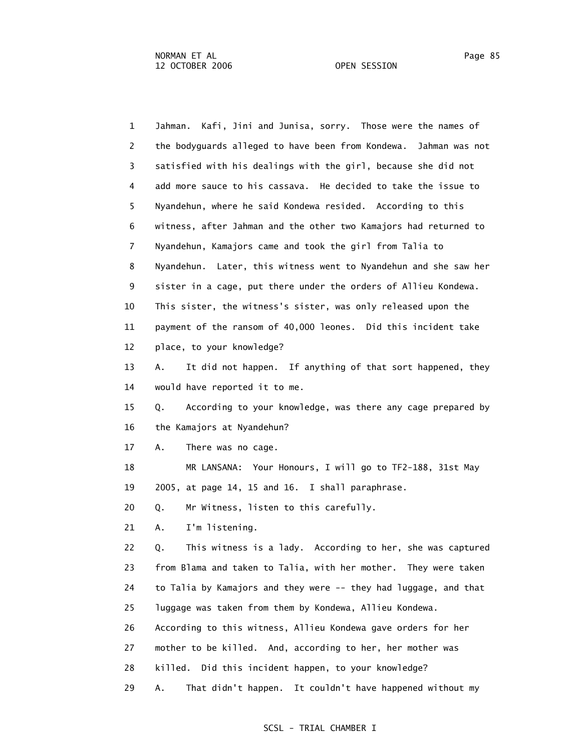1 Jahman. Kafi, Jini and Junisa, sorry. Those were the names of 2 the bodyguards alleged to have been from Kondewa. Jahman was not 3 satisfied with his dealings with the girl, because she did not 4 add more sauce to his cassava. He decided to take the issue to 5 Nyandehun, where he said Kondewa resided. According to this 6 witness, after Jahman and the other two Kamajors had returned to 7 Nyandehun, Kamajors came and took the girl from Talia to 8 Nyandehun. Later, this witness went to Nyandehun and she saw her 9 sister in a cage, put there under the orders of Allieu Kondewa. 10 This sister, the witness's sister, was only released upon the 11 payment of the ransom of 40,000 leones. Did this incident take 12 place, to your knowledge? 13 A. It did not happen. If anything of that sort happened, they 14 would have reported it to me. 15 Q. According to your knowledge, was there any cage prepared by 16 the Kamajors at Nyandehun? 17 A. There was no cage. 18 MR LANSANA: Your Honours, I will go to TF2-188, 31st May 19 2005, at page 14, 15 and 16. I shall paraphrase. 20 Q. Mr Witness, listen to this carefully. 21 A. I'm listening. 22 Q. This witness is a lady. According to her, she was captured 23 from Blama and taken to Talia, with her mother. They were taken 24 to Talia by Kamajors and they were -- they had luggage, and that 25 luggage was taken from them by Kondewa, Allieu Kondewa. 26 According to this witness, Allieu Kondewa gave orders for her 27 mother to be killed. And, according to her, her mother was 28 killed. Did this incident happen, to your knowledge? 29 A. That didn't happen. It couldn't have happened without my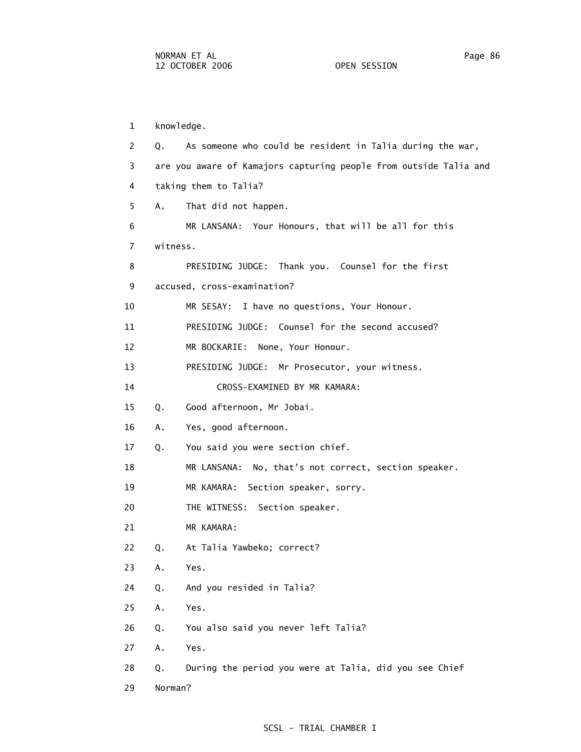1 knowledge. 2 Q. As someone who could be resident in Talia during the war, 3 are you aware of Kamajors capturing people from outside Talia and 4 taking them to Talia? 5 A. That did not happen. 6 MR LANSANA: Your Honours, that will be all for this 7 witness. 8 PRESIDING JUDGE: Thank you. Counsel for the first 9 accused, cross-examination? 10 MR SESAY: I have no questions, Your Honour. 11 PRESIDING JUDGE: Counsel for the second accused? 12 MR BOCKARIE: None, Your Honour. 13 PRESIDING JUDGE: Mr Prosecutor, your witness. 14 CROSS-EXAMINED BY MR KAMARA: 15 Q. Good afternoon, Mr Jobai. 16 A. Yes, good afternoon. 17 Q. You said you were section chief. 18 MR LANSANA: No, that's not correct, section speaker. 19 MR KAMARA: Section speaker, sorry. 20 THE WITNESS: Section speaker. 21 MR KAMARA: 22 Q. At Talia Yawbeko; correct? 23 A. Yes. 24 Q. And you resided in Talia? 25 A. Yes. 26 Q. You also said you never left Talia? 27 A. Yes. 28 Q. During the period you were at Talia, did you see Chief 29 Norman?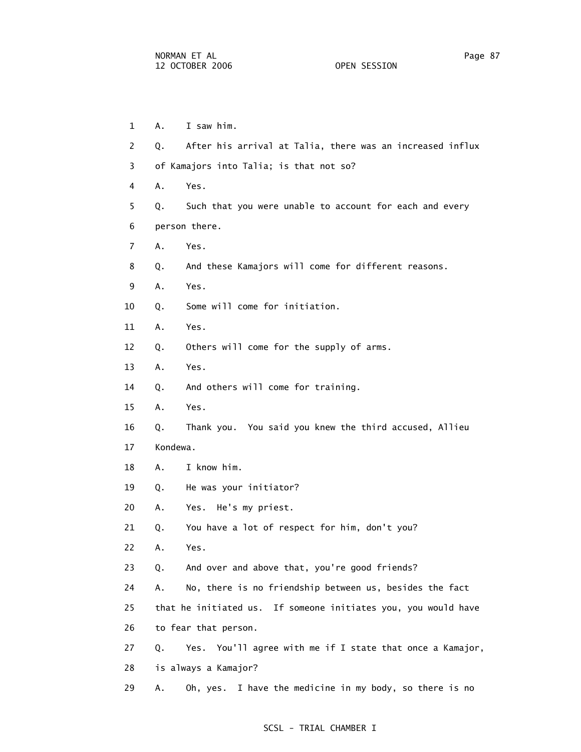1 A. I saw him. 2 Q. After his arrival at Talia, there was an increased influx 3 of Kamajors into Talia; is that not so? 4 A. Yes. 5 Q. Such that you were unable to account for each and every 6 person there. 7 A. Yes. 8 Q. And these Kamajors will come for different reasons. 9 A. Yes. 10 Q. Some will come for initiation. 11 A. Yes. 12 Q. Others will come for the supply of arms. 13 A. Yes. 14 Q. And others will come for training. 15 A. Yes. 16 Q. Thank you. You said you knew the third accused, Allieu 17 Kondewa. 18 A. I know him. 19 Q. He was your initiator? 20 A. Yes. He's my priest. 21 Q. You have a lot of respect for him, don't you? 22 A. Yes. 23 Q. And over and above that, you're good friends? 24 A. No, there is no friendship between us, besides the fact 25 that he initiated us. If someone initiates you, you would have 26 to fear that person. 27 Q. Yes. You'll agree with me if I state that once a Kamajor, 28 is always a Kamajor? 29 A. Oh, yes. I have the medicine in my body, so there is no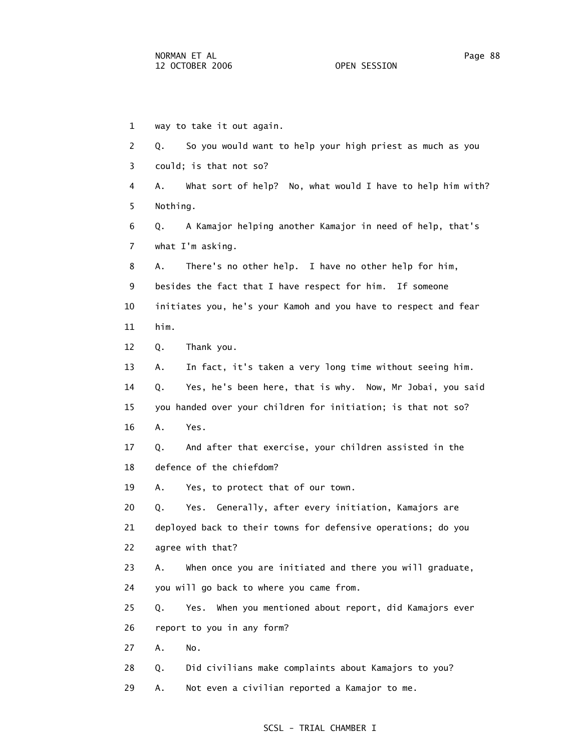1 way to take it out again. 2 Q. So you would want to help your high priest as much as you 3 could; is that not so? 4 A. What sort of help? No, what would I have to help him with? 5 Nothing. 6 Q. A Kamajor helping another Kamajor in need of help, that's 7 what I'm asking. 8 A. There's no other help. I have no other help for him, 9 besides the fact that I have respect for him. If someone 10 initiates you, he's your Kamoh and you have to respect and fear 11 him. 12 Q. Thank you. 13 A. In fact, it's taken a very long time without seeing him. 14 Q. Yes, he's been here, that is why. Now, Mr Jobai, you said 15 you handed over your children for initiation; is that not so? 16 A. Yes. 17 Q. And after that exercise, your children assisted in the 18 defence of the chiefdom? 19 A. Yes, to protect that of our town. 20 Q. Yes. Generally, after every initiation, Kamajors are 21 deployed back to their towns for defensive operations; do you 22 agree with that? 23 A. When once you are initiated and there you will graduate, 24 you will go back to where you came from. 25 Q. Yes. When you mentioned about report, did Kamajors ever 26 report to you in any form? 27 A. No. 28 Q. Did civilians make complaints about Kamajors to you? 29 A. Not even a civilian reported a Kamajor to me.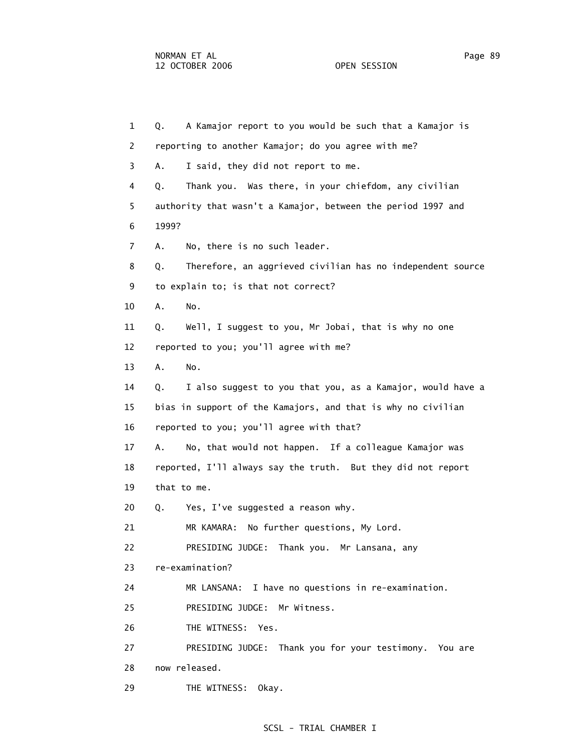1 Q. A Kamajor report to you would be such that a Kamajor is 2 reporting to another Kamajor; do you agree with me? 3 A. I said, they did not report to me. 4 Q. Thank you. Was there, in your chiefdom, any civilian 5 authority that wasn't a Kamajor, between the period 1997 and 6 1999? 7 A. No, there is no such leader. 8 Q. Therefore, an aggrieved civilian has no independent source 9 to explain to; is that not correct? 10 A. No. 11 Q. Well, I suggest to you, Mr Jobai, that is why no one 12 reported to you; you'll agree with me? 13 A. No. 14 Q. I also suggest to you that you, as a Kamajor, would have a 15 bias in support of the Kamajors, and that is why no civilian 16 reported to you; you'll agree with that? 17 A. No, that would not happen. If a colleague Kamajor was 18 reported, I'll always say the truth. But they did not report 19 that to me. 20 Q. Yes, I've suggested a reason why. 21 MR KAMARA: No further questions, My Lord. 22 PRESIDING JUDGE: Thank you. Mr Lansana, any 23 re-examination? 24 MR LANSANA: I have no questions in re-examination. 25 PRESIDING JUDGE: Mr Witness. 26 THE WITNESS: Yes. 27 PRESIDING JUDGE: Thank you for your testimony. You are 28 now released. 29 THE WITNESS: Okay.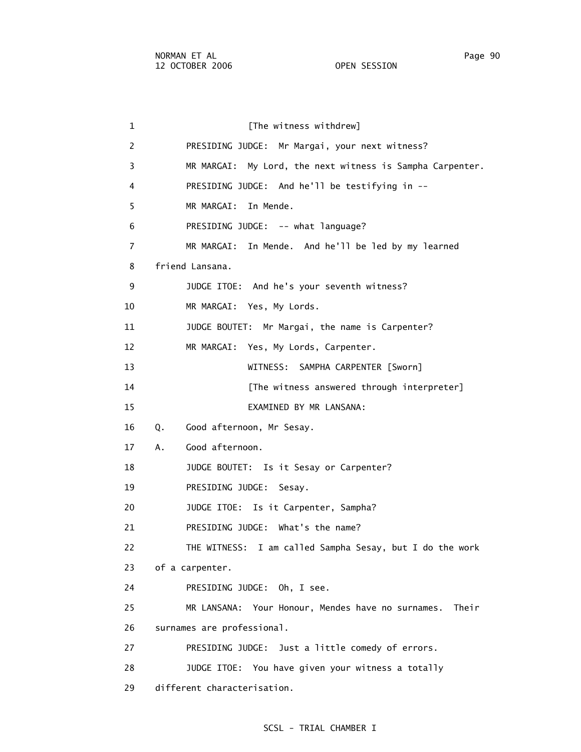1 **1** [The witness withdrew] 2 PRESIDING JUDGE: Mr Margai, your next witness? 3 MR MARGAI: My Lord, the next witness is Sampha Carpenter. 4 PRESIDING JUDGE: And he'll be testifying in -- 5 MR MARGAI: In Mende. 6 PRESIDING JUDGE: -- what language? 7 MR MARGAI: In Mende. And he'll be led by my learned 8 friend Lansana. 9 JUDGE ITOE: And he's your seventh witness? 10 MR MARGAI: Yes, My Lords. 11 JUDGE BOUTET: Mr Margai, the name is Carpenter? 12 MR MARGAI: Yes, My Lords, Carpenter. 13 WITNESS: SAMPHA CARPENTER [Sworn] 14 **Interpreter** [The witness answered through interpreter] 15 EXAMINED BY MR LANSANA: 16 Q. Good afternoon, Mr Sesay. 17 A. Good afternoon. 18 JUDGE BOUTET: Is it Sesay or Carpenter? 19 PRESIDING JUDGE: Sesay. 20 JUDGE ITOE: Is it Carpenter, Sampha? 21 PRESIDING JUDGE: What's the name? 22 THE WITNESS: I am called Sampha Sesay, but I do the work 23 of a carpenter. 24 PRESIDING JUDGE: Oh, I see. 25 MR LANSANA: Your Honour, Mendes have no surnames. Their 26 surnames are professional. 27 PRESIDING JUDGE: Just a little comedy of errors. 28 JUDGE ITOE: You have given your witness a totally 29 different characterisation.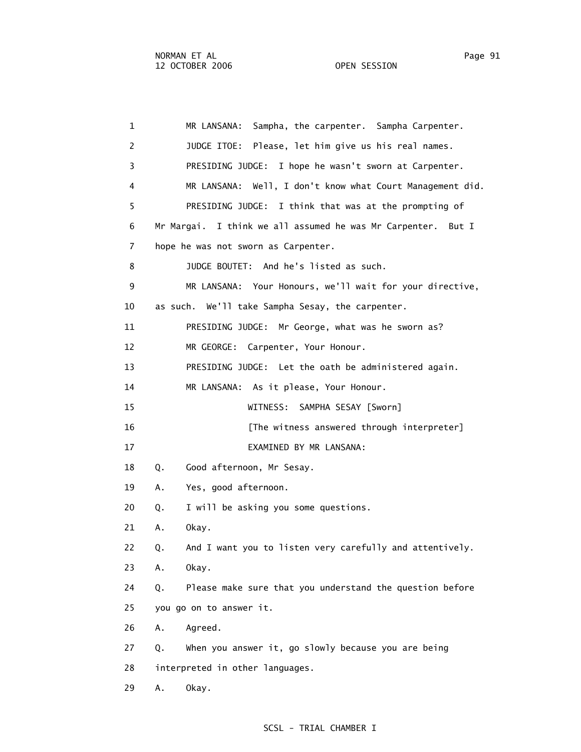1 MR LANSANA: Sampha, the carpenter. Sampha Carpenter. 2 JUDGE ITOE: Please, let him give us his real names. 3 PRESIDING JUDGE: I hope he wasn't sworn at Carpenter. 4 MR LANSANA: Well, I don't know what Court Management did. 5 PRESIDING JUDGE: I think that was at the prompting of 6 Mr Margai. I think we all assumed he was Mr Carpenter. But I 7 hope he was not sworn as Carpenter. 8 JUDGE BOUTET: And he's listed as such. 9 MR LANSANA: Your Honours, we'll wait for your directive, 10 as such. We'll take Sampha Sesay, the carpenter. 11 PRESIDING JUDGE: Mr George, what was he sworn as? 12 MR GEORGE: Carpenter, Your Honour. 13 PRESIDING JUDGE: Let the oath be administered again. 14 MR LANSANA: As it please, Your Honour. 15 WITNESS: SAMPHA SESAY [Sworn] 16 **Interpreter** [The witness answered through interpreter] 17 EXAMINED BY MR LANSANA: 18 Q. Good afternoon, Mr Sesay. 19 A. Yes, good afternoon. 20 Q. I will be asking you some questions. 21 A. Okay. 22 Q. And I want you to listen very carefully and attentively. 23 A. Okay. 24 Q. Please make sure that you understand the question before 25 you go on to answer it. 26 A. Agreed. 27 Q. When you answer it, go slowly because you are being 28 interpreted in other languages. 29 A. Okay.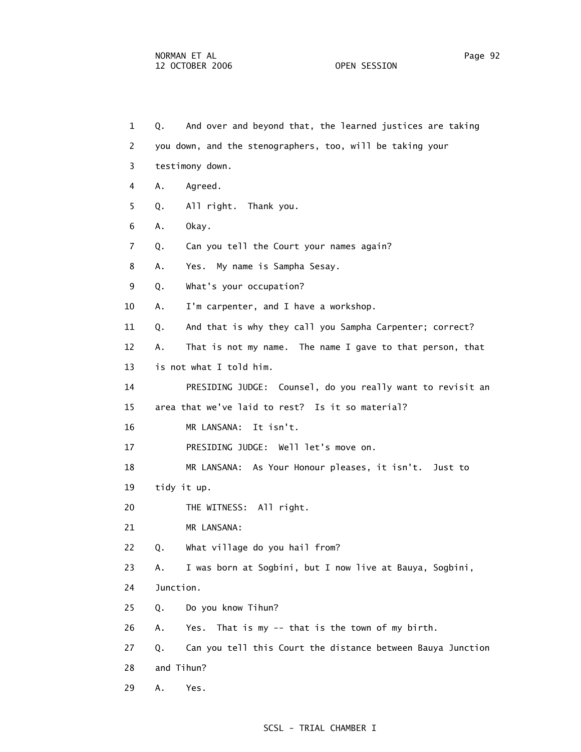| $\mathbf{1}$ | Q.        | And over and beyond that, the learned justices are taking   |
|--------------|-----------|-------------------------------------------------------------|
| 2            |           | you down, and the stenographers, too, will be taking your   |
| 3            |           | testimony down.                                             |
| 4            | Α.        | Agreed.                                                     |
| 5            | Q.        | All right. Thank you.                                       |
| 6            | Α.        | Okay.                                                       |
| 7            | Q.        | Can you tell the Court your names again?                    |
| 8            | Α.        | Yes. My name is Sampha Sesay.                               |
| 9            | Q.        | What's your occupation?                                     |
| 10           | Α.        | I'm carpenter, and I have a workshop.                       |
| 11           | Q.        | And that is why they call you Sampha Carpenter; correct?    |
| 12           | А.        | That is not my name. The name I gave to that person, that   |
| 13           |           | is not what I told him.                                     |
| 14           |           | PRESIDING JUDGE: Counsel, do you really want to revisit an  |
| 15           |           | area that we've laid to rest? Is it so material?            |
| 16           |           | MR LANSANA:<br>It isn't.                                    |
| 17           |           | PRESIDING JUDGE: Well let's move on.                        |
| 18           |           | MR LANSANA: As Your Honour pleases, it isn't. Just to       |
| 19           |           | tidy it up.                                                 |
| 20           |           | THE WITNESS: All right.                                     |
| 21           |           | MR LANSANA:                                                 |
| 22           | Q.        | What village do you hail from?                              |
| 23           | Α.        | I was born at Sogbini, but I now live at Bauya, Sogbini,    |
| 24           | Junction. |                                                             |
| 25           | Q.        | Do you know Tihun?                                          |
| 26           | Α.        | That is my -- that is the town of my birth.<br>Yes.         |
| 27           | Q.        | Can you tell this Court the distance between Bauya Junction |
| 28           |           | and Tihun?                                                  |
| 29           | Α.        | Yes.                                                        |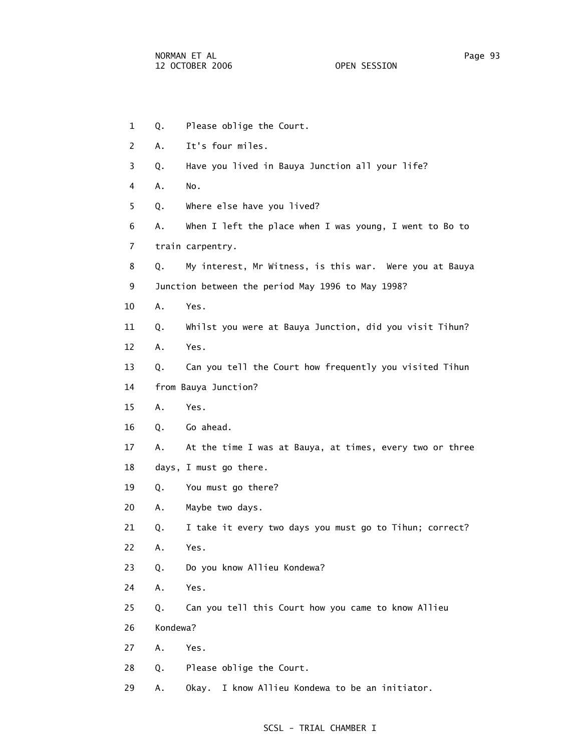1 Q. Please oblige the Court. 2 A. It's four miles. 3 Q. Have you lived in Bauya Junction all your life? 4 A. No. 5 Q. Where else have you lived? 6 A. When I left the place when I was young, I went to Bo to 7 train carpentry. 8 Q. My interest, Mr Witness, is this war. Were you at Bauya 9 Junction between the period May 1996 to May 1998? 10 A. Yes. 11 Q. Whilst you were at Bauya Junction, did you visit Tihun? 12 A. Yes. 13 Q. Can you tell the Court how frequently you visited Tihun 14 from Bauya Junction? 15 A. Yes. 16 Q. Go ahead. 17 A. At the time I was at Bauya, at times, every two or three 18 days, I must go there. 19 Q. You must go there? 20 A. Maybe two days. 21 Q. I take it every two days you must go to Tihun; correct? 22 A. Yes. 23 Q. Do you know Allieu Kondewa? 24 A. Yes. 25 Q. Can you tell this Court how you came to know Allieu 26 Kondewa? 27 A. Yes. 28 Q. Please oblige the Court. 29 A. Okay. I know Allieu Kondewa to be an initiator.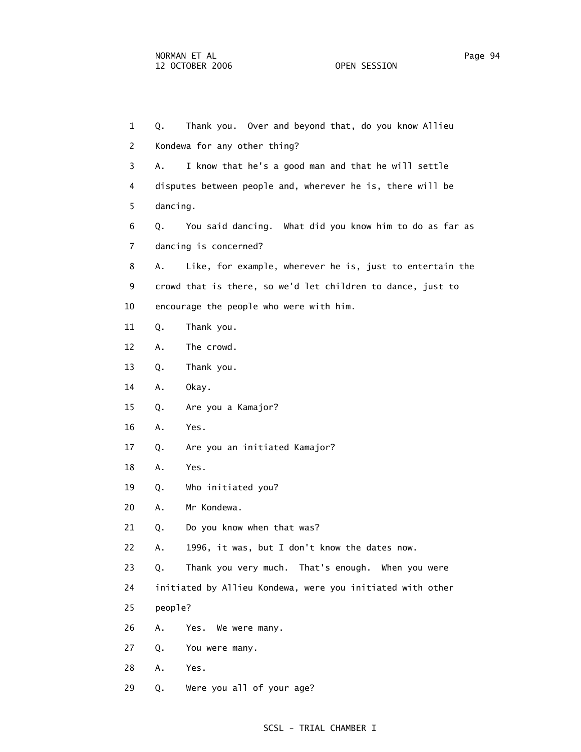| $\mathbf{1}$   | Thank you. Over and beyond that, do you know Allieu<br>Q.      |
|----------------|----------------------------------------------------------------|
| $\mathbf{2}$   | Kondewa for any other thing?                                   |
| 3              | I know that he's a good man and that he will settle<br>Α.      |
| 4              | disputes between people and, wherever he is, there will be     |
| 5              | dancing.                                                       |
| 6              | You said dancing. What did you know him to do as far as<br>Q.  |
| $\overline{7}$ | dancing is concerned?                                          |
| 8              | Like, for example, wherever he is, just to entertain the<br>Α. |
| 9              | crowd that is there, so we'd let children to dance, just to    |
| 10             | encourage the people who were with him.                        |
| 11             | Thank you.<br>Q.                                               |
| 12             | The crowd.<br>Α.                                               |
| 13             | Thank you.<br>Q.                                               |
| 14             | Okay.<br>Α.                                                    |
| 15             | Are you a Kamajor?<br>Q.                                       |
| 16             | Α.<br>Yes.                                                     |
| 17             | Are you an initiated Kamajor?<br>Q.                            |
| 18             | Α.<br>Yes.                                                     |
| 19             | Who initiated you?<br>Q.                                       |
| 20             | Mr Kondewa.<br>Α.                                              |
| 21             | Do you know when that was?<br>Q.                               |
| 22             | 1996, it was, but I don't know the dates now.<br>Α.            |
| 23             | Thank you very much. That's enough. When you were<br>Q.        |
| 24             | initiated by Allieu Kondewa, were you initiated with other     |
| 25             | people?                                                        |
| 26             | Α.<br>Yes. We were many.                                       |
| 27             | Q.<br>You were many.                                           |
| 28             | Yes.<br>Α.                                                     |
| 29             | Were you all of your age?<br>Q.                                |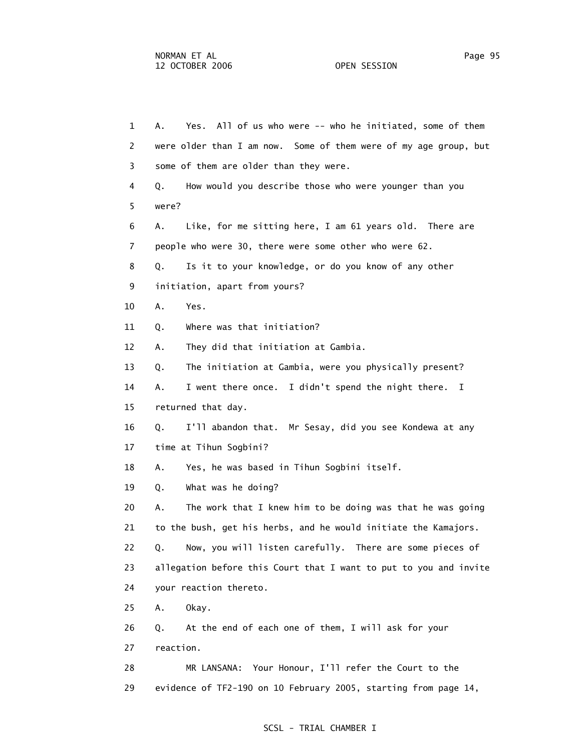1 A. Yes. All of us who were -- who he initiated, some of them 2 were older than I am now. Some of them were of my age group, but 3 some of them are older than they were. 4 Q. How would you describe those who were younger than you 5 were? 6 A. Like, for me sitting here, I am 61 years old. There are 7 people who were 30, there were some other who were 62. 8 Q. Is it to your knowledge, or do you know of any other 9 initiation, apart from yours? 10 A. Yes. 11 Q. Where was that initiation? 12 A. They did that initiation at Gambia. 13 Q. The initiation at Gambia, were you physically present? 14 A. I went there once. I didn't spend the night there. I 15 returned that day. 16 Q. I'll abandon that. Mr Sesay, did you see Kondewa at any 17 time at Tihun Sogbini? 18 A. Yes, he was based in Tihun Sogbini itself. 19 Q. What was he doing? 20 A. The work that I knew him to be doing was that he was going 21 to the bush, get his herbs, and he would initiate the Kamajors. 22 Q. Now, you will listen carefully. There are some pieces of 23 allegation before this Court that I want to put to you and invite 24 your reaction thereto. 25 A. Okay. 26 Q. At the end of each one of them, I will ask for your 27 reaction. 28 MR LANSANA: Your Honour, I'll refer the Court to the

# SCSL - TRIAL CHAMBER I

29 evidence of TF2-190 on 10 February 2005, starting from page 14,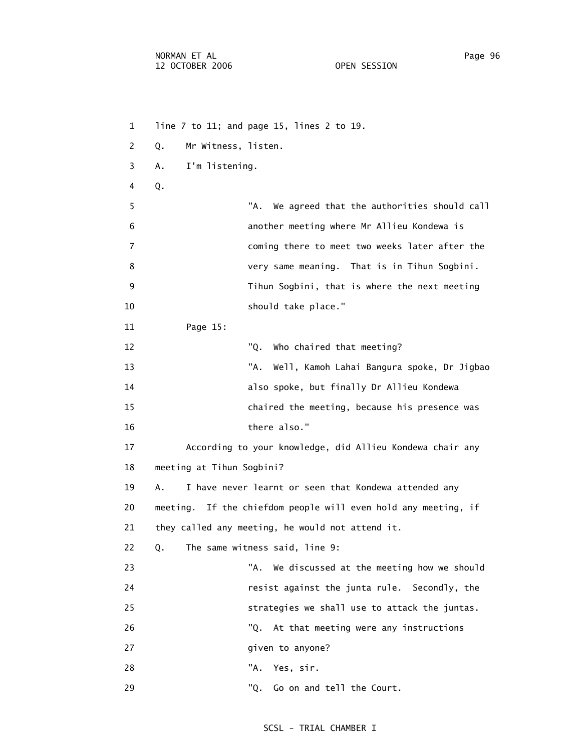1 line 7 to 11; and page 15, lines 2 to 19. 2 Q. Mr Witness, listen. 3 A. I'm listening. 4 Q. 5 "A. We agreed that the authorities should call 6 another meeting where Mr Allieu Kondewa is 7 coming there to meet two weeks later after the 8 very same meaning. That is in Tihun Sogbini. 9 Tihun Sogbini, that is where the next meeting 10 should take place." 11 Page 15: 12 "Q. Who chaired that meeting? 13 "A. Well, Kamoh Lahai Bangura spoke, Dr Jigbao 14 also spoke, but finally Dr Allieu Kondewa 15 chaired the meeting, because his presence was 16 there also." 17 According to your knowledge, did Allieu Kondewa chair any 18 meeting at Tihun Sogbini? 19 A. I have never learnt or seen that Kondewa attended any 20 meeting. If the chiefdom people will even hold any meeting, if 21 they called any meeting, he would not attend it. 22 Q. The same witness said, line 9: 23 "A. We discussed at the meeting how we should 24 resist against the junta rule. Secondly, the 25 strategies we shall use to attack the juntas. 26 "Q. At that meeting were any instructions 27 **given** to anyone? 28 "A. Yes, sir. 29 "Q. Go on and tell the Court.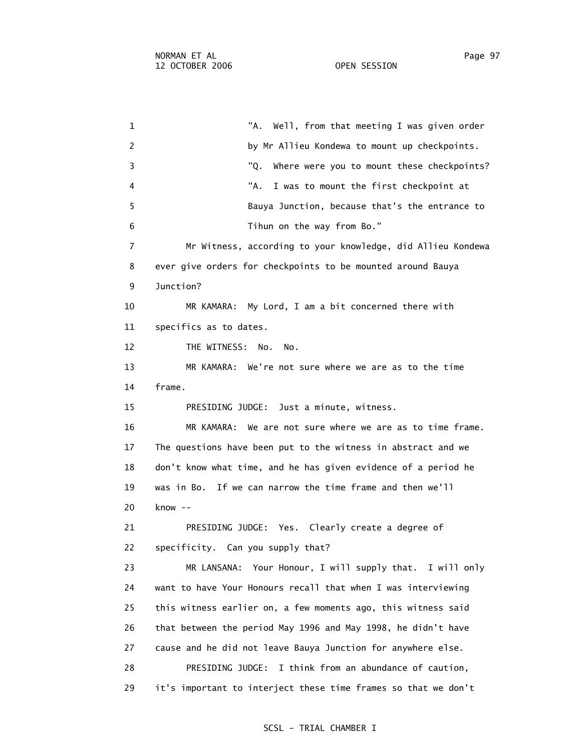1 TA. Well, from that meeting I was given order 2 by Mr Allieu Kondewa to mount up checkpoints. 3 "Q. Where were you to mount these checkpoints? 4 "A. I was to mount the first checkpoint at 5 Bauya Junction, because that's the entrance to 6 Tihun on the way from Bo." 7 Mr Witness, according to your knowledge, did Allieu Kondewa 8 ever give orders for checkpoints to be mounted around Bauya 9 Junction? 10 MR KAMARA: My Lord, I am a bit concerned there with 11 specifics as to dates. 12 THE WITNESS: No. No. 13 MR KAMARA: We're not sure where we are as to the time 14 frame. 15 PRESIDING JUDGE: Just a minute, witness. 16 MR KAMARA: We are not sure where we are as to time frame. 17 The questions have been put to the witness in abstract and we 18 don't know what time, and he has given evidence of a period he 19 was in Bo. If we can narrow the time frame and then we'll 20 know -- 21 PRESIDING JUDGE: Yes. Clearly create a degree of 22 specificity. Can you supply that? 23 MR LANSANA: Your Honour, I will supply that. I will only 24 want to have Your Honours recall that when I was interviewing 25 this witness earlier on, a few moments ago, this witness said 26 that between the period May 1996 and May 1998, he didn't have 27 cause and he did not leave Bauya Junction for anywhere else. 28 PRESIDING JUDGE: I think from an abundance of caution, 29 it's important to interject these time frames so that we don't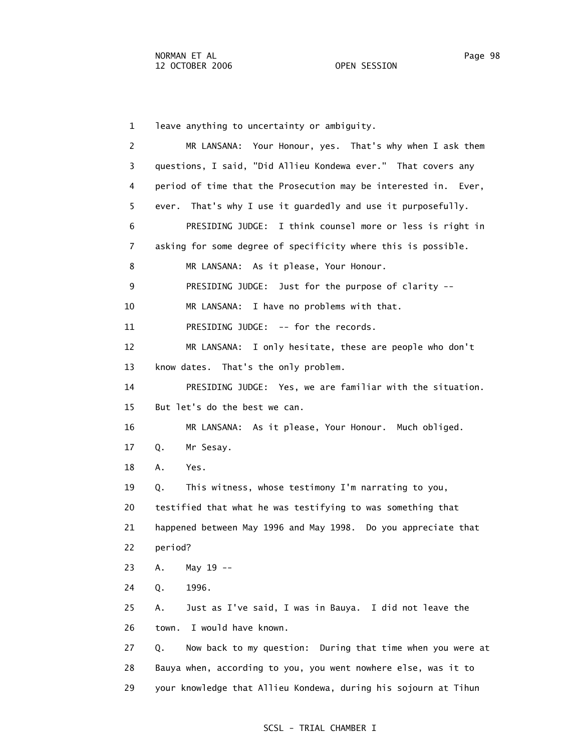1 leave anything to uncertainty or ambiguity. 2 MR LANSANA: Your Honour, yes. That's why when I ask them 3 questions, I said, "Did Allieu Kondewa ever." That covers any 4 period of time that the Prosecution may be interested in. Ever, 5 ever. That's why I use it guardedly and use it purposefully. 6 PRESIDING JUDGE: I think counsel more or less is right in 7 asking for some degree of specificity where this is possible. 8 MR LANSANA: As it please, Your Honour. 9 PRESIDING JUDGE: Just for the purpose of clarity -- 10 MR LANSANA: I have no problems with that. 11 PRESIDING JUDGE: -- for the records. 12 MR LANSANA: I only hesitate, these are people who don't 13 know dates. That's the only problem. 14 PRESIDING JUDGE: Yes, we are familiar with the situation. 15 But let's do the best we can. 16 MR LANSANA: As it please, Your Honour. Much obliged. 17 Q. Mr Sesay. 18 A. Yes. 19 Q. This witness, whose testimony I'm narrating to you, 20 testified that what he was testifying to was something that 21 happened between May 1996 and May 1998. Do you appreciate that 22 period? 23 A. May 19 -- 24 Q. 1996. 25 A. Just as I've said, I was in Bauya. I did not leave the 26 town. I would have known. 27 Q. Now back to my question: During that time when you were at 28 Bauya when, according to you, you went nowhere else, was it to 29 your knowledge that Allieu Kondewa, during his sojourn at Tihun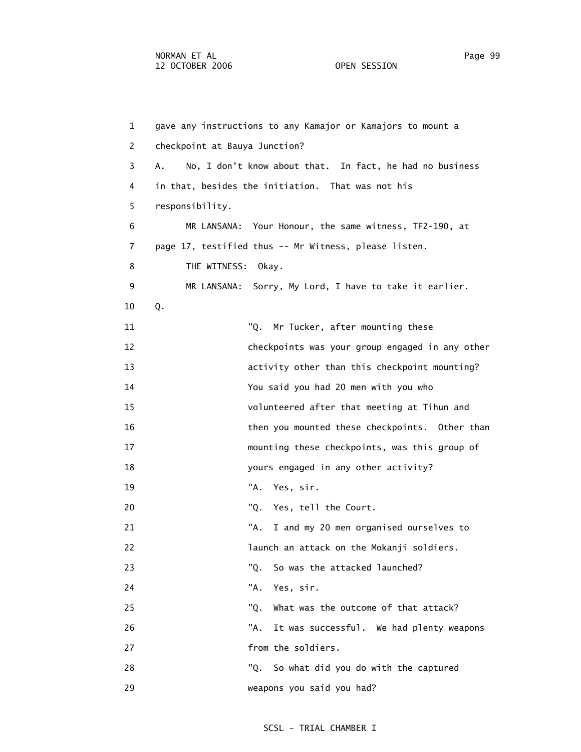1 gave any instructions to any Kamajor or Kamajors to mount a 2 checkpoint at Bauya Junction? 3 A. No, I don't know about that. In fact, he had no business 4 in that, besides the initiation. That was not his 5 responsibility. 6 MR LANSANA: Your Honour, the same witness, TF2-190, at 7 page 17, testified thus -- Mr Witness, please listen. 8 THE WITNESS: Okay. 9 MR LANSANA: Sorry, My Lord, I have to take it earlier. 10 Q. 11 "Q. Mr Tucker, after mounting these 12 checkpoints was your group engaged in any other 13 activity other than this checkpoint mounting? 14 You said you had 20 men with you who 15 volunteered after that meeting at Tihun and 16 then you mounted these checkpoints. Other than 17 mounting these checkpoints, was this group of 18 yours engaged in any other activity? 19 "A. Yes, sir. 20 TQ. Yes, tell the Court. 21 TA. I and my 20 men organised ourselves to 22 launch an attack on the Mokanji soldiers. 23 The College Manusch College Was the attacked launched? 24 "A. Yes, sir. 25 "Q. What was the outcome of that attack? 26 "A. It was successful. We had plenty weapons 27 from the soldiers. 28 "Q. So what did you do with the captured 29 weapons you said you had?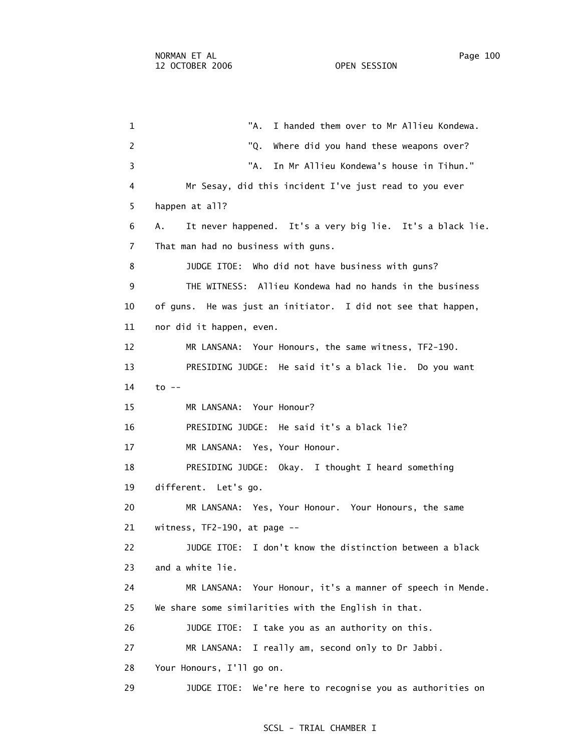1 "A. I handed them over to Mr Allieu Kondewa.

2 The College of the College of the VQ. Where did you hand these weapons over? 3 "A. In Mr Allieu Kondewa's house in Tihun." 4 Mr Sesay, did this incident I've just read to you ever 5 happen at all? 6 A. It never happened. It's a very big lie. It's a black lie. 7 That man had no business with guns. 8 JUDGE ITOE: Who did not have business with guns? 9 THE WITNESS: Allieu Kondewa had no hands in the business 10 of guns. He was just an initiator. I did not see that happen, 11 nor did it happen, even. 12 MR LANSANA: Your Honours, the same witness, TF2-190. 13 PRESIDING JUDGE: He said it's a black lie. Do you want 14 to -- 15 MR LANSANA: Your Honour? 16 PRESIDING JUDGE: He said it's a black lie? 17 MR LANSANA: Yes, Your Honour. 18 PRESIDING JUDGE: Okay. I thought I heard something 19 different. Let's go. 20 MR LANSANA: Yes, Your Honour. Your Honours, the same 21 witness, TF2-190, at page -- 22 JUDGE ITOE: I don't know the distinction between a black 23 and a white lie. 24 MR LANSANA: Your Honour, it's a manner of speech in Mende. 25 We share some similarities with the English in that. 26 JUDGE ITOE: I take you as an authority on this. 27 MR LANSANA: I really am, second only to Dr Jabbi. 28 Your Honours, I'll go on. 29 JUDGE ITOE: We're here to recognise you as authorities on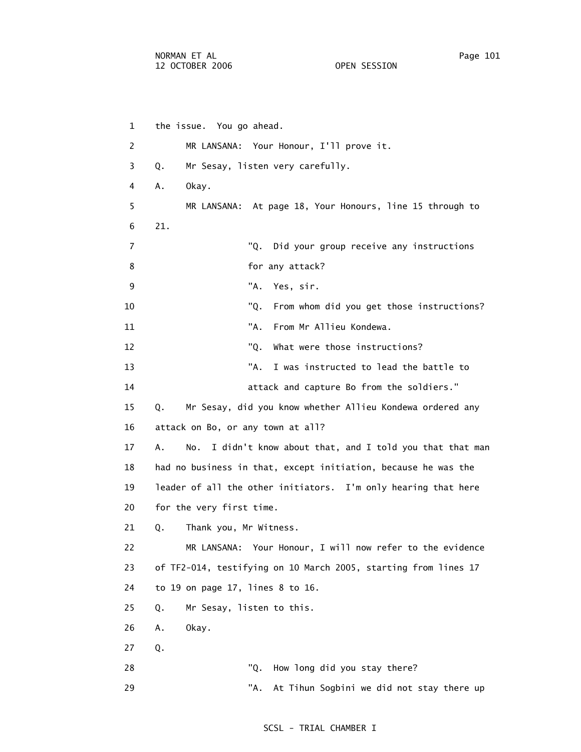1 the issue. You go ahead. 2 MR LANSANA: Your Honour, I'll prove it. 3 Q. Mr Sesay, listen very carefully. 4 A. Okay. 5 MR LANSANA: At page 18, Your Honours, line 15 through to 6 21. 7 "Q. Did your group receive any instructions 8 **b** for any attack? 9 "A. Yes, sir. 10 "Q. From whom did you get those instructions? 11 "A. From Mr Allieu Kondewa. 12 TO. What were those instructions? 13 "A. I was instructed to lead the battle to 14 attack and capture Bo from the soldiers." 15 Q. Mr Sesay, did you know whether Allieu Kondewa ordered any 16 attack on Bo, or any town at all? 17 A. No. I didn't know about that, and I told you that that man 18 had no business in that, except initiation, because he was the 19 leader of all the other initiators. I'm only hearing that here 20 for the very first time. 21 Q. Thank you, Mr Witness. 22 MR LANSANA: Your Honour, I will now refer to the evidence 23 of TF2-014, testifying on 10 March 2005, starting from lines 17 24 to 19 on page 17, lines 8 to 16. 25 Q. Mr Sesay, listen to this. 26 A. Okay.

27 Q.

28 The College May 28 The College May 28 The College May 2016 12:30 The College May 2016

29 TA. At Tihun Sogbini we did not stay there up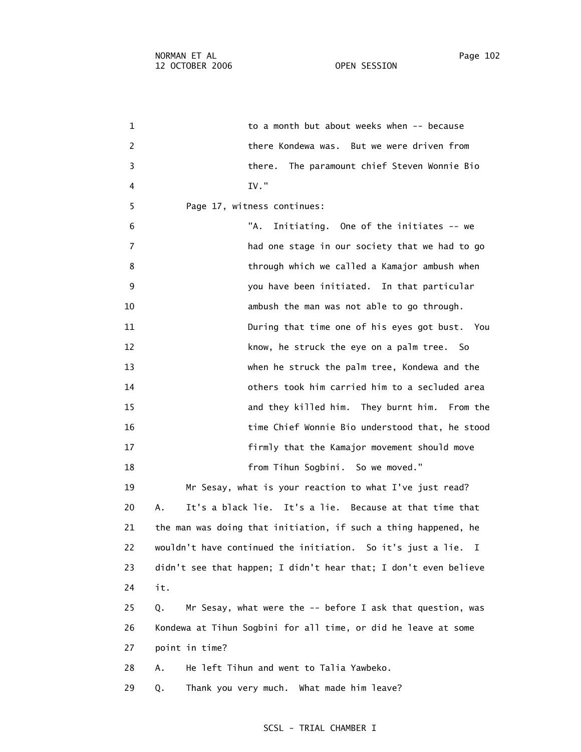1 to a month but about weeks when -- because 2 there Kondewa was. But we were driven from 3 there. The paramount chief Steven Wonnie Bio 4 IV." 5 Page 17, witness continues: 6 "A. Initiating. One of the initiates -- we 7 had one stage in our society that we had to go 8 through which we called a Kamajor ambush when 9 you have been initiated. In that particular 10 ambush the man was not able to go through. 11 During that time one of his eyes got bust. You 12 know, he struck the eye on a palm tree. So 13 when he struck the palm tree, Kondewa and the 14 others took him carried him to a secluded area 15 and they killed him. They burnt him. From the 16 time Chief Wonnie Bio understood that, he stood 17 firmly that the Kamajor movement should move 18 from Tihun Sogbini. So we moved." 19 Mr Sesay, what is your reaction to what I've just read? 20 A. It's a black lie. It's a lie. Because at that time that 21 the man was doing that initiation, if such a thing happened, he 22 wouldn't have continued the initiation. So it's just a lie. I 23 didn't see that happen; I didn't hear that; I don't even believe 24 it. 25 Q. Mr Sesay, what were the -- before I ask that question, was 26 Kondewa at Tihun Sogbini for all time, or did he leave at some 27 point in time? 28 A. He left Tihun and went to Talia Yawbeko. 29 Q. Thank you very much. What made him leave?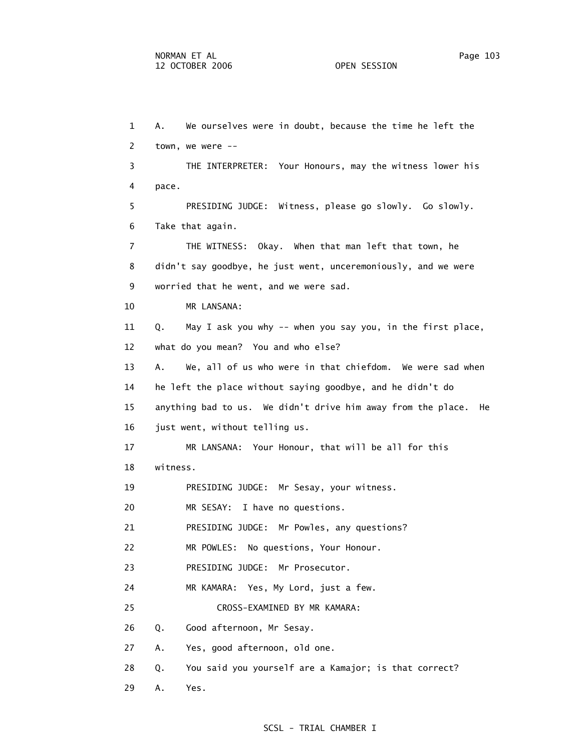1 A. We ourselves were in doubt, because the time he left the 2 town, we were -- 3 THE INTERPRETER: Your Honours, may the witness lower his 4 pace. 5 PRESIDING JUDGE: Witness, please go slowly. Go slowly. 6 Take that again. 7 THE WITNESS: Okay. When that man left that town, he 8 didn't say goodbye, he just went, unceremoniously, and we were 9 worried that he went, and we were sad. 10 MR LANSANA: 11 Q. May I ask you why -- when you say you, in the first place, 12 what do you mean? You and who else? 13 A. We, all of us who were in that chiefdom. We were sad when 14 he left the place without saying goodbye, and he didn't do 15 anything bad to us. We didn't drive him away from the place. He 16 just went, without telling us. 17 MR LANSANA: Your Honour, that will be all for this 18 witness. 19 PRESIDING JUDGE: Mr Sesay, your witness. 20 MR SESAY: I have no questions. 21 PRESIDING JUDGE: Mr Powles, any questions? 22 MR POWLES: No questions, Your Honour. 23 PRESIDING JUDGE: Mr Prosecutor. 24 MR KAMARA: Yes, My Lord, just a few. 25 CROSS-EXAMINED BY MR KAMARA: 26 Q. Good afternoon, Mr Sesay. 27 A. Yes, good afternoon, old one. 28 Q. You said you yourself are a Kamajor; is that correct? 29 A. Yes.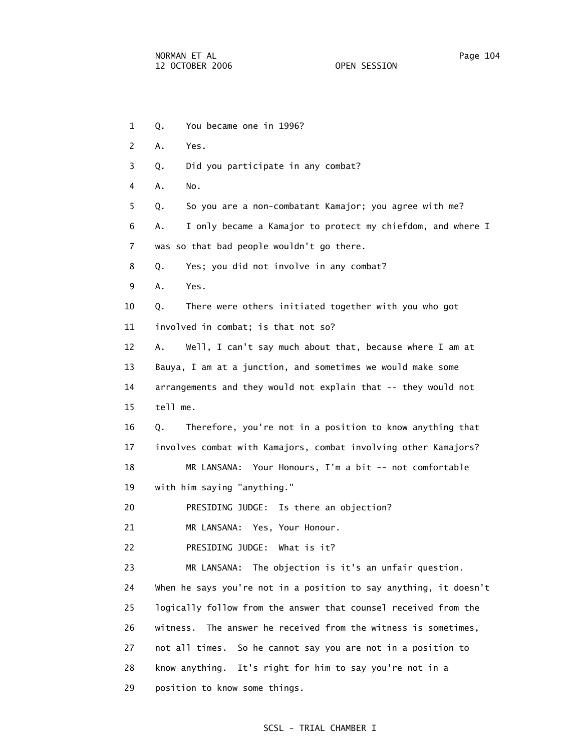- 1 Q. You became one in 1996?
- 2 A. Yes.
- 3 Q. Did you participate in any combat?
- 4 A. No.
	- 5 Q. So you are a non-combatant Kamajor; you agree with me?

6 A. I only became a Kamajor to protect my chiefdom, and where I

- 7 was so that bad people wouldn't go there.
- 8 Q. Yes; you did not involve in any combat?
- 9 A. Yes.

10 Q. There were others initiated together with you who got

11 involved in combat; is that not so?

 12 A. Well, I can't say much about that, because where I am at 13 Bauya, I am at a junction, and sometimes we would make some 14 arrangements and they would not explain that -- they would not 15 tell me.

 16 Q. Therefore, you're not in a position to know anything that 17 involves combat with Kamajors, combat involving other Kamajors?

 18 MR LANSANA: Your Honours, I'm a bit -- not comfortable 19 with him saying "anything."

20 PRESIDING JUDGE: Is there an objection?

21 MR LANSANA: Yes, Your Honour.

22 PRESIDING JUDGE: What is it?

 23 MR LANSANA: The objection is it's an unfair question. 24 When he says you're not in a position to say anything, it doesn't 25 logically follow from the answer that counsel received from the 26 witness. The answer he received from the witness is sometimes, 27 not all times. So he cannot say you are not in a position to 28 know anything. It's right for him to say you're not in a 29 position to know some things.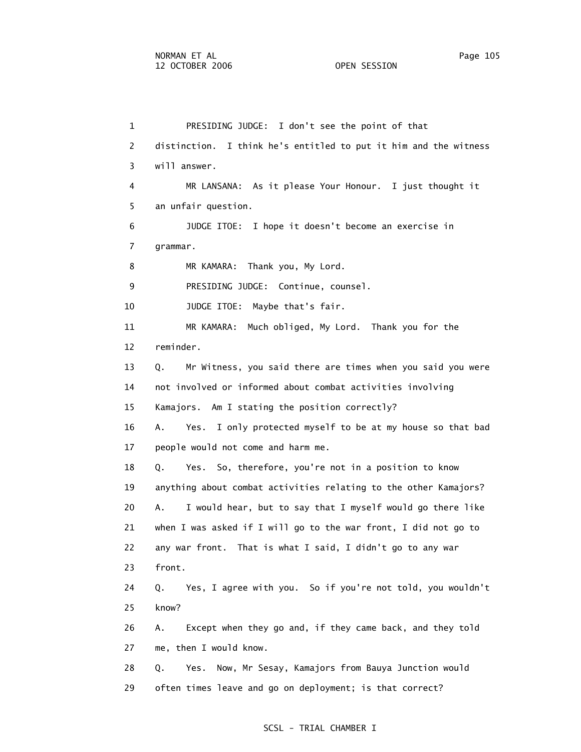1 PRESIDING JUDGE: I don't see the point of that 2 distinction. I think he's entitled to put it him and the witness 3 will answer. 4 MR LANSANA: As it please Your Honour. I just thought it 5 an unfair question. 6 JUDGE ITOE: I hope it doesn't become an exercise in 7 grammar. 8 MR KAMARA: Thank you, My Lord. 9 PRESIDING JUDGE: Continue, counsel. 10 JUDGE ITOE: Maybe that's fair. 11 MR KAMARA: Much obliged, My Lord. Thank you for the 12 reminder. 13 Q. Mr Witness, you said there are times when you said you were 14 not involved or informed about combat activities involving 15 Kamajors. Am I stating the position correctly? 16 A. Yes. I only protected myself to be at my house so that bad 17 people would not come and harm me. 18 Q. Yes. So, therefore, you're not in a position to know 19 anything about combat activities relating to the other Kamajors? 20 A. I would hear, but to say that I myself would go there like 21 when I was asked if I will go to the war front, I did not go to 22 any war front. That is what I said, I didn't go to any war 23 front. 24 Q. Yes, I agree with you. So if you're not told, you wouldn't 25 know? 26 A. Except when they go and, if they came back, and they told 27 me, then I would know. 28 Q. Yes. Now, Mr Sesay, Kamajors from Bauya Junction would 29 often times leave and go on deployment; is that correct?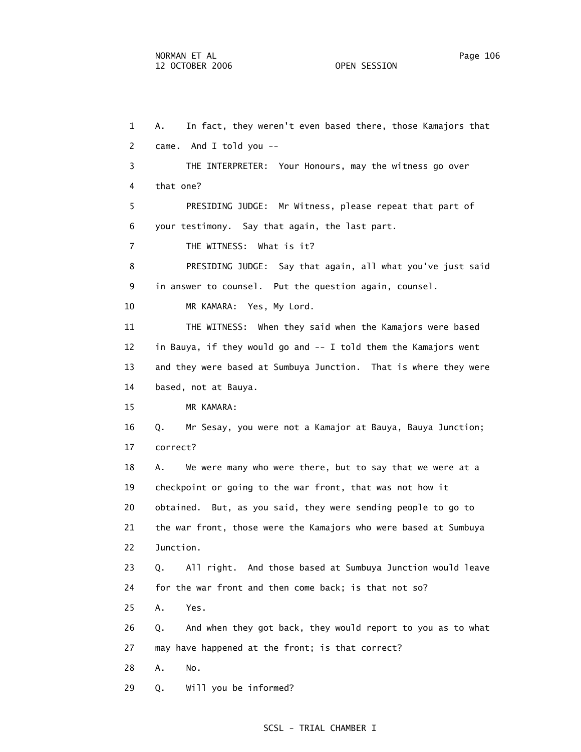1 A. In fact, they weren't even based there, those Kamajors that 2 came. And I told you -- 3 THE INTERPRETER: Your Honours, may the witness go over 4 that one? 5 PRESIDING JUDGE: Mr Witness, please repeat that part of 6 your testimony. Say that again, the last part. 7 THE WITNESS: What is it? 8 PRESIDING JUDGE: Say that again, all what you've just said 9 in answer to counsel. Put the question again, counsel. 10 MR KAMARA: Yes, My Lord. 11 THE WITNESS: When they said when the Kamajors were based 12 in Bauya, if they would go and -- I told them the Kamajors went 13 and they were based at Sumbuya Junction. That is where they were 14 based, not at Bauya. 15 MR KAMARA: 16 Q. Mr Sesay, you were not a Kamajor at Bauya, Bauya Junction; 17 correct? 18 A. We were many who were there, but to say that we were at a 19 checkpoint or going to the war front, that was not how it 20 obtained. But, as you said, they were sending people to go to 21 the war front, those were the Kamajors who were based at Sumbuya 22 Junction. 23 Q. All right. And those based at Sumbuya Junction would leave 24 for the war front and then come back; is that not so? 25 A. Yes. 26 Q. And when they got back, they would report to you as to what 27 may have happened at the front; is that correct? 28 A. No. 29 Q. Will you be informed?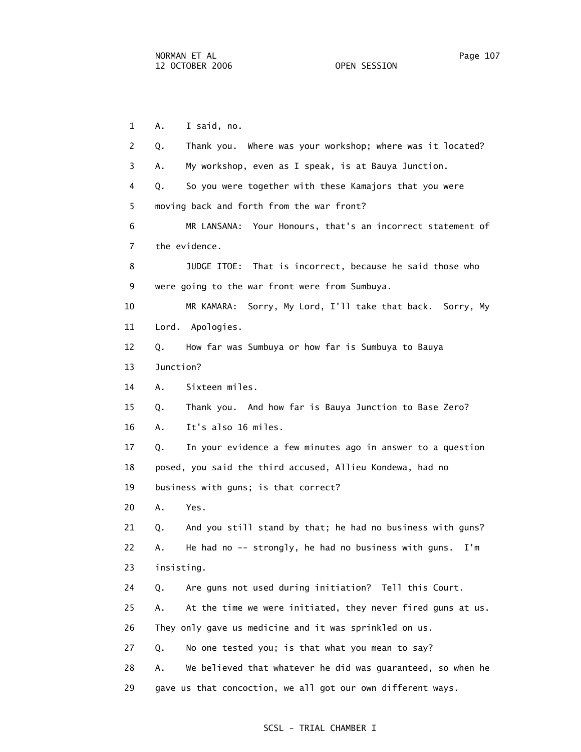1 A. I said, no. 2 Q. Thank you. Where was your workshop; where was it located? 3 A. My workshop, even as I speak, is at Bauya Junction. 4 Q. So you were together with these Kamajors that you were 5 moving back and forth from the war front? 6 MR LANSANA: Your Honours, that's an incorrect statement of 7 the evidence. 8 JUDGE ITOE: That is incorrect, because he said those who 9 were going to the war front were from Sumbuya. 10 MR KAMARA: Sorry, My Lord, I'll take that back. Sorry, My 11 Lord. Apologies. 12 Q. How far was Sumbuya or how far is Sumbuya to Bauya 13 Junction? 14 A. Sixteen miles. 15 Q. Thank you. And how far is Bauya Junction to Base Zero? 16 A. It's also 16 miles. 17 Q. In your evidence a few minutes ago in answer to a question 18 posed, you said the third accused, Allieu Kondewa, had no 19 business with guns; is that correct? 20 A. Yes. 21 Q. And you still stand by that; he had no business with guns? 22 A. He had no -- strongly, he had no business with guns. I'm 23 insisting. 24 Q. Are guns not used during initiation? Tell this Court. 25 A. At the time we were initiated, they never fired guns at us. 26 They only gave us medicine and it was sprinkled on us. 27 Q. No one tested you; is that what you mean to say? 28 A. We believed that whatever he did was guaranteed, so when he 29 gave us that concoction, we all got our own different ways.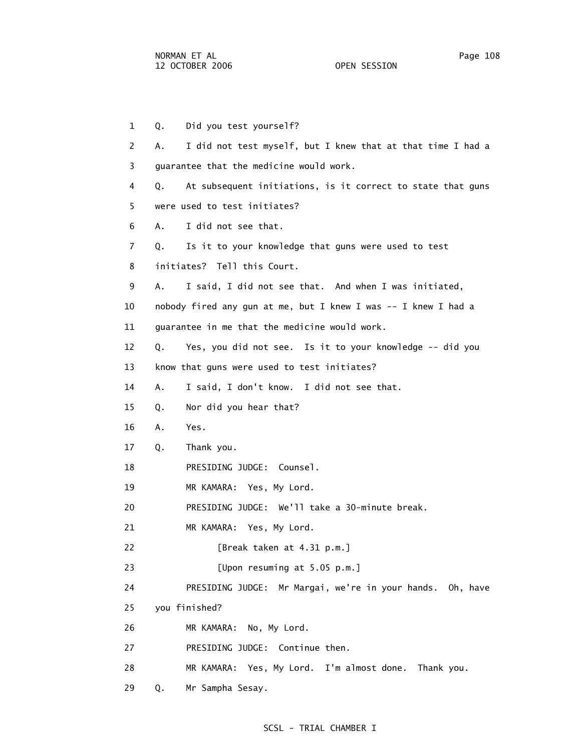29 Q. Mr Sampha Sesay.

 1 Q. Did you test yourself? 2 A. I did not test myself, but I knew that at that time I had a 3 guarantee that the medicine would work. 4 Q. At subsequent initiations, is it correct to state that guns 5 were used to test initiates? 6 A. I did not see that. 7 Q. Is it to your knowledge that guns were used to test 8 initiates? Tell this Court. 9 A. I said, I did not see that. And when I was initiated, 10 nobody fired any gun at me, but I knew I was -- I knew I had a 11 guarantee in me that the medicine would work. 12 Q. Yes, you did not see. Is it to your knowledge -- did you 13 know that guns were used to test initiates? 14 A. I said, I don't know. I did not see that. 15 Q. Nor did you hear that? 16 A. Yes. 17 Q. Thank you. 18 PRESIDING JUDGE: Counsel. 19 MR KAMARA: Yes, My Lord. 20 PRESIDING JUDGE: We'll take a 30-minute break. 21 MR KAMARA: Yes, My Lord. 22 [Break taken at 4.31 p.m.] 23 [Upon resuming at 5.05 p.m.] 24 PRESIDING JUDGE: Mr Margai, we're in your hands. Oh, have 25 you finished? 26 MR KAMARA: No, My Lord. 27 PRESIDING JUDGE: Continue then. 28 MR KAMARA: Yes, My Lord. I'm almost done. Thank you.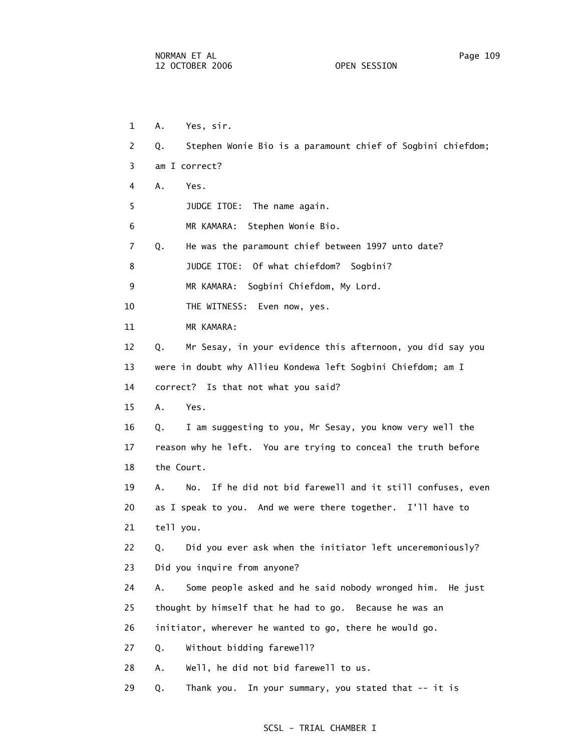1 A. Yes, sir. 2 Q. Stephen Wonie Bio is a paramount chief of Sogbini chiefdom; 3 am I correct? 4 A. Yes. 5 JUDGE ITOE: The name again. 6 MR KAMARA: Stephen Wonie Bio. 7 Q. He was the paramount chief between 1997 unto date? 8 JUDGE ITOE: Of what chiefdom? Sogbini? 9 MR KAMARA: Sogbini Chiefdom, My Lord. 10 THE WITNESS: Even now, yes. 11 MR KAMARA: 12 Q. Mr Sesay, in your evidence this afternoon, you did say you 13 were in doubt why Allieu Kondewa left Sogbini Chiefdom; am I 14 correct? Is that not what you said? 15 A. Yes. 16 Q. I am suggesting to you, Mr Sesay, you know very well the 17 reason why he left. You are trying to conceal the truth before 18 the Court. 19 A. No. If he did not bid farewell and it still confuses, even 20 as I speak to you. And we were there together. I'll have to 21 tell you. 22 Q. Did you ever ask when the initiator left unceremoniously? 23 Did you inquire from anyone? 24 A. Some people asked and he said nobody wronged him. He just 25 thought by himself that he had to go. Because he was an 26 initiator, wherever he wanted to go, there he would go. 27 Q. Without bidding farewell? 28 A. Well, he did not bid farewell to us. 29 Q. Thank you. In your summary, you stated that -- it is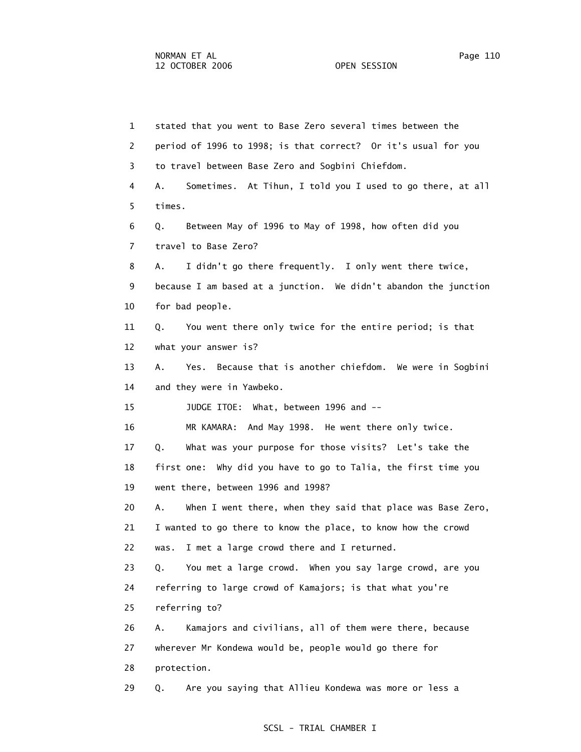1 stated that you went to Base Zero several times between the 2 period of 1996 to 1998; is that correct? Or it's usual for you 3 to travel between Base Zero and Sogbini Chiefdom. 4 A. Sometimes. At Tihun, I told you I used to go there, at all 5 times. 6 Q. Between May of 1996 to May of 1998, how often did you 7 travel to Base Zero? 8 A. I didn't go there frequently. I only went there twice, 9 because I am based at a junction. We didn't abandon the junction 10 for bad people. 11 Q. You went there only twice for the entire period; is that 12 what your answer is? 13 A. Yes. Because that is another chiefdom. We were in Sogbini 14 and they were in Yawbeko. 15 JUDGE ITOE: What, between 1996 and -- 16 MR KAMARA: And May 1998. He went there only twice. 17 Q. What was your purpose for those visits? Let's take the 18 first one: Why did you have to go to Talia, the first time you 19 went there, between 1996 and 1998? 20 A. When I went there, when they said that place was Base Zero, 21 I wanted to go there to know the place, to know how the crowd 22 was. I met a large crowd there and I returned. 23 Q. You met a large crowd. When you say large crowd, are you 24 referring to large crowd of Kamajors; is that what you're 25 referring to? 26 A. Kamajors and civilians, all of them were there, because 27 wherever Mr Kondewa would be, people would go there for 28 protection. 29 Q. Are you saying that Allieu Kondewa was more or less a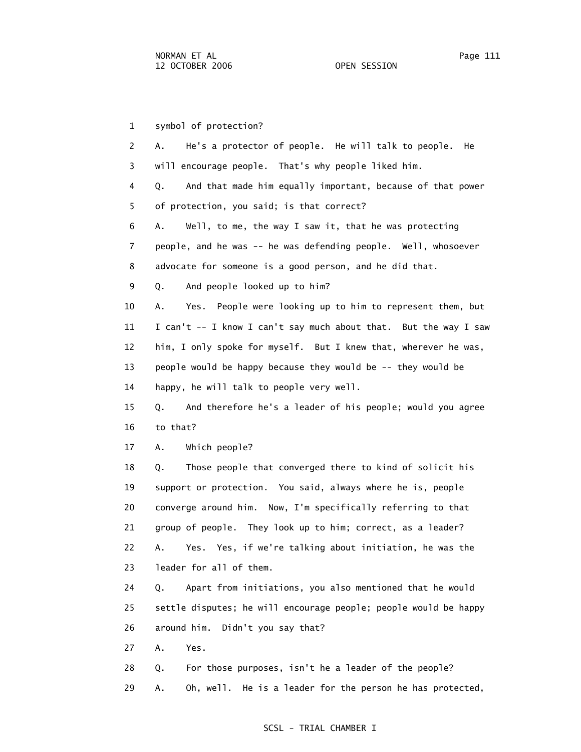1 symbol of protection? 2 A. He's a protector of people. He will talk to people. He 3 will encourage people. That's why people liked him. 4 Q. And that made him equally important, because of that power 5 of protection, you said; is that correct? 6 A. Well, to me, the way I saw it, that he was protecting 7 people, and he was -- he was defending people. Well, whosoever 8 advocate for someone is a good person, and he did that. 9 Q. And people looked up to him? 10 A. Yes. People were looking up to him to represent them, but 11 I can't -- I know I can't say much about that. But the way I saw 12 him, I only spoke for myself. But I knew that, wherever he was, 13 people would be happy because they would be -- they would be 14 happy, he will talk to people very well. 15 Q. And therefore he's a leader of his people; would you agree 16 to that? 17 A. Which people? 18 Q. Those people that converged there to kind of solicit his 19 support or protection. You said, always where he is, people 20 converge around him. Now, I'm specifically referring to that 21 group of people. They look up to him; correct, as a leader? 22 A. Yes. Yes, if we're talking about initiation, he was the 23 leader for all of them. 24 Q. Apart from initiations, you also mentioned that he would 25 settle disputes; he will encourage people; people would be happy 26 around him. Didn't you say that? 27 A. Yes. 28 Q. For those purposes, isn't he a leader of the people? 29 A. Oh, well. He is a leader for the person he has protected,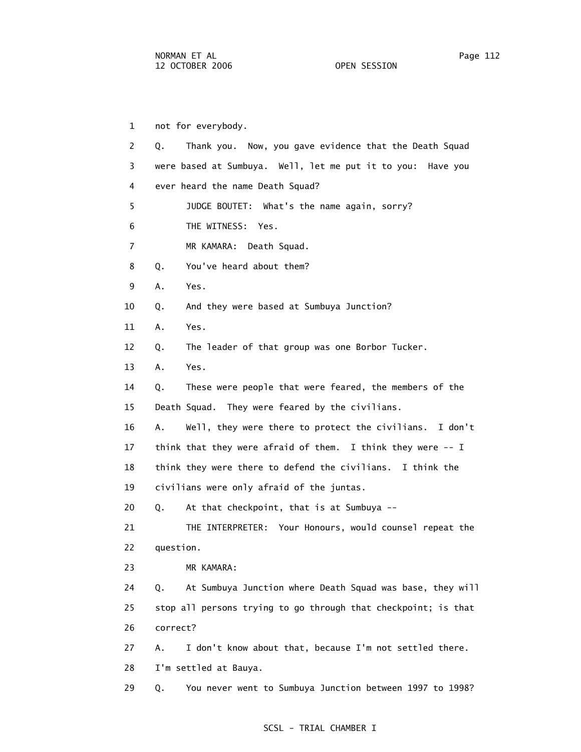1 not for everybody. 2 Q. Thank you. Now, you gave evidence that the Death Squad 3 were based at Sumbuya. Well, let me put it to you: Have you 4 ever heard the name Death Squad? 5 JUDGE BOUTET: What's the name again, sorry? 6 THE WITNESS: Yes. 7 MR KAMARA: Death Squad. 8 Q. You've heard about them? 9 A. Yes. 10 Q. And they were based at Sumbuya Junction? 11 A. Yes. 12 Q. The leader of that group was one Borbor Tucker. 13 A. Yes. 14 Q. These were people that were feared, the members of the 15 Death Squad. They were feared by the civilians. 16 A. Well, they were there to protect the civilians. I don't 17 think that they were afraid of them. I think they were -- I 18 think they were there to defend the civilians. I think the 19 civilians were only afraid of the juntas. 20 Q. At that checkpoint, that is at Sumbuya -- 21 THE INTERPRETER: Your Honours, would counsel repeat the 22 question. 23 MR KAMARA: 24 Q. At Sumbuya Junction where Death Squad was base, they will 25 stop all persons trying to go through that checkpoint; is that 26 correct? 27 A. I don't know about that, because I'm not settled there. 28 I'm settled at Bauya. 29 Q. You never went to Sumbuya Junction between 1997 to 1998?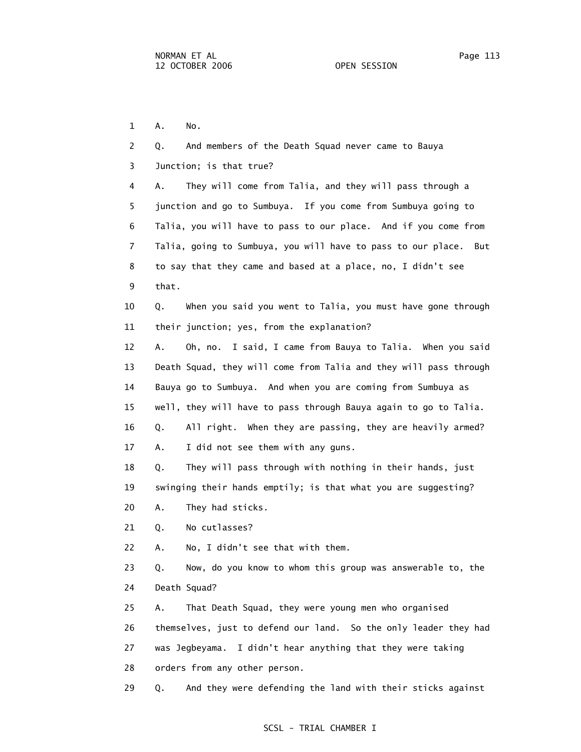1 A. No.

 2 Q. And members of the Death Squad never came to Bauya 3 Junction; is that true? 4 A. They will come from Talia, and they will pass through a 5 junction and go to Sumbuya. If you come from Sumbuya going to 6 Talia, you will have to pass to our place. And if you come from 7 Talia, going to Sumbuya, you will have to pass to our place. But 8 to say that they came and based at a place, no, I didn't see 9 that. 10 Q. When you said you went to Talia, you must have gone through 11 their junction; yes, from the explanation? 12 A. Oh, no. I said, I came from Bauya to Talia. When you said 13 Death Squad, they will come from Talia and they will pass through 14 Bauya go to Sumbuya. And when you are coming from Sumbuya as 15 well, they will have to pass through Bauya again to go to Talia. 16 Q. All right. When they are passing, they are heavily armed? 17 A. I did not see them with any guns. 18 Q. They will pass through with nothing in their hands, just 19 swinging their hands emptily; is that what you are suggesting? 20 A. They had sticks. 21 Q. No cutlasses? 22 A. No, I didn't see that with them. 23 Q. Now, do you know to whom this group was answerable to, the 24 Death Squad? 25 A. That Death Squad, they were young men who organised 26 themselves, just to defend our land. So the only leader they had 27 was Jegbeyama. I didn't hear anything that they were taking 28 orders from any other person. 29 Q. And they were defending the land with their sticks against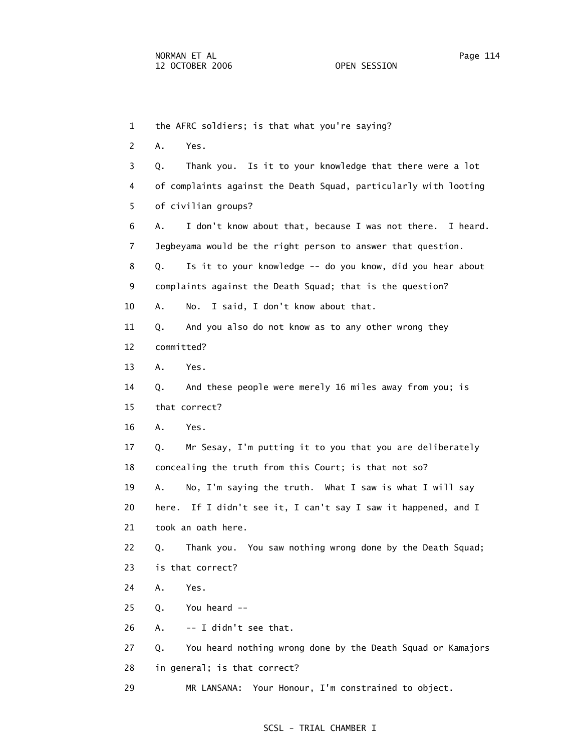1 the AFRC soldiers; is that what you're saying? 2 A. Yes. 3 Q. Thank you. Is it to your knowledge that there were a lot 4 of complaints against the Death Squad, particularly with looting 5 of civilian groups? 6 A. I don't know about that, because I was not there. I heard. 7 Jegbeyama would be the right person to answer that question. 8 Q. Is it to your knowledge -- do you know, did you hear about 9 complaints against the Death Squad; that is the question? 10 A. No. I said, I don't know about that. 11 Q. And you also do not know as to any other wrong they 12 committed? 13 A. Yes. 14 Q. And these people were merely 16 miles away from you; is 15 that correct? 16 A. Yes. 17 Q. Mr Sesay, I'm putting it to you that you are deliberately 18 concealing the truth from this Court; is that not so? 19 A. No, I'm saying the truth. What I saw is what I will say 20 here. If I didn't see it, I can't say I saw it happened, and I 21 took an oath here. 22 Q. Thank you. You saw nothing wrong done by the Death Squad; 23 is that correct? 24 A. Yes. 25 Q. You heard -- 26 A. -- I didn't see that. 27 Q. You heard nothing wrong done by the Death Squad or Kamajors 28 in general; is that correct?

## SCSL - TRIAL CHAMBER I

29 MR LANSANA: Your Honour, I'm constrained to object.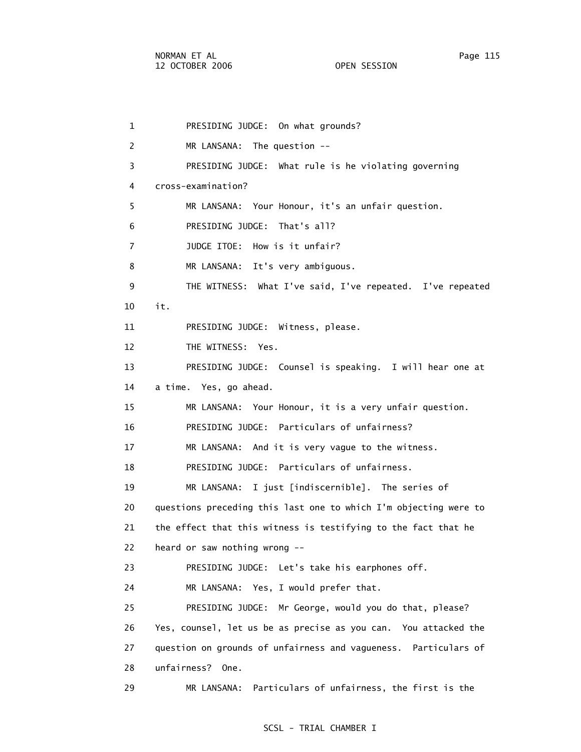1 PRESIDING JUDGE: On what grounds? 2 MR LANSANA: The question -- 3 PRESIDING JUDGE: What rule is he violating governing 4 cross-examination? 5 MR LANSANA: Your Honour, it's an unfair question. 6 PRESIDING JUDGE: That's all? 7 JUDGE ITOE: How is it unfair? 8 MR LANSANA: It's very ambiguous. 9 THE WITNESS: What I've said, I've repeated. I've repeated 10 it. 11 PRESIDING JUDGE: Witness, please. 12 THE WITNESS: Yes. 13 PRESIDING JUDGE: Counsel is speaking. I will hear one at 14 a time. Yes, go ahead. 15 MR LANSANA: Your Honour, it is a very unfair question. 16 PRESIDING JUDGE: Particulars of unfairness? 17 MR LANSANA: And it is very vague to the witness. 18 PRESIDING JUDGE: Particulars of unfairness. 19 MR LANSANA: I just [indiscernible]. The series of 20 questions preceding this last one to which I'm objecting were to 21 the effect that this witness is testifying to the fact that he 22 heard or saw nothing wrong -- 23 PRESIDING JUDGE: Let's take his earphones off. 24 MR LANSANA: Yes, I would prefer that. 25 PRESIDING JUDGE: Mr George, would you do that, please? 26 Yes, counsel, let us be as precise as you can. You attacked the 27 question on grounds of unfairness and vagueness. Particulars of 28 unfairness? One. 29 MR LANSANA: Particulars of unfairness, the first is the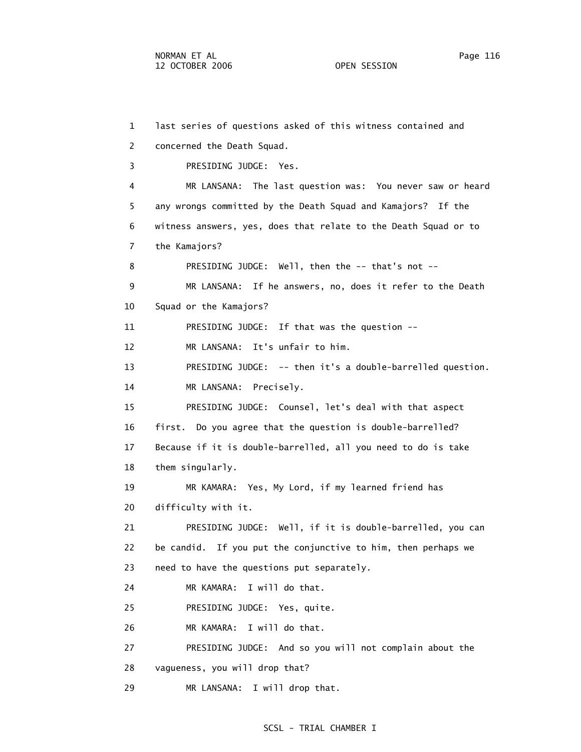1 last series of questions asked of this witness contained and 2 concerned the Death Squad. 3 PRESIDING JUDGE: Yes. 4 MR LANSANA: The last question was: You never saw or heard 5 any wrongs committed by the Death Squad and Kamajors? If the 6 witness answers, yes, does that relate to the Death Squad or to 7 the Kamajors? 8 PRESIDING JUDGE: Well, then the -- that's not -- 9 MR LANSANA: If he answers, no, does it refer to the Death 10 Squad or the Kamajors? 11 PRESIDING JUDGE: If that was the question -- 12 MR LANSANA: It's unfair to him. 13 PRESIDING JUDGE: -- then it's a double-barrelled question. 14 MR LANSANA: Precisely. 15 PRESIDING JUDGE: Counsel, let's deal with that aspect 16 first. Do you agree that the question is double-barrelled? 17 Because if it is double-barrelled, all you need to do is take 18 them singularly. 19 MR KAMARA: Yes, My Lord, if my learned friend has 20 difficulty with it. 21 PRESIDING JUDGE: Well, if it is double-barrelled, you can 22 be candid. If you put the conjunctive to him, then perhaps we 23 need to have the questions put separately. 24 MR KAMARA: I will do that. 25 PRESIDING JUDGE: Yes, quite. 26 MR KAMARA: I will do that. 27 PRESIDING JUDGE: And so you will not complain about the 28 vagueness, you will drop that? 29 MR LANSANA: I will drop that.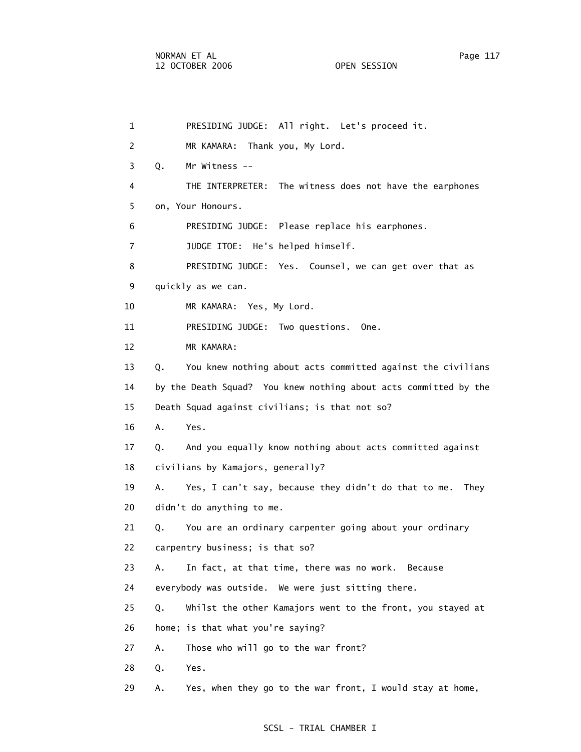| $\mathbf{1}$   | PRESIDING JUDGE: All right. Let's proceed it.                      |
|----------------|--------------------------------------------------------------------|
| 2              | MR KAMARA: Thank you, My Lord.                                     |
| 3              | Q.<br>Mr Witness --                                                |
| 4              | THE INTERPRETER: The witness does not have the earphones           |
| 5              | on, Your Honours.                                                  |
| 6              | PRESIDING JUDGE: Please replace his earphones.                     |
| $\overline{7}$ | JUDGE ITOE: He's helped himself.                                   |
| 8              | PRESIDING JUDGE: Yes. Counsel, we can get over that as             |
| 9              | quickly as we can.                                                 |
| 10             | MR KAMARA: Yes, My Lord.                                           |
| 11             | PRESIDING JUDGE: Two questions.<br>One.                            |
| 12             | MR KAMARA:                                                         |
| 13             | You knew nothing about acts committed against the civilians<br>Q.  |
| 14             | by the Death Squad? You knew nothing about acts committed by the   |
| 15             | Death Squad against civilians; is that not so?                     |
| 16             | A.<br>Yes.                                                         |
| 17             | Q.<br>And you equally know nothing about acts committed against    |
| 18             | civilians by Kamajors, generally?                                  |
| 19             | A.<br>Yes, I can't say, because they didn't do that to me.<br>They |
| 20             | didn't do anything to me.                                          |
| 21             | You are an ordinary carpenter going about your ordinary<br>Q.      |
| 22             | carpentry business; is that so?                                    |
| 23             | In fact, at that time, there was no work. Because<br>Α.            |
| 24             | everybody was outside. We were just sitting there.                 |
| 25             | Whilst the other Kamajors went to the front, you stayed at<br>Q.   |
| 26             | home; is that what you're saying?                                  |
| 27             | Those who will go to the war front?<br>Α.                          |
| 28             | Q.<br>Yes.                                                         |
| 29             | Yes, when they go to the war front, I would stay at home,<br>Α.    |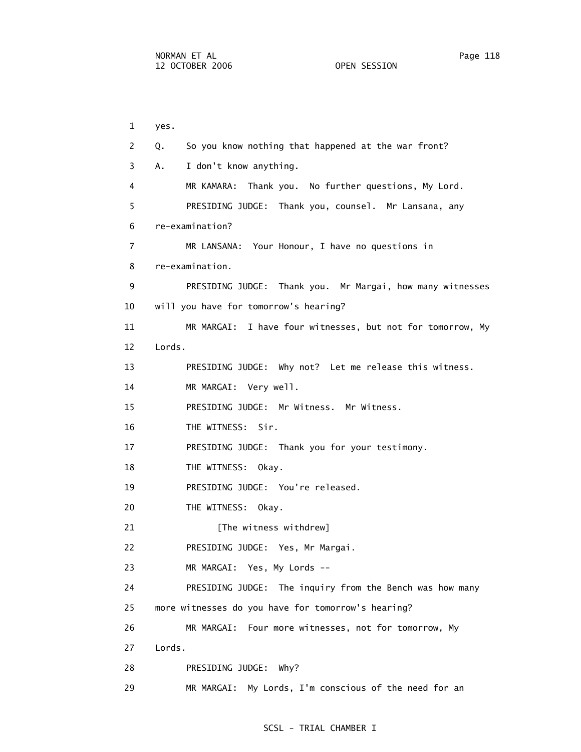6 re-examination?

8 re-examination.

12 Lords.

1 yes.

 2 Q. So you know nothing that happened at the war front? 3 A. I don't know anything. 4 MR KAMARA: Thank you. No further questions, My Lord. 5 PRESIDING JUDGE: Thank you, counsel. Mr Lansana, any 7 MR LANSANA: Your Honour, I have no questions in 9 PRESIDING JUDGE: Thank you. Mr Margai, how many witnesses 10 will you have for tomorrow's hearing? 11 MR MARGAI: I have four witnesses, but not for tomorrow, My 13 PRESIDING JUDGE: Why not? Let me release this witness. 14 MR MARGAI: Very well. 15 PRESIDING JUDGE: Mr Witness. Mr Witness.

16 THE WITNESS: Sir.

17 PRESIDING JUDGE: Thank you for your testimony.

18 THE WITNESS: Okay.

19 PRESIDING JUDGE: You're released.

20 THE WITNESS: Okay.

21 [The witness withdrew]

22 PRESIDING JUDGE: Yes, Mr Margai.

23 MR MARGAI: Yes, My Lords --

 24 PRESIDING JUDGE: The inquiry from the Bench was how many 25 more witnesses do you have for tomorrow's hearing?

26 MR MARGAI: Four more witnesses, not for tomorrow, My

27 Lords.

28 PRESIDING JUDGE: Why?

29 MR MARGAI: My Lords, I'm conscious of the need for an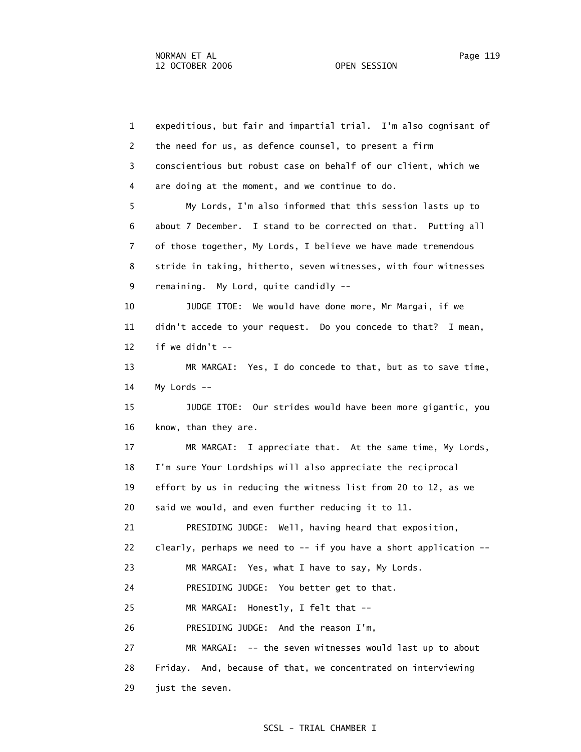1 expeditious, but fair and impartial trial. I'm also cognisant of 2 the need for us, as defence counsel, to present a firm 3 conscientious but robust case on behalf of our client, which we 4 are doing at the moment, and we continue to do. 5 My Lords, I'm also informed that this session lasts up to 6 about 7 December. I stand to be corrected on that. Putting all 7 of those together, My Lords, I believe we have made tremendous 8 stride in taking, hitherto, seven witnesses, with four witnesses 9 remaining. My Lord, quite candidly -- 10 JUDGE ITOE: We would have done more, Mr Margai, if we 11 didn't accede to your request. Do you concede to that? I mean, 12 if we didn't  $--$  13 MR MARGAI: Yes, I do concede to that, but as to save time, 14 My Lords -- 15 JUDGE ITOE: Our strides would have been more gigantic, you 16 know, than they are. 17 MR MARGAI: I appreciate that. At the same time, My Lords, 18 I'm sure Your Lordships will also appreciate the reciprocal 19 effort by us in reducing the witness list from 20 to 12, as we 20 said we would, and even further reducing it to 11. 21 PRESIDING JUDGE: Well, having heard that exposition, 22 clearly, perhaps we need to -- if you have a short application -- 23 MR MARGAI: Yes, what I have to say, My Lords. 24 PRESIDING JUDGE: You better get to that. 25 MR MARGAI: Honestly, I felt that -- 26 PRESIDING JUDGE: And the reason I'm, 27 MR MARGAI: -- the seven witnesses would last up to about 28 Friday. And, because of that, we concentrated on interviewing 29 just the seven.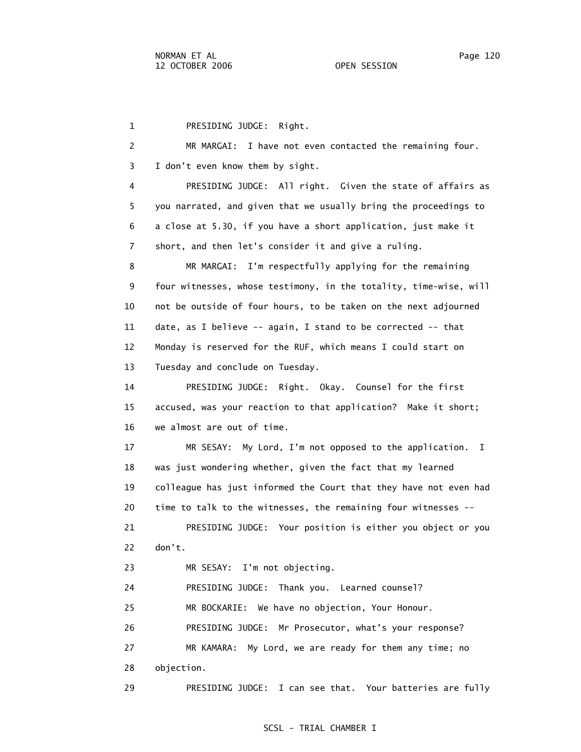1 PRESIDING JUDGE: Right. 2 MR MARGAI: I have not even contacted the remaining four. 3 I don't even know them by sight. 4 PRESIDING JUDGE: All right. Given the state of affairs as 5 you narrated, and given that we usually bring the proceedings to 6 a close at 5.30, if you have a short application, just make it 7 short, and then let's consider it and give a ruling. 8 MR MARGAI: I'm respectfully applying for the remaining 9 four witnesses, whose testimony, in the totality, time-wise, will 10 not be outside of four hours, to be taken on the next adjourned 11 date, as I believe -- again, I stand to be corrected -- that 12 Monday is reserved for the RUF, which means I could start on 13 Tuesday and conclude on Tuesday. 14 PRESIDING JUDGE: Right. Okay. Counsel for the first 15 accused, was your reaction to that application? Make it short; 16 we almost are out of time. 17 MR SESAY: My Lord, I'm not opposed to the application. I 18 was just wondering whether, given the fact that my learned 19 colleague has just informed the Court that they have not even had 20 time to talk to the witnesses, the remaining four witnesses -- 21 PRESIDING JUDGE: Your position is either you object or you 22 don't. 23 MR SESAY: I'm not objecting. 24 PRESIDING JUDGE: Thank you. Learned counsel? 25 MR BOCKARIE: We have no objection, Your Honour. 26 PRESIDING JUDGE: Mr Prosecutor, what's your response? 27 MR KAMARA: My Lord, we are ready for them any time; no 28 objection. 29 PRESIDING JUDGE: I can see that. Your batteries are fully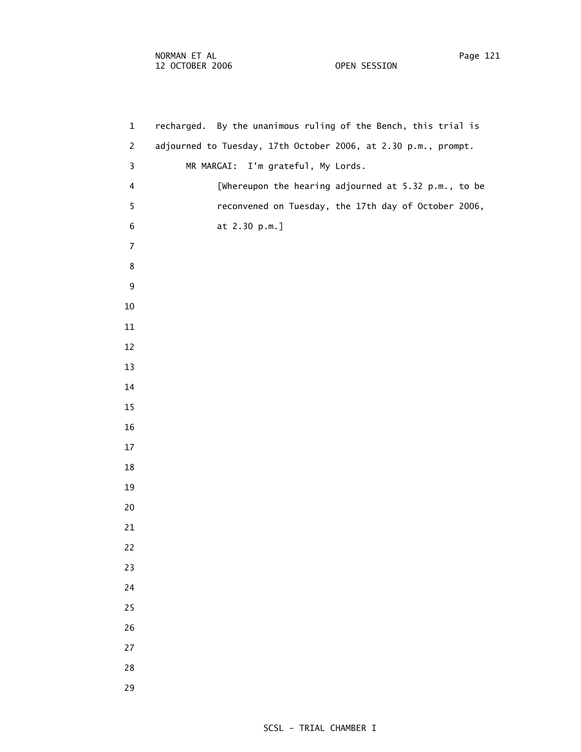1 recharged. By the unanimous ruling of the Bench, this trial is 2 adjourned to Tuesday, 17th October 2006, at 2.30 p.m., prompt. 3 MR MARGAI: I'm grateful, My Lords. 4 [Whereupon the hearing adjourned at 5.32 p.m., to be 5 reconvened on Tuesday, the 17th day of October 2006, 6 at 2.30 p.m.]

- 
- 
- 
- 
- 

**8**